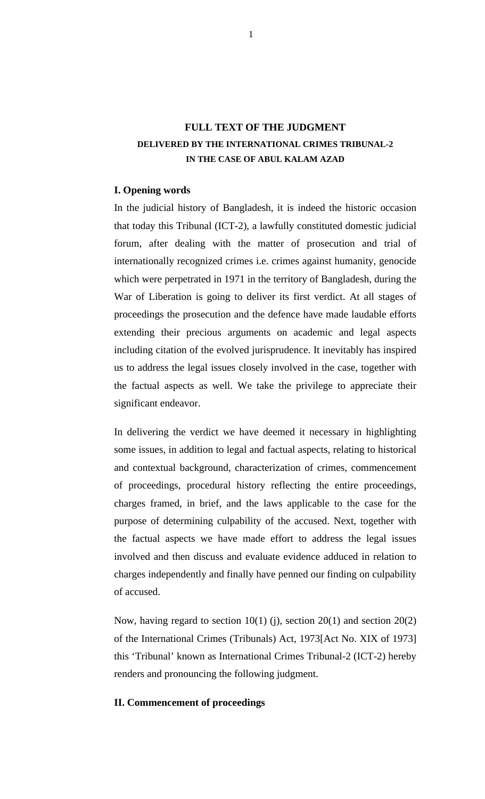# **FULL TEXT OF THE JUDGMENT DELIVERED BY THE INTERNATIONAL CRIMES TRIBUNAL-2 IN THE CASE OF ABUL KALAM AZAD**

## **I. Opening words**

In the judicial history of Bangladesh, it is indeed the historic occasion that today this Tribunal (ICT-2), a lawfully constituted domestic judicial forum, after dealing with the matter of prosecution and trial of internationally recognized crimes i.e. crimes against humanity, genocide which were perpetrated in 1971 in the territory of Bangladesh, during the War of Liberation is going to deliver its first verdict. At all stages of proceedings the prosecution and the defence have made laudable efforts extending their precious arguments on academic and legal aspects including citation of the evolved jurisprudence. It inevitably has inspired us to address the legal issues closely involved in the case, together with the factual aspects as well. We take the privilege to appreciate their significant endeavor.

In delivering the verdict we have deemed it necessary in highlighting some issues, in addition to legal and factual aspects, relating to historical and contextual background, characterization of crimes, commencement of proceedings, procedural history reflecting the entire proceedings, charges framed, in brief, and the laws applicable to the case for the purpose of determining culpability of the accused. Next, together with the factual aspects we have made effort to address the legal issues involved and then discuss and evaluate evidence adduced in relation to charges independently and finally have penned our finding on culpability of accused.

Now, having regard to section  $10(1)$  (j), section  $20(1)$  and section  $20(2)$ of the International Crimes (Tribunals) Act, 1973[Act No. XIX of 1973] this 'Tribunal' known as International Crimes Tribunal-2 (ICT-2) hereby renders and pronouncing the following judgment.

#### **II. Commencement of proceedings**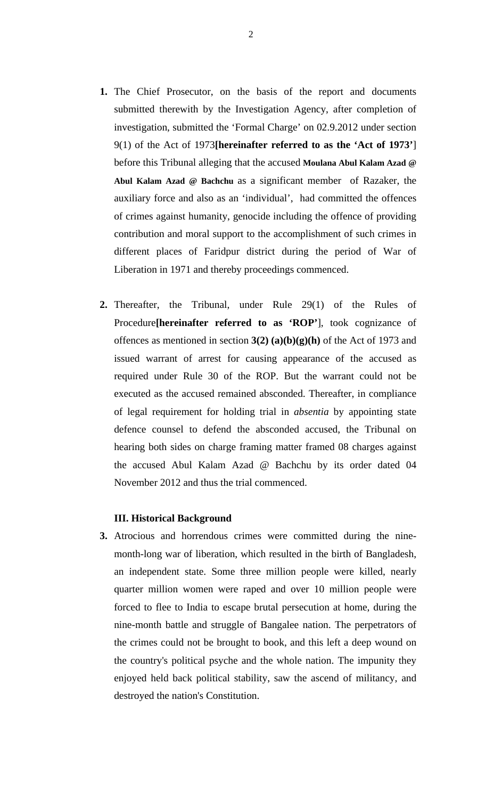- **1.** The Chief Prosecutor, on the basis of the report and documents submitted therewith by the Investigation Agency, after completion of investigation, submitted the 'Formal Charge' on 02.9.2012 under section 9(1) of the Act of 1973**[hereinafter referred to as the 'Act of 1973'**] before this Tribunal alleging that the accused **Moulana Abul Kalam Azad @ Abul Kalam Azad @ Bachchu** as a significant member of Razaker, the auxiliary force and also as an 'individual', had committed the offences of crimes against humanity, genocide including the offence of providing contribution and moral support to the accomplishment of such crimes in different places of Faridpur district during the period of War of Liberation in 1971 and thereby proceedings commenced.
- **2.** Thereafter, the Tribunal, under Rule 29(1) of the Rules of Procedure**[hereinafter referred to as 'ROP'**], took cognizance of offences as mentioned in section **3(2) (a)(b)(g)(h)** of the Act of 1973 and issued warrant of arrest for causing appearance of the accused as required under Rule 30 of the ROP. But the warrant could not be executed as the accused remained absconded. Thereafter, in compliance of legal requirement for holding trial in *absentia* by appointing state defence counsel to defend the absconded accused, the Tribunal on hearing both sides on charge framing matter framed 08 charges against the accused Abul Kalam Azad @ Bachchu by its order dated 04 November 2012 and thus the trial commenced.

# **III. Historical Background**

**3.** Atrocious and horrendous crimes were committed during the ninemonth-long war of liberation, which resulted in the birth of Bangladesh, an independent state. Some three million people were killed, nearly quarter million women were raped and over 10 million people were forced to flee to India to escape brutal persecution at home, during the nine-month battle and struggle of Bangalee nation. The perpetrators of the crimes could not be brought to book, and this left a deep wound on the country's political psyche and the whole nation. The impunity they enjoyed held back political stability, saw the ascend of militancy, and destroyed the nation's Constitution.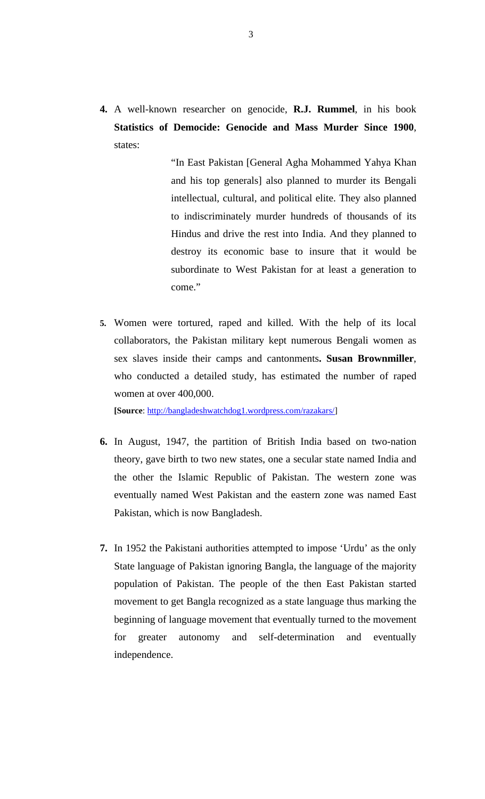**4.** A well-known researcher on genocide, **R.J. Rummel**, in his book **Statistics of Democide: Genocide and Mass Murder Since 1900**, states:

> "In East Pakistan [General Agha Mohammed Yahya Khan and his top generals] also planned to murder its Bengali intellectual, cultural, and political elite. They also planned to indiscriminately murder hundreds of thousands of its Hindus and drive the rest into India. And they planned to destroy its economic base to insure that it would be subordinate to West Pakistan for at least a generation to come."

**5.** Women were tortured, raped and killed. With the help of its local collaborators, the Pakistan military kept numerous Bengali women as sex slaves inside their camps and cantonments**. Susan Brownmiller**, who conducted a detailed study, has estimated the number of raped women at over 400,000.

**[Source**: http://bangladeshwatchdog1.wordpress.com/razakars/]

- **6.** In August, 1947, the partition of British India based on two-nation theory, gave birth to two new states, one a secular state named India and the other the Islamic Republic of Pakistan. The western zone was eventually named West Pakistan and the eastern zone was named East Pakistan, which is now Bangladesh.
- **7.** In 1952 the Pakistani authorities attempted to impose 'Urdu' as the only State language of Pakistan ignoring Bangla, the language of the majority population of Pakistan. The people of the then East Pakistan started movement to get Bangla recognized as a state language thus marking the beginning of language movement that eventually turned to the movement for greater autonomy and self-determination and eventually independence.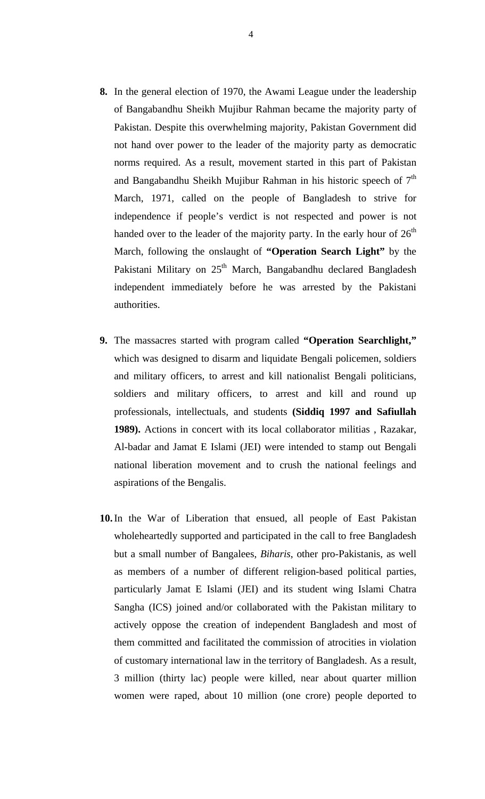- **8.** In the general election of 1970, the Awami League under the leadership of Bangabandhu Sheikh Mujibur Rahman became the majority party of Pakistan. Despite this overwhelming majority, Pakistan Government did not hand over power to the leader of the majority party as democratic norms required. As a result, movement started in this part of Pakistan and Bangabandhu Sheikh Mujibur Rahman in his historic speech of  $7<sup>th</sup>$ March, 1971, called on the people of Bangladesh to strive for independence if people's verdict is not respected and power is not handed over to the leader of the majority party. In the early hour of  $26<sup>th</sup>$ March, following the onslaught of **"Operation Search Light"** by the Pakistani Military on  $25<sup>th</sup>$  March, Bangabandhu declared Bangladesh independent immediately before he was arrested by the Pakistani authorities.
- **9.** The massacres started with program called **"Operation Searchlight,"** which was designed to disarm and liquidate Bengali policemen, soldiers and military officers, to arrest and kill nationalist Bengali politicians, soldiers and military officers, to arrest and kill and round up professionals, intellectuals, and students **(Siddiq 1997 and Safiullah 1989).** Actions in concert with its local collaborator militias , Razakar, Al-badar and Jamat E Islami (JEI) were intended to stamp out Bengali national liberation movement and to crush the national feelings and aspirations of the Bengalis.
- **10.**In the War of Liberation that ensued, all people of East Pakistan wholeheartedly supported and participated in the call to free Bangladesh but a small number of Bangalees, *Biharis*, other pro-Pakistanis, as well as members of a number of different religion-based political parties, particularly Jamat E Islami (JEI) and its student wing Islami Chatra Sangha (ICS) joined and/or collaborated with the Pakistan military to actively oppose the creation of independent Bangladesh and most of them committed and facilitated the commission of atrocities in violation of customary international law in the territory of Bangladesh. As a result, 3 million (thirty lac) people were killed, near about quarter million women were raped, about 10 million (one crore) people deported to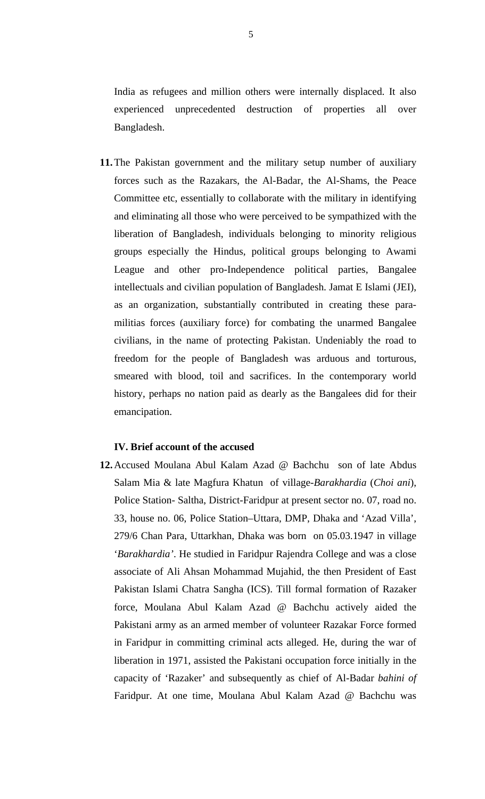India as refugees and million others were internally displaced. It also experienced unprecedented destruction of properties all over Bangladesh.

**11.**The Pakistan government and the military setup number of auxiliary forces such as the Razakars, the Al-Badar, the Al-Shams, the Peace Committee etc, essentially to collaborate with the military in identifying and eliminating all those who were perceived to be sympathized with the liberation of Bangladesh, individuals belonging to minority religious groups especially the Hindus, political groups belonging to Awami League and other pro-Independence political parties, Bangalee intellectuals and civilian population of Bangladesh. Jamat E Islami (JEI), as an organization, substantially contributed in creating these paramilitias forces (auxiliary force) for combating the unarmed Bangalee civilians, in the name of protecting Pakistan. Undeniably the road to freedom for the people of Bangladesh was arduous and torturous, smeared with blood, toil and sacrifices. In the contemporary world history, perhaps no nation paid as dearly as the Bangalees did for their emancipation.

## **IV. Brief account of the accused**

**12.**Accused Moulana Abul Kalam Azad @ Bachchu son of late Abdus Salam Mia & late Magfura Khatun of village-*Barakhardia* (*Choi ani*), Police Station- Saltha, District-Faridpur at present sector no. 07, road no. 33, house no. 06, Police Station–Uttara, DMP, Dhaka and 'Azad Villa', 279/6 Chan Para, Uttarkhan, Dhaka was born on 05.03.1947 in village '*Barakhardia'*. He studied in Faridpur Rajendra College and was a close associate of Ali Ahsan Mohammad Mujahid, the then President of East Pakistan Islami Chatra Sangha (ICS). Till formal formation of Razaker force, Moulana Abul Kalam Azad @ Bachchu actively aided the Pakistani army as an armed member of volunteer Razakar Force formed in Faridpur in committing criminal acts alleged. He, during the war of liberation in 1971, assisted the Pakistani occupation force initially in the capacity of 'Razaker' and subsequently as chief of Al-Badar *bahini of* Faridpur. At one time, Moulana Abul Kalam Azad @ Bachchu was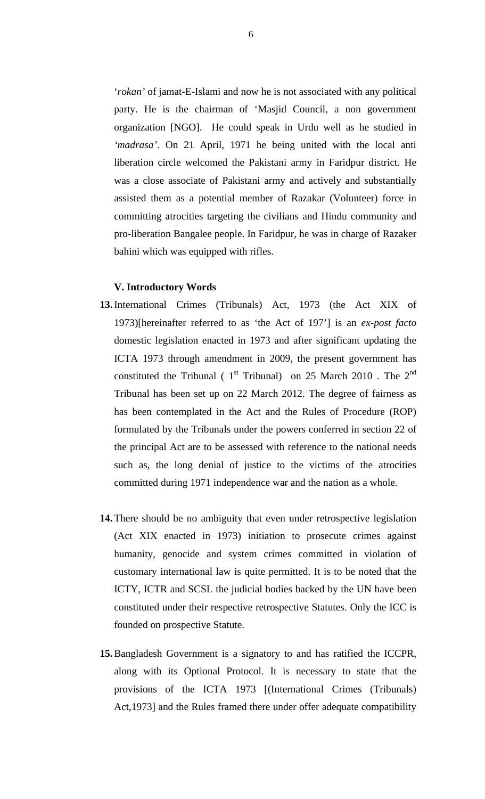'*rokan'* of jamat-E-Islami and now he is not associated with any political party. He is the chairman of 'Masjid Council, a non government organization [NGO]. He could speak in Urdu well as he studied in *'madrasa'*. On 21 April, 1971 he being united with the local anti liberation circle welcomed the Pakistani army in Faridpur district. He was a close associate of Pakistani army and actively and substantially assisted them as a potential member of Razakar (Volunteer) force in committing atrocities targeting the civilians and Hindu community and pro-liberation Bangalee people. In Faridpur, he was in charge of Razaker bahini which was equipped with rifles.

#### **V. Introductory Words**

- **13.**International Crimes (Tribunals) Act, 1973 (the Act XIX of 1973)[hereinafter referred to as 'the Act of 197'] is an *ex-post facto* domestic legislation enacted in 1973 and after significant updating the ICTA 1973 through amendment in 2009, the present government has constituted the Tribunal ( $1<sup>st</sup>$  Tribunal) on 25 March 2010. The  $2<sup>nd</sup>$ Tribunal has been set up on 22 March 2012. The degree of fairness as has been contemplated in the Act and the Rules of Procedure (ROP) formulated by the Tribunals under the powers conferred in section 22 of the principal Act are to be assessed with reference to the national needs such as, the long denial of justice to the victims of the atrocities committed during 1971 independence war and the nation as a whole.
- **14.**There should be no ambiguity that even under retrospective legislation (Act XIX enacted in 1973) initiation to prosecute crimes against humanity, genocide and system crimes committed in violation of customary international law is quite permitted. It is to be noted that the ICTY, ICTR and SCSL the judicial bodies backed by the UN have been constituted under their respective retrospective Statutes. Only the ICC is founded on prospective Statute.
- **15.**Bangladesh Government is a signatory to and has ratified the ICCPR, along with its Optional Protocol. It is necessary to state that the provisions of the ICTA 1973 [(International Crimes (Tribunals) Act,1973] and the Rules framed there under offer adequate compatibility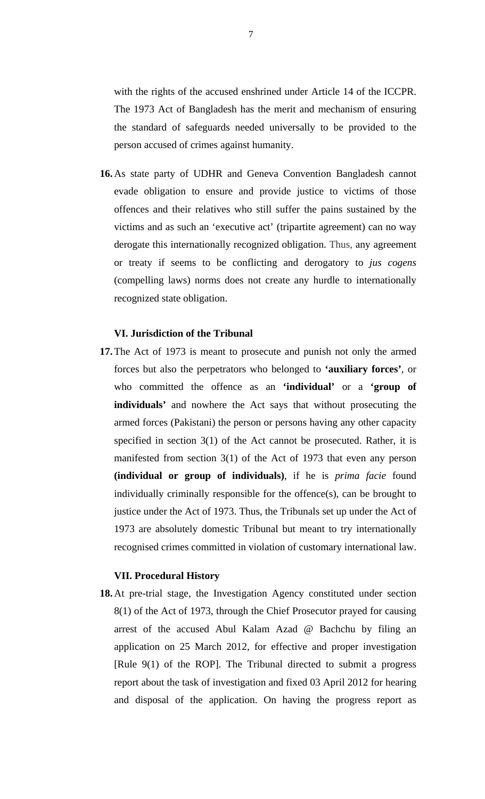with the rights of the accused enshrined under Article 14 of the ICCPR. The 1973 Act of Bangladesh has the merit and mechanism of ensuring the standard of safeguards needed universally to be provided to the person accused of crimes against humanity.

**16.**As state party of UDHR and Geneva Convention Bangladesh cannot evade obligation to ensure and provide justice to victims of those offences and their relatives who still suffer the pains sustained by the victims and as such an 'executive act' (tripartite agreement) can no way derogate this internationally recognized obligation. Thus, any agreement or treaty if seems to be conflicting and derogatory to *jus cogens* (compelling laws) norms does not create any hurdle to internationally recognized state obligation.

## **VI. Jurisdiction of the Tribunal**

**17.**The Act of 1973 is meant to prosecute and punish not only the armed forces but also the perpetrators who belonged to **'auxiliary forces'**, or who committed the offence as an **'individual'** or a **'group of individuals'** and nowhere the Act says that without prosecuting the armed forces (Pakistani) the person or persons having any other capacity specified in section 3(1) of the Act cannot be prosecuted. Rather, it is manifested from section 3(1) of the Act of 1973 that even any person **(individual or group of individuals)**, if he is *prima facie* found individually criminally responsible for the offence(s), can be brought to justice under the Act of 1973. Thus, the Tribunals set up under the Act of 1973 are absolutely domestic Tribunal but meant to try internationally recognised crimes committed in violation of customary international law.

## **VII. Procedural History**

**18.**At pre-trial stage, the Investigation Agency constituted under section 8(1) of the Act of 1973, through the Chief Prosecutor prayed for causing arrest of the accused Abul Kalam Azad @ Bachchu by filing an application on 25 March 2012, for effective and proper investigation [Rule 9(1) of the ROP]. The Tribunal directed to submit a progress report about the task of investigation and fixed 03 April 2012 for hearing and disposal of the application. On having the progress report as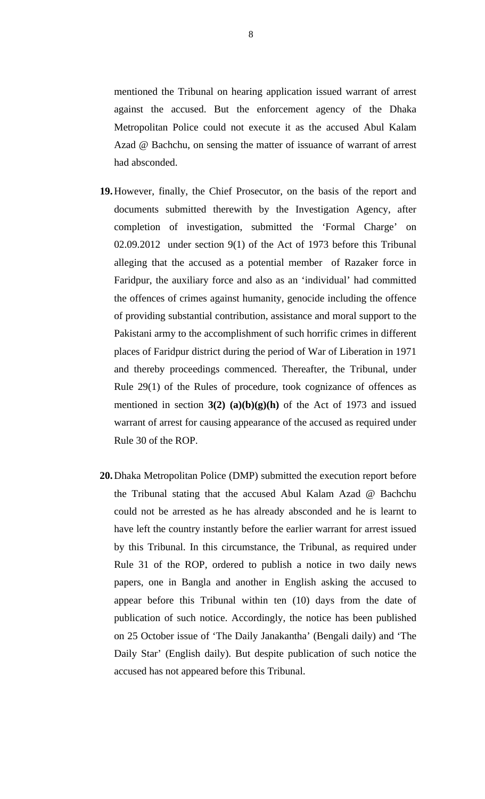mentioned the Tribunal on hearing application issued warrant of arrest against the accused. But the enforcement agency of the Dhaka Metropolitan Police could not execute it as the accused Abul Kalam Azad @ Bachchu, on sensing the matter of issuance of warrant of arrest had absconded.

- **19.**However, finally, the Chief Prosecutor, on the basis of the report and documents submitted therewith by the Investigation Agency, after completion of investigation, submitted the 'Formal Charge' on 02.09.2012 under section 9(1) of the Act of 1973 before this Tribunal alleging that the accused as a potential member of Razaker force in Faridpur, the auxiliary force and also as an 'individual' had committed the offences of crimes against humanity, genocide including the offence of providing substantial contribution, assistance and moral support to the Pakistani army to the accomplishment of such horrific crimes in different places of Faridpur district during the period of War of Liberation in 1971 and thereby proceedings commenced. Thereafter, the Tribunal, under Rule 29(1) of the Rules of procedure, took cognizance of offences as mentioned in section  $3(2)$  (a)(b)(g)(h) of the Act of 1973 and issued warrant of arrest for causing appearance of the accused as required under Rule 30 of the ROP.
- **20.**Dhaka Metropolitan Police (DMP) submitted the execution report before the Tribunal stating that the accused Abul Kalam Azad @ Bachchu could not be arrested as he has already absconded and he is learnt to have left the country instantly before the earlier warrant for arrest issued by this Tribunal. In this circumstance, the Tribunal, as required under Rule 31 of the ROP, ordered to publish a notice in two daily news papers, one in Bangla and another in English asking the accused to appear before this Tribunal within ten (10) days from the date of publication of such notice. Accordingly, the notice has been published on 25 October issue of 'The Daily Janakantha' (Bengali daily) and 'The Daily Star' (English daily). But despite publication of such notice the accused has not appeared before this Tribunal.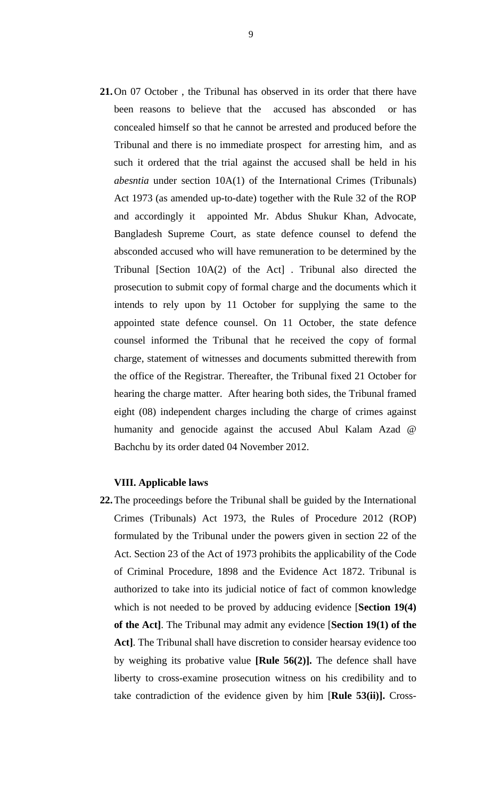**21.**On 07 October , the Tribunal has observed in its order that there have been reasons to believe that the accused has absconded or has concealed himself so that he cannot be arrested and produced before the Tribunal and there is no immediate prospect for arresting him, and as such it ordered that the trial against the accused shall be held in his *abesntia* under section 10A(1) of the International Crimes (Tribunals) Act 1973 (as amended up-to-date) together with the Rule 32 of the ROP and accordingly it appointed Mr. Abdus Shukur Khan, Advocate, Bangladesh Supreme Court, as state defence counsel to defend the absconded accused who will have remuneration to be determined by the Tribunal [Section 10A(2) of the Act] . Tribunal also directed the prosecution to submit copy of formal charge and the documents which it intends to rely upon by 11 October for supplying the same to the appointed state defence counsel. On 11 October, the state defence counsel informed the Tribunal that he received the copy of formal charge, statement of witnesses and documents submitted therewith from the office of the Registrar. Thereafter, the Tribunal fixed 21 October for hearing the charge matter. After hearing both sides, the Tribunal framed eight (08) independent charges including the charge of crimes against humanity and genocide against the accused Abul Kalam Azad @ Bachchu by its order dated 04 November 2012.

## **VIII. Applicable laws**

**22.**The proceedings before the Tribunal shall be guided by the International Crimes (Tribunals) Act 1973, the Rules of Procedure 2012 (ROP) formulated by the Tribunal under the powers given in section 22 of the Act. Section 23 of the Act of 1973 prohibits the applicability of the Code of Criminal Procedure, 1898 and the Evidence Act 1872. Tribunal is authorized to take into its judicial notice of fact of common knowledge which is not needed to be proved by adducing evidence [**Section 19(4) of the Act]**. The Tribunal may admit any evidence [**Section 19(1) of the Act]**. The Tribunal shall have discretion to consider hearsay evidence too by weighing its probative value **[Rule 56(2)].** The defence shall have liberty to cross-examine prosecution witness on his credibility and to take contradiction of the evidence given by him [**Rule 53(ii)].** Cross-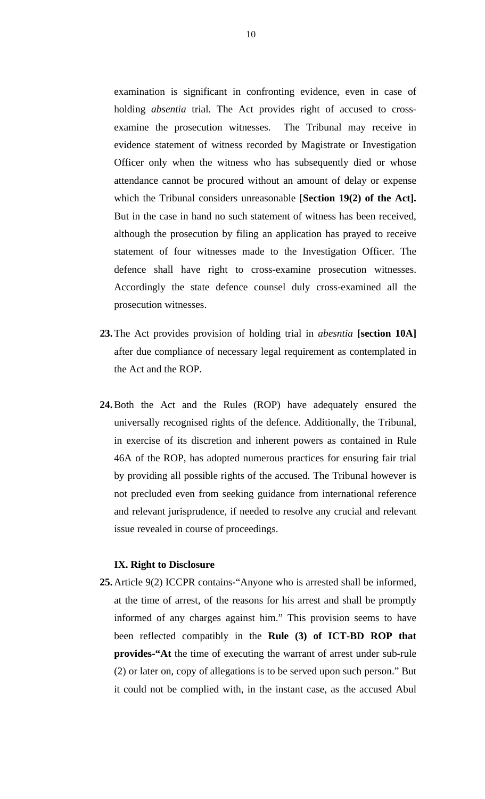examination is significant in confronting evidence, even in case of holding *absentia* trial. The Act provides right of accused to crossexamine the prosecution witnesses. The Tribunal may receive in evidence statement of witness recorded by Magistrate or Investigation Officer only when the witness who has subsequently died or whose attendance cannot be procured without an amount of delay or expense which the Tribunal considers unreasonable [**Section 19(2) of the Act].** But in the case in hand no such statement of witness has been received, although the prosecution by filing an application has prayed to receive statement of four witnesses made to the Investigation Officer. The defence shall have right to cross-examine prosecution witnesses. Accordingly the state defence counsel duly cross-examined all the prosecution witnesses.

- **23.**The Act provides provision of holding trial in *abesntia* **[section 10A]** after due compliance of necessary legal requirement as contemplated in the Act and the ROP.
- **24.**Both the Act and the Rules (ROP) have adequately ensured the universally recognised rights of the defence. Additionally, the Tribunal, in exercise of its discretion and inherent powers as contained in Rule 46A of the ROP, has adopted numerous practices for ensuring fair trial by providing all possible rights of the accused. The Tribunal however is not precluded even from seeking guidance from international reference and relevant jurisprudence, if needed to resolve any crucial and relevant issue revealed in course of proceedings.

#### **IX. Right to Disclosure**

**25.**Article 9(2) ICCPR contains**-**"Anyone who is arrested shall be informed, at the time of arrest, of the reasons for his arrest and shall be promptly informed of any charges against him." This provision seems to have been reflected compatibly in the **Rule (3) of ICT-BD ROP that provides-"At** the time of executing the warrant of arrest under sub-rule (2) or later on, copy of allegations is to be served upon such person." But it could not be complied with, in the instant case, as the accused Abul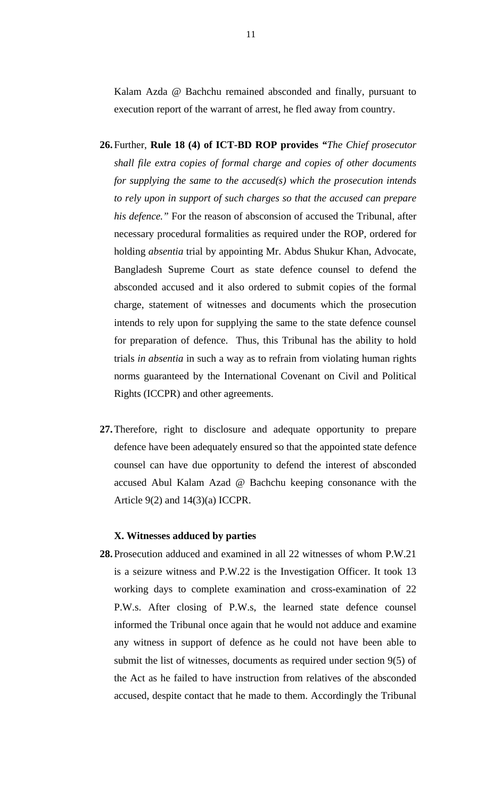Kalam Azda @ Bachchu remained absconded and finally, pursuant to execution report of the warrant of arrest, he fled away from country.

- **26.**Further, **Rule 18 (4) of ICT-BD ROP provides** *"The Chief prosecutor shall file extra copies of formal charge and copies of other documents for supplying the same to the accused(s) which the prosecution intends to rely upon in support of such charges so that the accused can prepare his defence."* For the reason of absconsion of accused the Tribunal, after necessary procedural formalities as required under the ROP, ordered for holding *absentia* trial by appointing Mr. Abdus Shukur Khan, Advocate, Bangladesh Supreme Court as state defence counsel to defend the absconded accused and it also ordered to submit copies of the formal charge, statement of witnesses and documents which the prosecution intends to rely upon for supplying the same to the state defence counsel for preparation of defence. Thus, this Tribunal has the ability to hold trials *in absentia* in such a way as to refrain from violating human rights norms guaranteed by the International Covenant on Civil and Political Rights (ICCPR) and other agreements.
- **27.**Therefore, right to disclosure and adequate opportunity to prepare defence have been adequately ensured so that the appointed state defence counsel can have due opportunity to defend the interest of absconded accused Abul Kalam Azad @ Bachchu keeping consonance with the Article 9(2) and 14(3)(a) ICCPR.

## **X. Witnesses adduced by parties**

**28.**Prosecution adduced and examined in all 22 witnesses of whom P.W.21 is a seizure witness and P.W.22 is the Investigation Officer. It took 13 working days to complete examination and cross-examination of 22 P.W.s. After closing of P.W.s, the learned state defence counsel informed the Tribunal once again that he would not adduce and examine any witness in support of defence as he could not have been able to submit the list of witnesses, documents as required under section 9(5) of the Act as he failed to have instruction from relatives of the absconded accused, despite contact that he made to them. Accordingly the Tribunal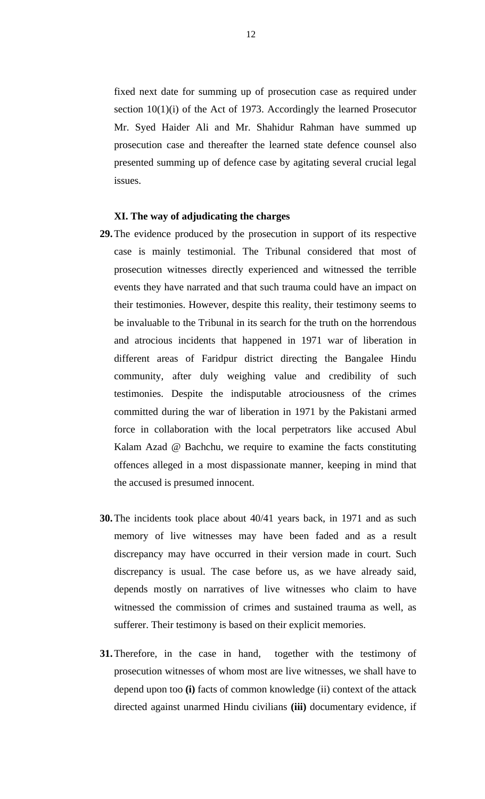fixed next date for summing up of prosecution case as required under section 10(1)(i) of the Act of 1973. Accordingly the learned Prosecutor Mr. Syed Haider Ali and Mr. Shahidur Rahman have summed up prosecution case and thereafter the learned state defence counsel also presented summing up of defence case by agitating several crucial legal issues.

#### **XI. The way of adjudicating the charges**

- **29.**The evidence produced by the prosecution in support of its respective case is mainly testimonial. The Tribunal considered that most of prosecution witnesses directly experienced and witnessed the terrible events they have narrated and that such trauma could have an impact on their testimonies. However, despite this reality, their testimony seems to be invaluable to the Tribunal in its search for the truth on the horrendous and atrocious incidents that happened in 1971 war of liberation in different areas of Faridpur district directing the Bangalee Hindu community, after duly weighing value and credibility of such testimonies. Despite the indisputable atrociousness of the crimes committed during the war of liberation in 1971 by the Pakistani armed force in collaboration with the local perpetrators like accused Abul Kalam Azad @ Bachchu, we require to examine the facts constituting offences alleged in a most dispassionate manner, keeping in mind that the accused is presumed innocent.
- **30.**The incidents took place about 40/41 years back, in 1971 and as such memory of live witnesses may have been faded and as a result discrepancy may have occurred in their version made in court. Such discrepancy is usual. The case before us, as we have already said, depends mostly on narratives of live witnesses who claim to have witnessed the commission of crimes and sustained trauma as well, as sufferer. Their testimony is based on their explicit memories.
- **31.**Therefore, in the case in hand, together with the testimony of prosecution witnesses of whom most are live witnesses, we shall have to depend upon too **(i)** facts of common knowledge (ii) context of the attack directed against unarmed Hindu civilians **(iii)** documentary evidence, if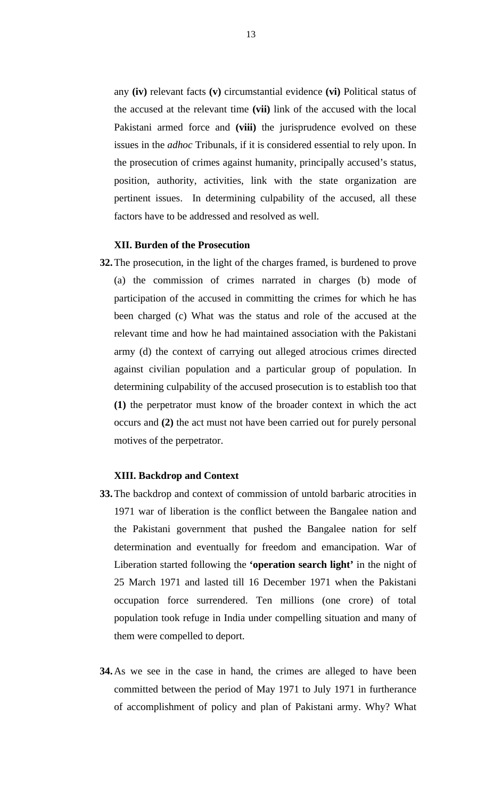any **(iv)** relevant facts **(v)** circumstantial evidence **(vi)** Political status of the accused at the relevant time **(vii)** link of the accused with the local Pakistani armed force and **(viii)** the jurisprudence evolved on these issues in the *adhoc* Tribunals, if it is considered essential to rely upon. In the prosecution of crimes against humanity, principally accused's status, position, authority, activities, link with the state organization are pertinent issues. In determining culpability of the accused, all these factors have to be addressed and resolved as well.

## **XII. Burden of the Prosecution**

**32.**The prosecution, in the light of the charges framed, is burdened to prove (a) the commission of crimes narrated in charges (b) mode of participation of the accused in committing the crimes for which he has been charged (c) What was the status and role of the accused at the relevant time and how he had maintained association with the Pakistani army (d) the context of carrying out alleged atrocious crimes directed against civilian population and a particular group of population. In determining culpability of the accused prosecution is to establish too that **(1)** the perpetrator must know of the broader context in which the act occurs and **(2)** the act must not have been carried out for purely personal motives of the perpetrator.

### **XIII. Backdrop and Context**

- **33.**The backdrop and context of commission of untold barbaric atrocities in 1971 war of liberation is the conflict between the Bangalee nation and the Pakistani government that pushed the Bangalee nation for self determination and eventually for freedom and emancipation. War of Liberation started following the **'operation search light'** in the night of 25 March 1971 and lasted till 16 December 1971 when the Pakistani occupation force surrendered. Ten millions (one crore) of total population took refuge in India under compelling situation and many of them were compelled to deport.
- **34.**As we see in the case in hand, the crimes are alleged to have been committed between the period of May 1971 to July 1971 in furtherance of accomplishment of policy and plan of Pakistani army. Why? What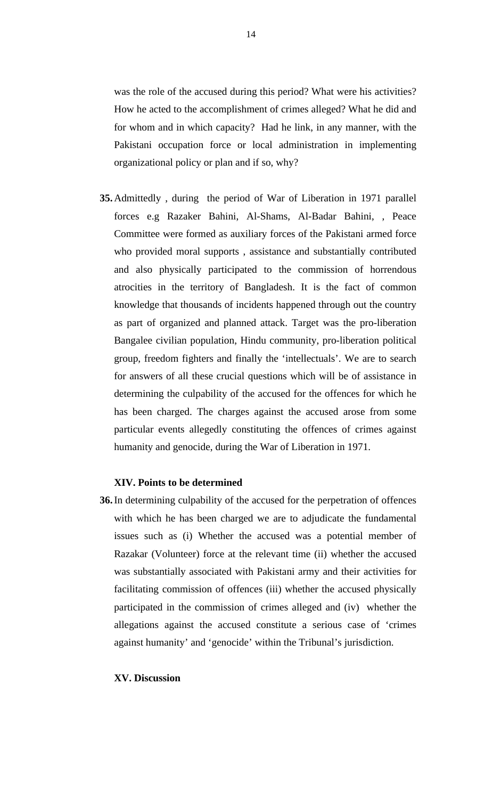was the role of the accused during this period? What were his activities? How he acted to the accomplishment of crimes alleged? What he did and for whom and in which capacity? Had he link, in any manner, with the Pakistani occupation force or local administration in implementing organizational policy or plan and if so, why?

**35.**Admittedly , during the period of War of Liberation in 1971 parallel forces e.g Razaker Bahini, Al-Shams, Al-Badar Bahini, , Peace Committee were formed as auxiliary forces of the Pakistani armed force who provided moral supports , assistance and substantially contributed and also physically participated to the commission of horrendous atrocities in the territory of Bangladesh. It is the fact of common knowledge that thousands of incidents happened through out the country as part of organized and planned attack. Target was the pro-liberation Bangalee civilian population, Hindu community, pro-liberation political group, freedom fighters and finally the 'intellectuals'. We are to search for answers of all these crucial questions which will be of assistance in determining the culpability of the accused for the offences for which he has been charged. The charges against the accused arose from some particular events allegedly constituting the offences of crimes against humanity and genocide, during the War of Liberation in 1971.

## **XIV. Points to be determined**

**36.**In determining culpability of the accused for the perpetration of offences with which he has been charged we are to adjudicate the fundamental issues such as (i) Whether the accused was a potential member of Razakar (Volunteer) force at the relevant time (ii) whether the accused was substantially associated with Pakistani army and their activities for facilitating commission of offences (iii) whether the accused physically participated in the commission of crimes alleged and (iv) whether the allegations against the accused constitute a serious case of 'crimes against humanity' and 'genocide' within the Tribunal's jurisdiction.

#### **XV. Discussion**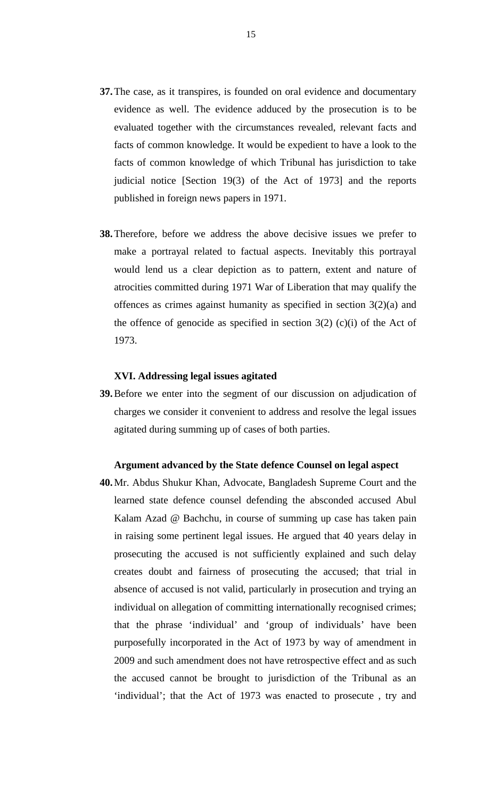- **37.**The case, as it transpires, is founded on oral evidence and documentary evidence as well. The evidence adduced by the prosecution is to be evaluated together with the circumstances revealed, relevant facts and facts of common knowledge. It would be expedient to have a look to the facts of common knowledge of which Tribunal has jurisdiction to take judicial notice [Section 19(3) of the Act of 1973] and the reports published in foreign news papers in 1971.
- **38.**Therefore, before we address the above decisive issues we prefer to make a portrayal related to factual aspects. Inevitably this portrayal would lend us a clear depiction as to pattern, extent and nature of atrocities committed during 1971 War of Liberation that may qualify the offences as crimes against humanity as specified in section 3(2)(a) and the offence of genocide as specified in section  $3(2)$  (c)(i) of the Act of 1973.

## **XVI. Addressing legal issues agitated**

**39.**Before we enter into the segment of our discussion on adjudication of charges we consider it convenient to address and resolve the legal issues agitated during summing up of cases of both parties.

#### **Argument advanced by the State defence Counsel on legal aspect**

**40.**Mr. Abdus Shukur Khan, Advocate, Bangladesh Supreme Court and the learned state defence counsel defending the absconded accused Abul Kalam Azad @ Bachchu, in course of summing up case has taken pain in raising some pertinent legal issues. He argued that 40 years delay in prosecuting the accused is not sufficiently explained and such delay creates doubt and fairness of prosecuting the accused; that trial in absence of accused is not valid, particularly in prosecution and trying an individual on allegation of committing internationally recognised crimes; that the phrase 'individual' and 'group of individuals' have been purposefully incorporated in the Act of 1973 by way of amendment in 2009 and such amendment does not have retrospective effect and as such the accused cannot be brought to jurisdiction of the Tribunal as an 'individual'; that the Act of 1973 was enacted to prosecute , try and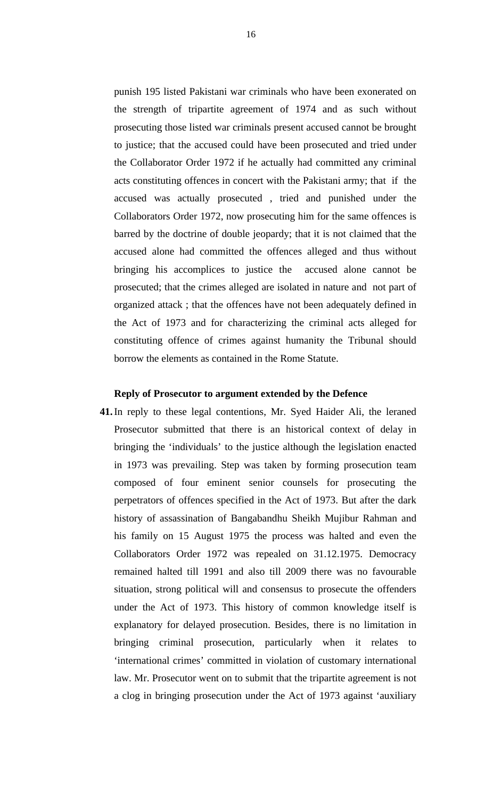punish 195 listed Pakistani war criminals who have been exonerated on the strength of tripartite agreement of 1974 and as such without prosecuting those listed war criminals present accused cannot be brought to justice; that the accused could have been prosecuted and tried under the Collaborator Order 1972 if he actually had committed any criminal acts constituting offences in concert with the Pakistani army; that if the accused was actually prosecuted , tried and punished under the Collaborators Order 1972, now prosecuting him for the same offences is barred by the doctrine of double jeopardy; that it is not claimed that the accused alone had committed the offences alleged and thus without bringing his accomplices to justice the accused alone cannot be prosecuted; that the crimes alleged are isolated in nature and not part of organized attack ; that the offences have not been adequately defined in the Act of 1973 and for characterizing the criminal acts alleged for constituting offence of crimes against humanity the Tribunal should borrow the elements as contained in the Rome Statute.

#### **Reply of Prosecutor to argument extended by the Defence**

**41.**In reply to these legal contentions, Mr. Syed Haider Ali, the leraned Prosecutor submitted that there is an historical context of delay in bringing the 'individuals' to the justice although the legislation enacted in 1973 was prevailing. Step was taken by forming prosecution team composed of four eminent senior counsels for prosecuting the perpetrators of offences specified in the Act of 1973. But after the dark history of assassination of Bangabandhu Sheikh Mujibur Rahman and his family on 15 August 1975 the process was halted and even the Collaborators Order 1972 was repealed on 31.12.1975. Democracy remained halted till 1991 and also till 2009 there was no favourable situation, strong political will and consensus to prosecute the offenders under the Act of 1973. This history of common knowledge itself is explanatory for delayed prosecution. Besides, there is no limitation in bringing criminal prosecution, particularly when it relates to 'international crimes' committed in violation of customary international law. Mr. Prosecutor went on to submit that the tripartite agreement is not a clog in bringing prosecution under the Act of 1973 against 'auxiliary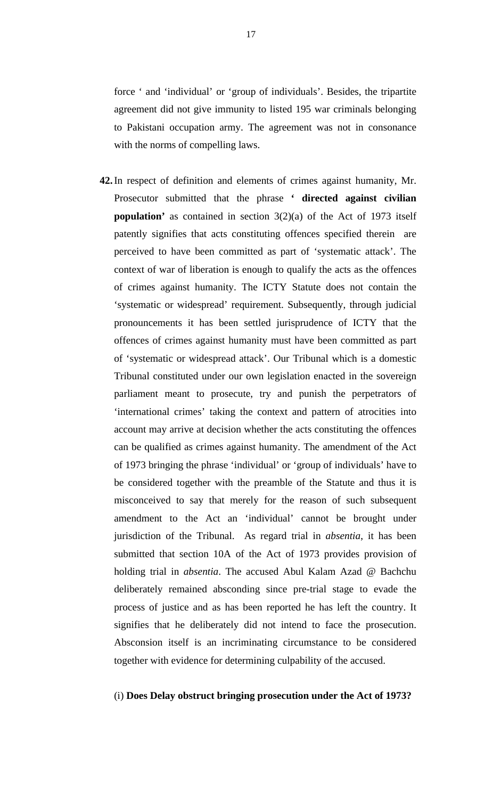force ' and 'individual' or 'group of individuals'. Besides, the tripartite agreement did not give immunity to listed 195 war criminals belonging to Pakistani occupation army. The agreement was not in consonance with the norms of compelling laws.

**42.**In respect of definition and elements of crimes against humanity, Mr. Prosecutor submitted that the phrase **' directed against civilian population'** as contained in section 3(2)(a) of the Act of 1973 itself patently signifies that acts constituting offences specified therein are perceived to have been committed as part of 'systematic attack'. The context of war of liberation is enough to qualify the acts as the offences of crimes against humanity. The ICTY Statute does not contain the 'systematic or widespread' requirement. Subsequently, through judicial pronouncements it has been settled jurisprudence of ICTY that the offences of crimes against humanity must have been committed as part of 'systematic or widespread attack'. Our Tribunal which is a domestic Tribunal constituted under our own legislation enacted in the sovereign parliament meant to prosecute, try and punish the perpetrators of 'international crimes' taking the context and pattern of atrocities into account may arrive at decision whether the acts constituting the offences can be qualified as crimes against humanity. The amendment of the Act of 1973 bringing the phrase 'individual' or 'group of individuals' have to be considered together with the preamble of the Statute and thus it is misconceived to say that merely for the reason of such subsequent amendment to the Act an 'individual' cannot be brought under jurisdiction of the Tribunal. As regard trial in *absentia*, it has been submitted that section 10A of the Act of 1973 provides provision of holding trial in *absentia*. The accused Abul Kalam Azad @ Bachchu deliberately remained absconding since pre-trial stage to evade the process of justice and as has been reported he has left the country. It signifies that he deliberately did not intend to face the prosecution. Absconsion itself is an incriminating circumstance to be considered together with evidence for determining culpability of the accused.

## (i) **Does Delay obstruct bringing prosecution under the Act of 1973?**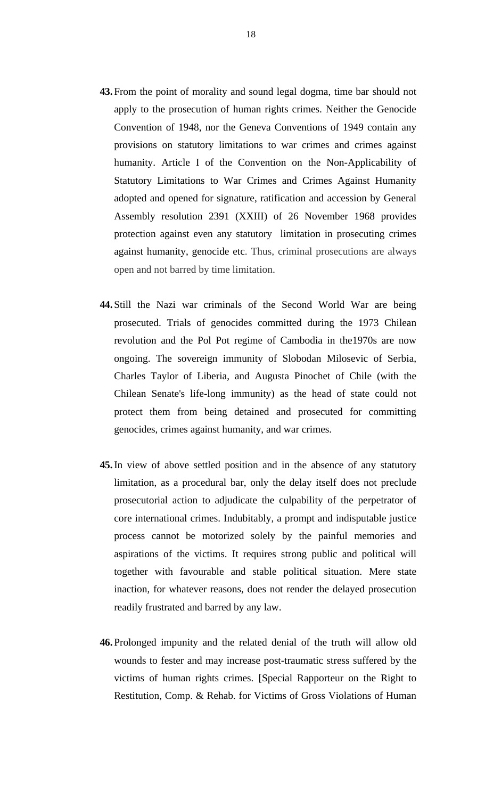- **43.**From the point of morality and sound legal dogma, time bar should not apply to the prosecution of human rights crimes. Neither the Genocide Convention of 1948, nor the Geneva Conventions of 1949 contain any provisions on statutory limitations to war crimes and crimes against humanity. Article I of the Convention on the Non-Applicability of Statutory Limitations to War Crimes and Crimes Against Humanity adopted and opened for signature, ratification and accession by General Assembly resolution 2391 (XXIII) of 26 November 1968 provides protection against even any statutory limitation in prosecuting crimes against humanity, genocide etc. Thus, criminal prosecutions are always open and not barred by time limitation.
- **44.**Still the Nazi war criminals of the Second World War are being prosecuted. Trials of genocides committed during the 1973 Chilean revolution and the Pol Pot regime of Cambodia in the1970s are now ongoing. The sovereign immunity of Slobodan Milosevic of Serbia, Charles Taylor of Liberia, and Augusta Pinochet of Chile (with the Chilean Senate's life-long immunity) as the head of state could not protect them from being detained and prosecuted for committing genocides, crimes against humanity, and war crimes.
- **45.**In view of above settled position and in the absence of any statutory limitation, as a procedural bar, only the delay itself does not preclude prosecutorial action to adjudicate the culpability of the perpetrator of core international crimes. Indubitably, a prompt and indisputable justice process cannot be motorized solely by the painful memories and aspirations of the victims. It requires strong public and political will together with favourable and stable political situation. Mere state inaction, for whatever reasons, does not render the delayed prosecution readily frustrated and barred by any law.
- **46.**Prolonged impunity and the related denial of the truth will allow old wounds to fester and may increase post-traumatic stress suffered by the victims of human rights crimes. [Special Rapporteur on the Right to Restitution, Comp. & Rehab. for Victims of Gross Violations of Human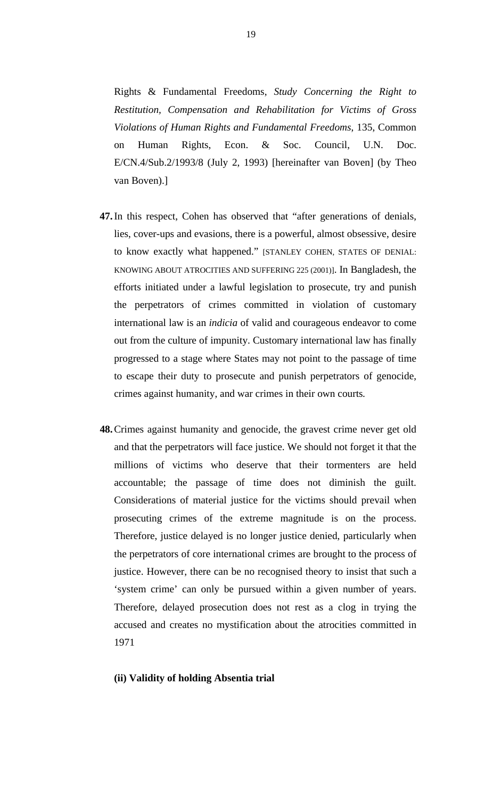Rights & Fundamental Freedoms, *Study Concerning the Right to Restitution, Compensation and Rehabilitation for Victims of Gross Violations of Human Rights and Fundamental Freedoms*, 135, Common on Human Rights, Econ. & Soc. Council, U.N. Doc. E/CN.4/Sub.2/1993/8 (July 2, 1993) [hereinafter van Boven] (by Theo van Boven).]

- **47.**In this respect, Cohen has observed that "after generations of denials, lies, cover-ups and evasions, there is a powerful, almost obsessive, desire to know exactly what happened." [STANLEY COHEN, STATES OF DENIAL: KNOWING ABOUT ATROCITIES AND SUFFERING 225 (2001)]. In Bangladesh, the efforts initiated under a lawful legislation to prosecute, try and punish the perpetrators of crimes committed in violation of customary international law is an *indicia* of valid and courageous endeavor to come out from the culture of impunity. Customary international law has finally progressed to a stage where States may not point to the passage of time to escape their duty to prosecute and punish perpetrators of genocide, crimes against humanity, and war crimes in their own courts*.*
- **48.**Crimes against humanity and genocide, the gravest crime never get old and that the perpetrators will face justice. We should not forget it that the millions of victims who deserve that their tormenters are held accountable; the passage of time does not diminish the guilt. Considerations of material justice for the victims should prevail when prosecuting crimes of the extreme magnitude is on the process. Therefore, justice delayed is no longer justice denied, particularly when the perpetrators of core international crimes are brought to the process of justice. However, there can be no recognised theory to insist that such a 'system crime' can only be pursued within a given number of years. Therefore, delayed prosecution does not rest as a clog in trying the accused and creates no mystification about the atrocities committed in 1971

### **(ii) Validity of holding Absentia trial**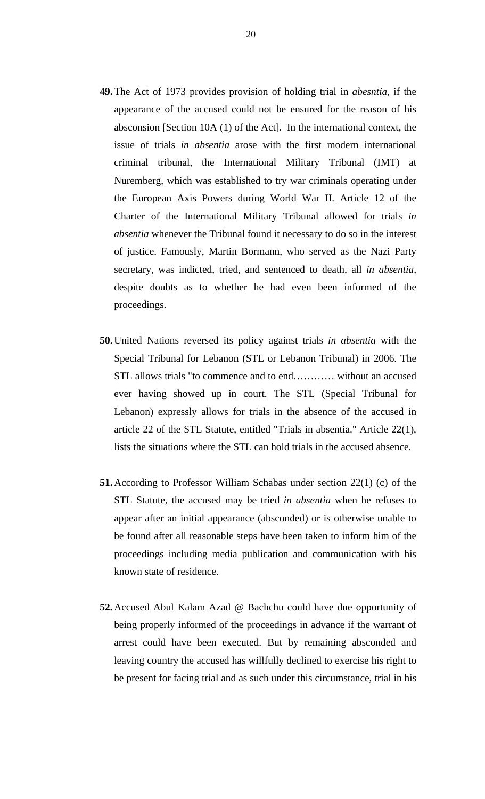- **49.**The Act of 1973 provides provision of holding trial in *abesntia*, if the appearance of the accused could not be ensured for the reason of his absconsion [Section 10A (1) of the Act]. In the international context, the issue of trials *in absentia* arose with the first modern international criminal tribunal, the International Military Tribunal (IMT) at Nuremberg, which was established to try war criminals operating under the European Axis Powers during World War II. Article 12 of the Charter of the International Military Tribunal allowed for trials *in absentia* whenever the Tribunal found it necessary to do so in the interest of justice. Famously, Martin Bormann, who served as the Nazi Party secretary, was indicted, tried, and sentenced to death, all *in absentia,*  despite doubts as to whether he had even been informed of the proceedings.
- **50.**United Nations reversed its policy against trials *in absentia* with the Special Tribunal for Lebanon (STL or Lebanon Tribunal) in 2006. The STL allows trials "to commence and to end………… without an accused ever having showed up in court. The STL (Special Tribunal for Lebanon) expressly allows for trials in the absence of the accused in article 22 of the STL Statute, entitled "Trials in absentia." Article 22(1), lists the situations where the STL can hold trials in the accused absence.
- **51.**According to Professor William Schabas under section 22(1) (c) of the STL Statute, the accused may be tried *in absentia* when he refuses to appear after an initial appearance (absconded) or is otherwise unable to be found after all reasonable steps have been taken to inform him of the proceedings including media publication and communication with his known state of residence.
- **52.**Accused Abul Kalam Azad @ Bachchu could have due opportunity of being properly informed of the proceedings in advance if the warrant of arrest could have been executed. But by remaining absconded and leaving country the accused has willfully declined to exercise his right to be present for facing trial and as such under this circumstance, trial in his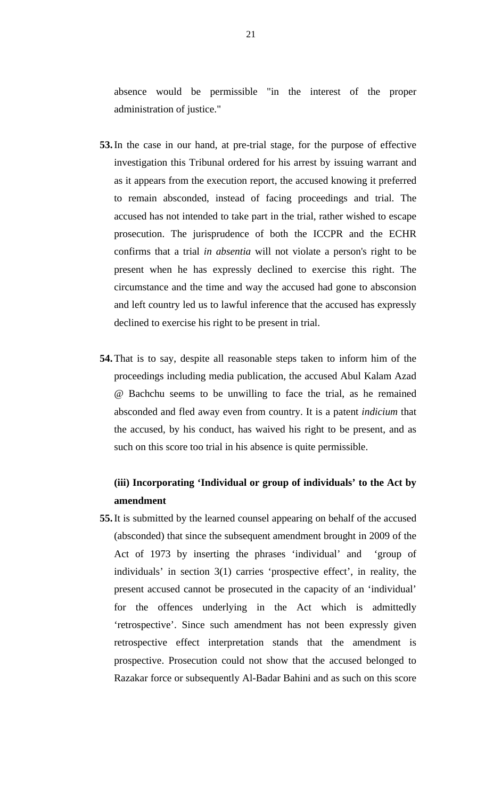absence would be permissible "in the interest of the proper administration of justice."

- **53.**In the case in our hand, at pre-trial stage, for the purpose of effective investigation this Tribunal ordered for his arrest by issuing warrant and as it appears from the execution report, the accused knowing it preferred to remain absconded, instead of facing proceedings and trial. The accused has not intended to take part in the trial, rather wished to escape prosecution. The jurisprudence of both the ICCPR and the ECHR confirms that a trial *in absentia* will not violate a person's right to be present when he has expressly declined to exercise this right. The circumstance and the time and way the accused had gone to absconsion and left country led us to lawful inference that the accused has expressly declined to exercise his right to be present in trial.
- **54.**That is to say, despite all reasonable steps taken to inform him of the proceedings including media publication, the accused Abul Kalam Azad @ Bachchu seems to be unwilling to face the trial, as he remained absconded and fled away even from country. It is a patent *indicium* that the accused, by his conduct, has waived his right to be present, and as such on this score too trial in his absence is quite permissible.

# **(iii) Incorporating 'Individual or group of individuals' to the Act by amendment**

**55.**It is submitted by the learned counsel appearing on behalf of the accused (absconded) that since the subsequent amendment brought in 2009 of the Act of 1973 by inserting the phrases 'individual' and 'group of individuals' in section 3(1) carries 'prospective effect', in reality, the present accused cannot be prosecuted in the capacity of an 'individual' for the offences underlying in the Act which is admittedly 'retrospective'. Since such amendment has not been expressly given retrospective effect interpretation stands that the amendment is prospective. Prosecution could not show that the accused belonged to Razakar force or subsequently Al-Badar Bahini and as such on this score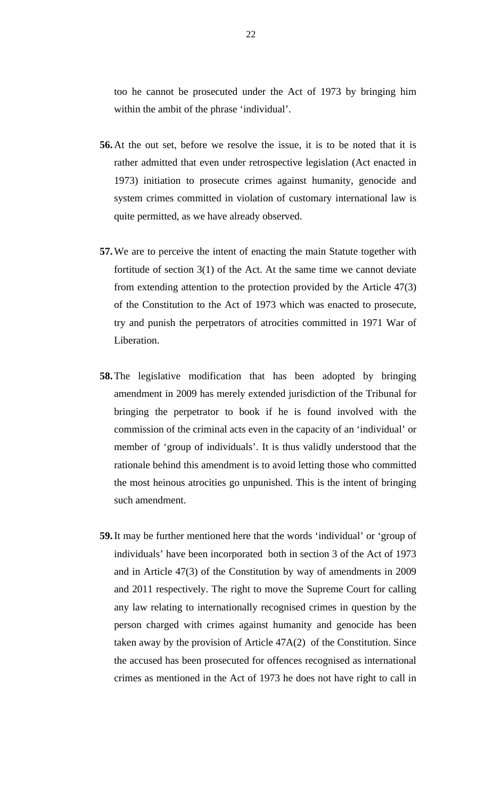too he cannot be prosecuted under the Act of 1973 by bringing him within the ambit of the phrase 'individual'.

- **56.**At the out set, before we resolve the issue, it is to be noted that it is rather admitted that even under retrospective legislation (Act enacted in 1973) initiation to prosecute crimes against humanity, genocide and system crimes committed in violation of customary international law is quite permitted, as we have already observed.
- **57.**We are to perceive the intent of enacting the main Statute together with fortitude of section  $3(1)$  of the Act. At the same time we cannot deviate from extending attention to the protection provided by the Article 47(3) of the Constitution to the Act of 1973 which was enacted to prosecute, try and punish the perpetrators of atrocities committed in 1971 War of Liberation.
- **58.**The legislative modification that has been adopted by bringing amendment in 2009 has merely extended jurisdiction of the Tribunal for bringing the perpetrator to book if he is found involved with the commission of the criminal acts even in the capacity of an 'individual' or member of 'group of individuals'. It is thus validly understood that the rationale behind this amendment is to avoid letting those who committed the most heinous atrocities go unpunished. This is the intent of bringing such amendment.
- **59.**It may be further mentioned here that the words 'individual' or 'group of individuals' have been incorporated both in section 3 of the Act of 1973 and in Article 47(3) of the Constitution by way of amendments in 2009 and 2011 respectively. The right to move the Supreme Court for calling any law relating to internationally recognised crimes in question by the person charged with crimes against humanity and genocide has been taken away by the provision of Article 47A(2) of the Constitution. Since the accused has been prosecuted for offences recognised as international crimes as mentioned in the Act of 1973 he does not have right to call in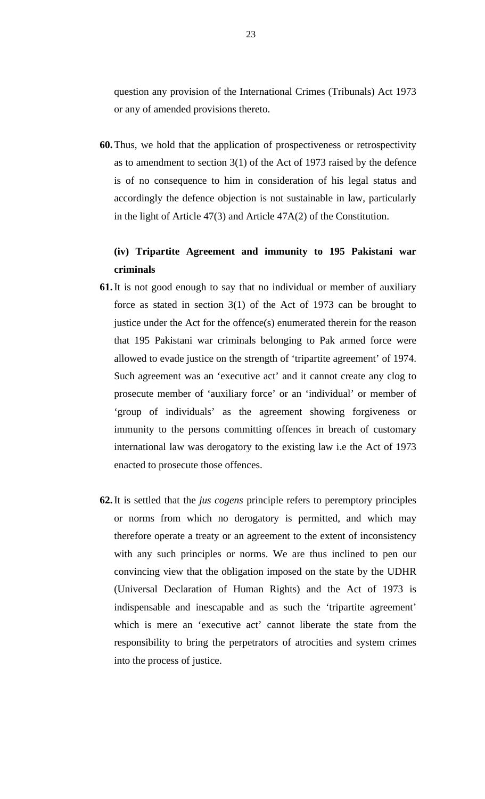question any provision of the International Crimes (Tribunals) Act 1973 or any of amended provisions thereto.

**60.**Thus, we hold that the application of prospectiveness or retrospectivity as to amendment to section 3(1) of the Act of 1973 raised by the defence is of no consequence to him in consideration of his legal status and accordingly the defence objection is not sustainable in law, particularly in the light of Article 47(3) and Article 47A(2) of the Constitution.

# **(iv) Tripartite Agreement and immunity to 195 Pakistani war criminals**

- **61.**It is not good enough to say that no individual or member of auxiliary force as stated in section 3(1) of the Act of 1973 can be brought to justice under the Act for the offence(s) enumerated therein for the reason that 195 Pakistani war criminals belonging to Pak armed force were allowed to evade justice on the strength of 'tripartite agreement' of 1974. Such agreement was an 'executive act' and it cannot create any clog to prosecute member of 'auxiliary force' or an 'individual' or member of 'group of individuals' as the agreement showing forgiveness or immunity to the persons committing offences in breach of customary international law was derogatory to the existing law i.e the Act of 1973 enacted to prosecute those offences.
- **62.**It is settled that the *jus cogens* principle refers to peremptory principles or norms from which no derogatory is permitted, and which may therefore operate a treaty or an agreement to the extent of inconsistency with any such principles or norms. We are thus inclined to pen our convincing view that the obligation imposed on the state by the UDHR (Universal Declaration of Human Rights) and the Act of 1973 is indispensable and inescapable and as such the 'tripartite agreement' which is mere an 'executive act' cannot liberate the state from the responsibility to bring the perpetrators of atrocities and system crimes into the process of justice.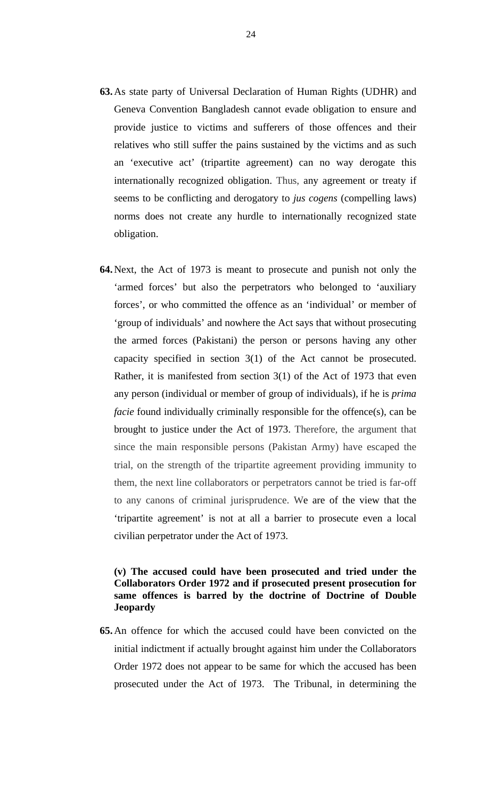- **63.**As state party of Universal Declaration of Human Rights (UDHR) and Geneva Convention Bangladesh cannot evade obligation to ensure and provide justice to victims and sufferers of those offences and their relatives who still suffer the pains sustained by the victims and as such an 'executive act' (tripartite agreement) can no way derogate this internationally recognized obligation. Thus, any agreement or treaty if seems to be conflicting and derogatory to *jus cogens* (compelling laws) norms does not create any hurdle to internationally recognized state obligation.
- **64.**Next, the Act of 1973 is meant to prosecute and punish not only the 'armed forces' but also the perpetrators who belonged to 'auxiliary forces', or who committed the offence as an 'individual' or member of 'group of individuals' and nowhere the Act says that without prosecuting the armed forces (Pakistani) the person or persons having any other capacity specified in section 3(1) of the Act cannot be prosecuted. Rather, it is manifested from section 3(1) of the Act of 1973 that even any person (individual or member of group of individuals), if he is *prima facie* found individually criminally responsible for the offence(s), can be brought to justice under the Act of 1973. Therefore, the argument that since the main responsible persons (Pakistan Army) have escaped the trial, on the strength of the tripartite agreement providing immunity to them, the next line collaborators or perpetrators cannot be tried is far-off to any canons of criminal jurisprudence. We are of the view that the 'tripartite agreement' is not at all a barrier to prosecute even a local civilian perpetrator under the Act of 1973.

# **(v) The accused could have been prosecuted and tried under the Collaborators Order 1972 and if prosecuted present prosecution for same offences is barred by the doctrine of Doctrine of Double Jeopardy**

**65.**An offence for which the accused could have been convicted on the initial indictment if actually brought against him under the Collaborators Order 1972 does not appear to be same for which the accused has been prosecuted under the Act of 1973. The Tribunal, in determining the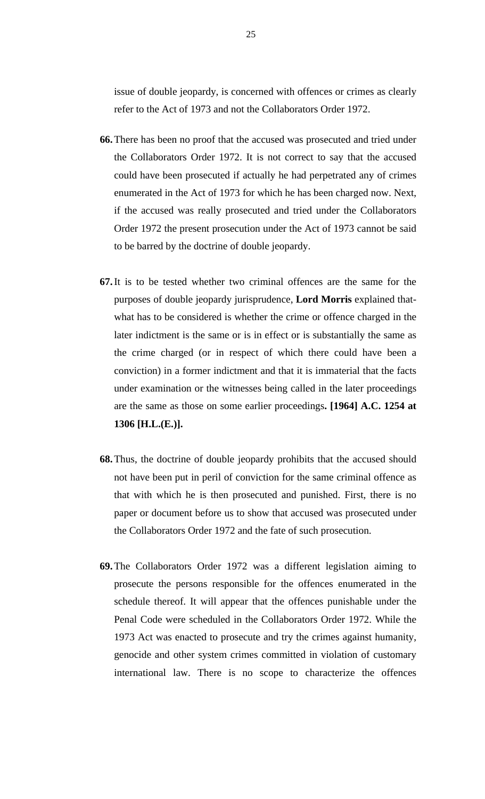issue of double jeopardy, is concerned with offences or crimes as clearly refer to the Act of 1973 and not the Collaborators Order 1972.

- **66.**There has been no proof that the accused was prosecuted and tried under the Collaborators Order 1972. It is not correct to say that the accused could have been prosecuted if actually he had perpetrated any of crimes enumerated in the Act of 1973 for which he has been charged now. Next, if the accused was really prosecuted and tried under the Collaborators Order 1972 the present prosecution under the Act of 1973 cannot be said to be barred by the doctrine of double jeopardy.
- **67.**It is to be tested whether two criminal offences are the same for the purposes of double jeopardy jurisprudence, **Lord Morris** explained thatwhat has to be considered is whether the crime or offence charged in the later indictment is the same or is in effect or is substantially the same as the crime charged (or in respect of which there could have been a conviction) in a former indictment and that it is immaterial that the facts under examination or the witnesses being called in the later proceedings are the same as those on some earlier proceedings**. [1964] A.C. 1254 at 1306 [H.L.(E.)].**
- **68.**Thus, the doctrine of double jeopardy prohibits that the accused should not have been put in peril of conviction for the same criminal offence as that with which he is then prosecuted and punished. First, there is no paper or document before us to show that accused was prosecuted under the Collaborators Order 1972 and the fate of such prosecution.
- **69.**The Collaborators Order 1972 was a different legislation aiming to prosecute the persons responsible for the offences enumerated in the schedule thereof. It will appear that the offences punishable under the Penal Code were scheduled in the Collaborators Order 1972. While the 1973 Act was enacted to prosecute and try the crimes against humanity, genocide and other system crimes committed in violation of customary international law. There is no scope to characterize the offences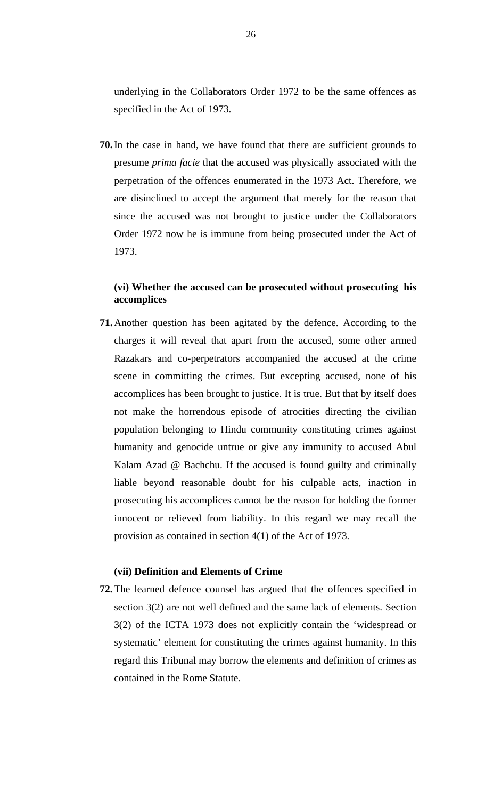underlying in the Collaborators Order 1972 to be the same offences as specified in the Act of 1973.

**70.**In the case in hand, we have found that there are sufficient grounds to presume *prima facie* that the accused was physically associated with the perpetration of the offences enumerated in the 1973 Act. Therefore, we are disinclined to accept the argument that merely for the reason that since the accused was not brought to justice under the Collaborators Order 1972 now he is immune from being prosecuted under the Act of 1973.

# **(vi) Whether the accused can be prosecuted without prosecuting his accomplices**

**71.**Another question has been agitated by the defence. According to the charges it will reveal that apart from the accused, some other armed Razakars and co-perpetrators accompanied the accused at the crime scene in committing the crimes. But excepting accused, none of his accomplices has been brought to justice. It is true. But that by itself does not make the horrendous episode of atrocities directing the civilian population belonging to Hindu community constituting crimes against humanity and genocide untrue or give any immunity to accused Abul Kalam Azad @ Bachchu. If the accused is found guilty and criminally liable beyond reasonable doubt for his culpable acts, inaction in prosecuting his accomplices cannot be the reason for holding the former innocent or relieved from liability. In this regard we may recall the provision as contained in section 4(1) of the Act of 1973.

## **(vii) Definition and Elements of Crime**

**72.**The learned defence counsel has argued that the offences specified in section 3(2) are not well defined and the same lack of elements. Section 3(2) of the ICTA 1973 does not explicitly contain the 'widespread or systematic' element for constituting the crimes against humanity. In this regard this Tribunal may borrow the elements and definition of crimes as contained in the Rome Statute.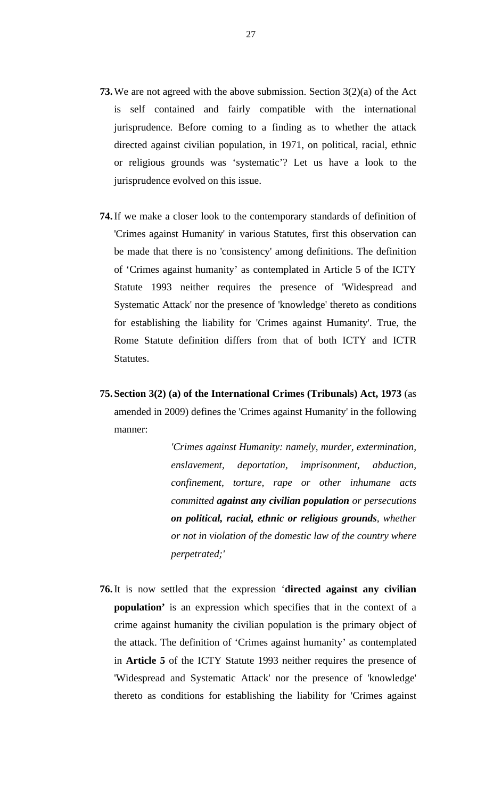- **73.**We are not agreed with the above submission. Section 3(2)(a) of the Act is self contained and fairly compatible with the international jurisprudence. Before coming to a finding as to whether the attack directed against civilian population, in 1971, on political, racial, ethnic or religious grounds was 'systematic'? Let us have a look to the jurisprudence evolved on this issue.
- **74.**If we make a closer look to the contemporary standards of definition of 'Crimes against Humanity' in various Statutes, first this observation can be made that there is no 'consistency' among definitions. The definition of 'Crimes against humanity' as contemplated in Article 5 of the ICTY Statute 1993 neither requires the presence of 'Widespread and Systematic Attack' nor the presence of 'knowledge' thereto as conditions for establishing the liability for 'Crimes against Humanity'. True, the Rome Statute definition differs from that of both ICTY and ICTR Statutes.
- **75.Section 3(2) (a) of the International Crimes (Tribunals) Act, 1973** (as amended in 2009) defines the 'Crimes against Humanity' in the following manner:

*'Crimes against Humanity: namely, murder, extermination, enslavement, deportation, imprisonment, abduction, confinement, torture, rape or other inhumane acts committed against any civilian population or persecutions on political, racial, ethnic or religious grounds, whether or not in violation of the domestic law of the country where perpetrated;'*

**76.**It is now settled that the expression '**directed against any civilian population'** is an expression which specifies that in the context of a crime against humanity the civilian population is the primary object of the attack. The definition of 'Crimes against humanity' as contemplated in **Article 5** of the ICTY Statute 1993 neither requires the presence of 'Widespread and Systematic Attack' nor the presence of 'knowledge' thereto as conditions for establishing the liability for 'Crimes against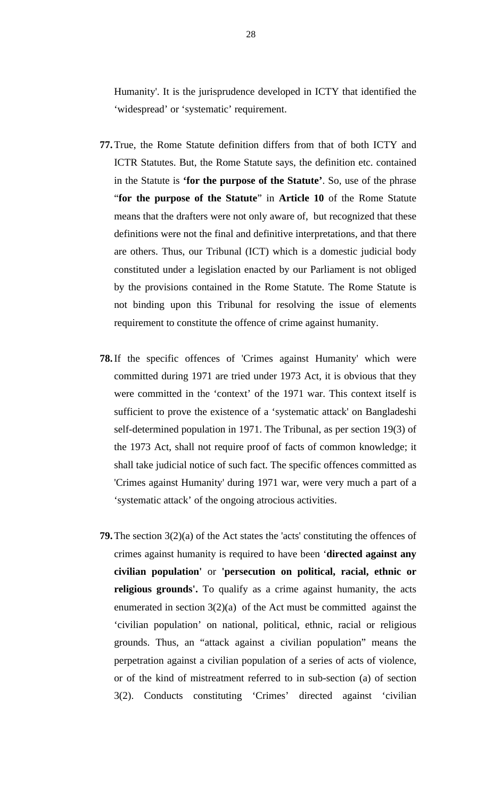Humanity'. It is the jurisprudence developed in ICTY that identified the 'widespread' or 'systematic' requirement.

- **77.**True, the Rome Statute definition differs from that of both ICTY and ICTR Statutes. But, the Rome Statute says, the definition etc. contained in the Statute is **'for the purpose of the Statute'**. So, use of the phrase "**for the purpose of the Statute**" in **Article 10** of the Rome Statute means that the drafters were not only aware of, but recognized that these definitions were not the final and definitive interpretations, and that there are others. Thus, our Tribunal (ICT) which is a domestic judicial body constituted under a legislation enacted by our Parliament is not obliged by the provisions contained in the Rome Statute. The Rome Statute is not binding upon this Tribunal for resolving the issue of elements requirement to constitute the offence of crime against humanity.
- **78.**If the specific offences of 'Crimes against Humanity' which were committed during 1971 are tried under 1973 Act, it is obvious that they were committed in the 'context' of the 1971 war. This context itself is sufficient to prove the existence of a 'systematic attack' on Bangladeshi self-determined population in 1971. The Tribunal, as per section 19(3) of the 1973 Act, shall not require proof of facts of common knowledge; it shall take judicial notice of such fact. The specific offences committed as 'Crimes against Humanity' during 1971 war, were very much a part of a 'systematic attack' of the ongoing atrocious activities.
- **79.**The section 3(2)(a) of the Act states the 'acts' constituting the offences of crimes against humanity is required to have been '**directed against any civilian population'** or **'persecution on political, racial, ethnic or religious grounds'.** To qualify as a crime against humanity, the acts enumerated in section  $3(2)(a)$  of the Act must be committed against the 'civilian population' on national, political, ethnic, racial or religious grounds. Thus, an "attack against a civilian population" means the perpetration against a civilian population of a series of acts of violence, or of the kind of mistreatment referred to in sub-section (a) of section 3(2). Conducts constituting 'Crimes' directed against 'civilian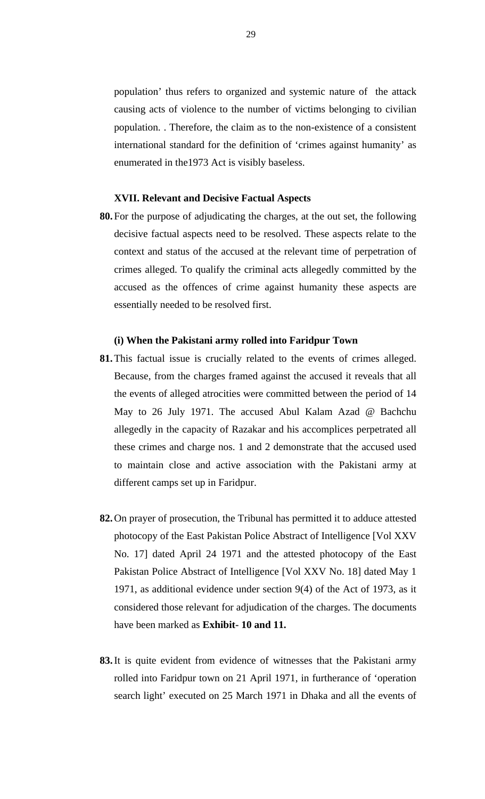population' thus refers to organized and systemic nature of the attack causing acts of violence to the number of victims belonging to civilian population. . Therefore, the claim as to the non-existence of a consistent international standard for the definition of 'crimes against humanity' as enumerated in the1973 Act is visibly baseless.

## **XVII. Relevant and Decisive Factual Aspects**

**80.**For the purpose of adjudicating the charges, at the out set, the following decisive factual aspects need to be resolved. These aspects relate to the context and status of the accused at the relevant time of perpetration of crimes alleged. To qualify the criminal acts allegedly committed by the accused as the offences of crime against humanity these aspects are essentially needed to be resolved first.

#### **(i) When the Pakistani army rolled into Faridpur Town**

- **81.**This factual issue is crucially related to the events of crimes alleged. Because, from the charges framed against the accused it reveals that all the events of alleged atrocities were committed between the period of 14 May to 26 July 1971. The accused Abul Kalam Azad @ Bachchu allegedly in the capacity of Razakar and his accomplices perpetrated all these crimes and charge nos. 1 and 2 demonstrate that the accused used to maintain close and active association with the Pakistani army at different camps set up in Faridpur.
- **82.**On prayer of prosecution, the Tribunal has permitted it to adduce attested photocopy of the East Pakistan Police Abstract of Intelligence [Vol XXV No. 17] dated April 24 1971 and the attested photocopy of the East Pakistan Police Abstract of Intelligence [Vol XXV No. 18] dated May 1 1971, as additional evidence under section 9(4) of the Act of 1973, as it considered those relevant for adjudication of the charges. The documents have been marked as **Exhibit- 10 and 11.**
- **83.**It is quite evident from evidence of witnesses that the Pakistani army rolled into Faridpur town on 21 April 1971, in furtherance of 'operation search light' executed on 25 March 1971 in Dhaka and all the events of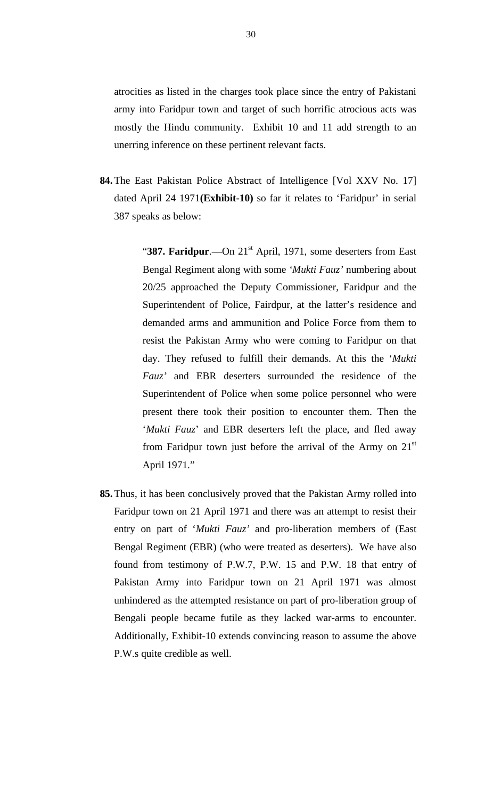atrocities as listed in the charges took place since the entry of Pakistani army into Faridpur town and target of such horrific atrocious acts was mostly the Hindu community. Exhibit 10 and 11 add strength to an unerring inference on these pertinent relevant facts.

**84.**The East Pakistan Police Abstract of Intelligence [Vol XXV No. 17] dated April 24 1971**(Exhibit-10)** so far it relates to 'Faridpur' in serial 387 speaks as below:

> "387. Faridpur.—On 21<sup>st</sup> April, 1971, some deserters from East Bengal Regiment along with some *'Mukti Fauz'* numbering about 20/25 approached the Deputy Commissioner, Faridpur and the Superintendent of Police, Fairdpur, at the latter's residence and demanded arms and ammunition and Police Force from them to resist the Pakistan Army who were coming to Faridpur on that day. They refused to fulfill their demands. At this the '*Mukti Fauz'* and EBR deserters surrounded the residence of the Superintendent of Police when some police personnel who were present there took their position to encounter them. Then the '*Mukti Fauz*' and EBR deserters left the place, and fled away from Faridpur town just before the arrival of the Army on  $21<sup>st</sup>$ April 1971."

**85.**Thus, it has been conclusively proved that the Pakistan Army rolled into Faridpur town on 21 April 1971 and there was an attempt to resist their entry on part of '*Mukti Fauz'* and pro-liberation members of (East Bengal Regiment (EBR) (who were treated as deserters). We have also found from testimony of P.W.7, P.W. 15 and P.W. 18 that entry of Pakistan Army into Faridpur town on 21 April 1971 was almost unhindered as the attempted resistance on part of pro-liberation group of Bengali people became futile as they lacked war-arms to encounter. Additionally, Exhibit-10 extends convincing reason to assume the above P.W.s quite credible as well.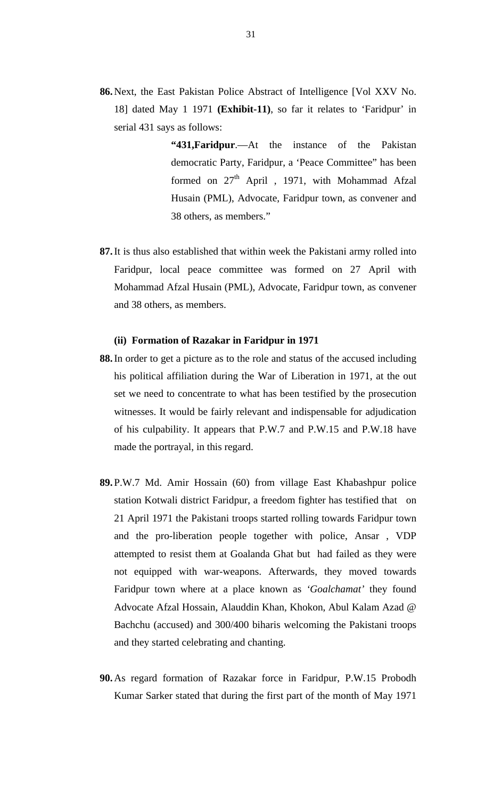- **86.**Next, the East Pakistan Police Abstract of Intelligence [Vol XXV No. 18] dated May 1 1971 **(Exhibit-11)**, so far it relates to 'Faridpur' in serial 431 says as follows:
	- **"431,Faridpur**.—At the instance of the Pakistan democratic Party, Faridpur, a 'Peace Committee" has been formed on  $27<sup>th</sup>$  April , 1971, with Mohammad Afzal Husain (PML), Advocate, Faridpur town, as convener and 38 others, as members."
- **87.**It is thus also established that within week the Pakistani army rolled into Faridpur, local peace committee was formed on 27 April with Mohammad Afzal Husain (PML), Advocate, Faridpur town, as convener and 38 others, as members.

#### **(ii) Formation of Razakar in Faridpur in 1971**

- **88.**In order to get a picture as to the role and status of the accused including his political affiliation during the War of Liberation in 1971, at the out set we need to concentrate to what has been testified by the prosecution witnesses. It would be fairly relevant and indispensable for adjudication of his culpability. It appears that P.W.7 and P.W.15 and P.W.18 have made the portrayal, in this regard.
- **89.**P.W.7 Md. Amir Hossain (60) from village East Khabashpur police station Kotwali district Faridpur, a freedom fighter has testified that on 21 April 1971 the Pakistani troops started rolling towards Faridpur town and the pro-liberation people together with police, Ansar , VDP attempted to resist them at Goalanda Ghat but had failed as they were not equipped with war-weapons. Afterwards, they moved towards Faridpur town where at a place known as *'Goalchamat'* they found Advocate Afzal Hossain, Alauddin Khan, Khokon, Abul Kalam Azad @ Bachchu (accused) and 300/400 biharis welcoming the Pakistani troops and they started celebrating and chanting.
- **90.**As regard formation of Razakar force in Faridpur, P.W.15 Probodh Kumar Sarker stated that during the first part of the month of May 1971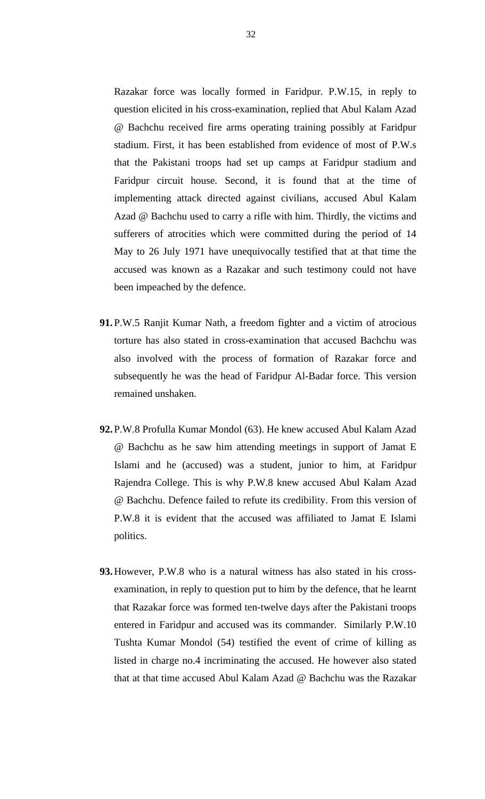Razakar force was locally formed in Faridpur. P.W.15, in reply to question elicited in his cross-examination, replied that Abul Kalam Azad @ Bachchu received fire arms operating training possibly at Faridpur stadium. First, it has been established from evidence of most of P.W.s that the Pakistani troops had set up camps at Faridpur stadium and Faridpur circuit house. Second, it is found that at the time of implementing attack directed against civilians, accused Abul Kalam Azad @ Bachchu used to carry a rifle with him. Thirdly, the victims and sufferers of atrocities which were committed during the period of 14 May to 26 July 1971 have unequivocally testified that at that time the accused was known as a Razakar and such testimony could not have been impeached by the defence.

- **91.**P.W.5 Ranjit Kumar Nath, a freedom fighter and a victim of atrocious torture has also stated in cross-examination that accused Bachchu was also involved with the process of formation of Razakar force and subsequently he was the head of Faridpur Al-Badar force. This version remained unshaken.
- **92.**P.W.8 Profulla Kumar Mondol (63). He knew accused Abul Kalam Azad @ Bachchu as he saw him attending meetings in support of Jamat E Islami and he (accused) was a student, junior to him, at Faridpur Rajendra College. This is why P.W.8 knew accused Abul Kalam Azad @ Bachchu. Defence failed to refute its credibility. From this version of P.W.8 it is evident that the accused was affiliated to Jamat E Islami politics.
- **93.**However, P.W.8 who is a natural witness has also stated in his crossexamination, in reply to question put to him by the defence, that he learnt that Razakar force was formed ten-twelve days after the Pakistani troops entered in Faridpur and accused was its commander. Similarly P.W.10 Tushta Kumar Mondol (54) testified the event of crime of killing as listed in charge no.4 incriminating the accused. He however also stated that at that time accused Abul Kalam Azad @ Bachchu was the Razakar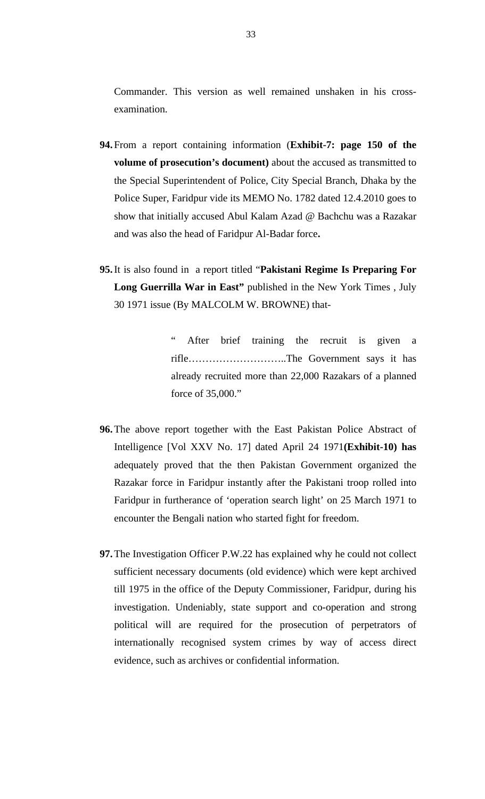Commander. This version as well remained unshaken in his crossexamination.

- **94.**From a report containing information (**Exhibit-7: page 150 of the volume of prosecution's document)** about the accused as transmitted to the Special Superintendent of Police, City Special Branch, Dhaka by the Police Super, Faridpur vide its MEMO No. 1782 dated 12.4.2010 goes to show that initially accused Abul Kalam Azad @ Bachchu was a Razakar and was also the head of Faridpur Al-Badar force**.**
- **95.**It is also found in a report titled "**Pakistani Regime Is Preparing For Long Guerrilla War in East"** published in the New York Times , July 30 1971 issue (By MALCOLM W. BROWNE) that-

After brief training the recruit is given a rifle………………………..The Government says it has already recruited more than 22,000 Razakars of a planned force of 35,000."

- **96.**The above report together with the East Pakistan Police Abstract of Intelligence [Vol XXV No. 17] dated April 24 1971**(Exhibit-10) has**  adequately proved that the then Pakistan Government organized the Razakar force in Faridpur instantly after the Pakistani troop rolled into Faridpur in furtherance of 'operation search light' on 25 March 1971 to encounter the Bengali nation who started fight for freedom.
- **97.**The Investigation Officer P.W.22 has explained why he could not collect sufficient necessary documents (old evidence) which were kept archived till 1975 in the office of the Deputy Commissioner, Faridpur, during his investigation. Undeniably, state support and co-operation and strong political will are required for the prosecution of perpetrators of internationally recognised system crimes by way of access direct evidence, such as archives or confidential information.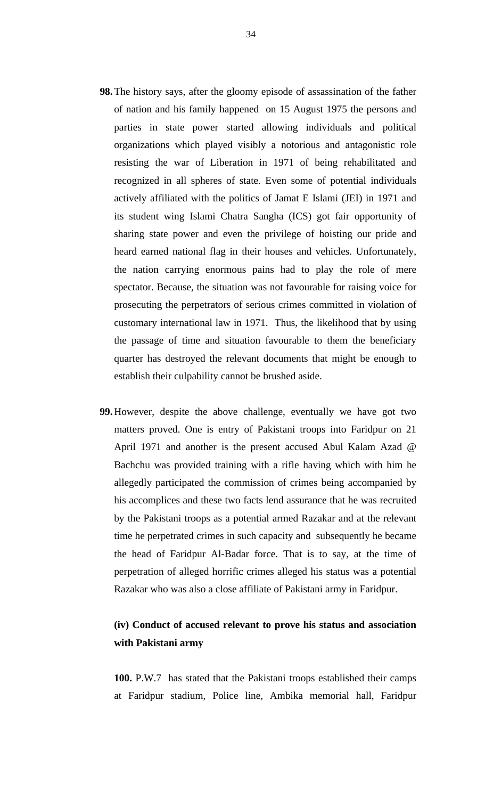- **98.**The history says, after the gloomy episode of assassination of the father of nation and his family happened on 15 August 1975 the persons and parties in state power started allowing individuals and political organizations which played visibly a notorious and antagonistic role resisting the war of Liberation in 1971 of being rehabilitated and recognized in all spheres of state. Even some of potential individuals actively affiliated with the politics of Jamat E Islami (JEI) in 1971 and its student wing Islami Chatra Sangha (ICS) got fair opportunity of sharing state power and even the privilege of hoisting our pride and heard earned national flag in their houses and vehicles. Unfortunately, the nation carrying enormous pains had to play the role of mere spectator. Because, the situation was not favourable for raising voice for prosecuting the perpetrators of serious crimes committed in violation of customary international law in 1971. Thus, the likelihood that by using the passage of time and situation favourable to them the beneficiary quarter has destroyed the relevant documents that might be enough to establish their culpability cannot be brushed aside.
- **99.**However, despite the above challenge, eventually we have got two matters proved. One is entry of Pakistani troops into Faridpur on 21 April 1971 and another is the present accused Abul Kalam Azad @ Bachchu was provided training with a rifle having which with him he allegedly participated the commission of crimes being accompanied by his accomplices and these two facts lend assurance that he was recruited by the Pakistani troops as a potential armed Razakar and at the relevant time he perpetrated crimes in such capacity and subsequently he became the head of Faridpur Al-Badar force. That is to say, at the time of perpetration of alleged horrific crimes alleged his status was a potential Razakar who was also a close affiliate of Pakistani army in Faridpur.

# **(iv) Conduct of accused relevant to prove his status and association with Pakistani army**

**100.** P.W.7 has stated that the Pakistani troops established their camps at Faridpur stadium, Police line, Ambika memorial hall, Faridpur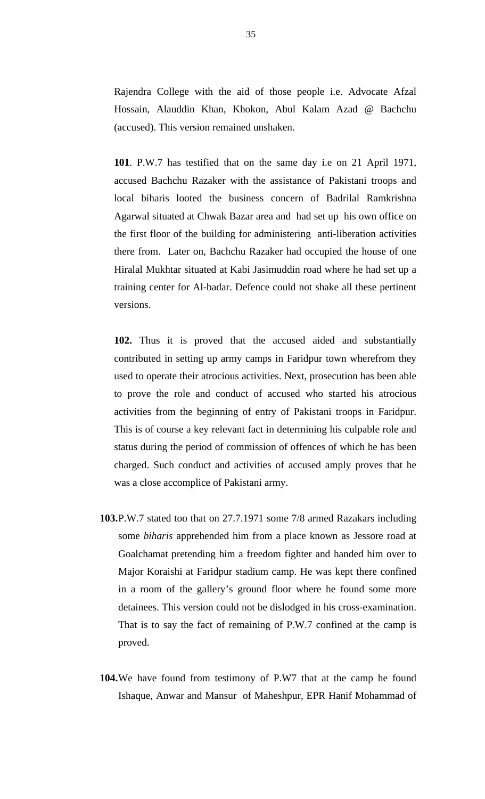Rajendra College with the aid of those people i.e. Advocate Afzal Hossain, Alauddin Khan, Khokon, Abul Kalam Azad @ Bachchu (accused). This version remained unshaken.

**101**. P.W.7 has testified that on the same day i.e on 21 April 1971, accused Bachchu Razaker with the assistance of Pakistani troops and local biharis looted the business concern of Badrilal Ramkrishna Agarwal situated at Chwak Bazar area and had set up his own office on the first floor of the building for administering anti-liberation activities there from. Later on, Bachchu Razaker had occupied the house of one Hiralal Mukhtar situated at Kabi Jasimuddin road where he had set up a training center for Al-badar. Defence could not shake all these pertinent versions.

**102.** Thus it is proved that the accused aided and substantially contributed in setting up army camps in Faridpur town wherefrom they used to operate their atrocious activities. Next, prosecution has been able to prove the role and conduct of accused who started his atrocious activities from the beginning of entry of Pakistani troops in Faridpur. This is of course a key relevant fact in determining his culpable role and status during the period of commission of offences of which he has been charged. Such conduct and activities of accused amply proves that he was a close accomplice of Pakistani army.

- **103.**P.W.7 stated too that on 27.7.1971 some 7/8 armed Razakars including some *biharis* apprehended him from a place known as Jessore road at Goalchamat pretending him a freedom fighter and handed him over to Major Koraishi at Faridpur stadium camp. He was kept there confined in a room of the gallery's ground floor where he found some more detainees. This version could not be dislodged in his cross-examination. That is to say the fact of remaining of P.W.7 confined at the camp is proved.
- **104.**We have found from testimony of P.W7 that at the camp he found Ishaque, Anwar and Mansur of Maheshpur, EPR Hanif Mohammad of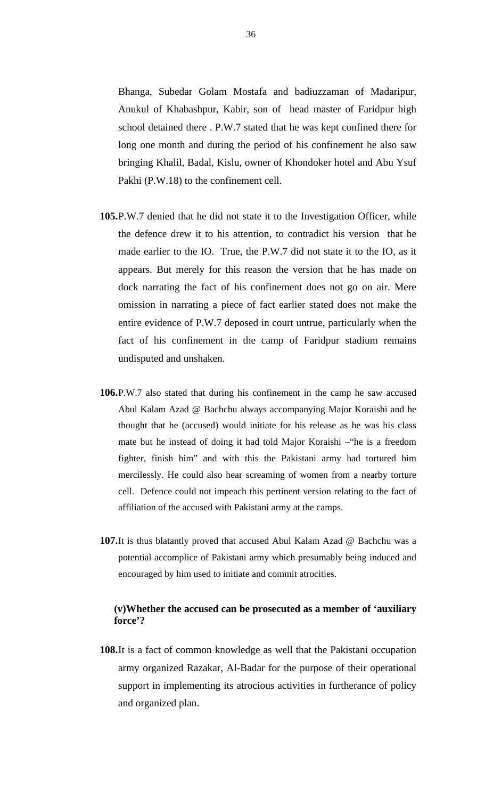Bhanga, Subedar Golam Mostafa and badiuzzaman of Madaripur, Anukul of Khabashpur, Kabir, son of head master of Faridpur high school detained there . P.W.7 stated that he was kept confined there for long one month and during the period of his confinement he also saw bringing Khalil, Badal, Kislu, owner of Khondoker hotel and Abu Ysuf Pakhi (P.W.18) to the confinement cell.

- **105.**P.W.7 denied that he did not state it to the Investigation Officer, while the defence drew it to his attention, to contradict his version that he made earlier to the IO. True, the P.W.7 did not state it to the IO, as it appears. But merely for this reason the version that he has made on dock narrating the fact of his confinement does not go on air. Mere omission in narrating a piece of fact earlier stated does not make the entire evidence of P.W.7 deposed in court untrue, particularly when the fact of his confinement in the camp of Faridpur stadium remains undisputed and unshaken.
- **106.**P.W.7 also stated that during his confinement in the camp he saw accused Abul Kalam Azad @ Bachchu always accompanying Major Koraishi and he thought that he (accused) would initiate for his release as he was his class mate but he instead of doing it had told Major Koraishi –"he is a freedom fighter, finish him" and with this the Pakistani army had tortured him mercilessly. He could also hear screaming of women from a nearby torture cell. Defence could not impeach this pertinent version relating to the fact of affiliation of the accused with Pakistani army at the camps.
- **107.**It is thus blatantly proved that accused Abul Kalam Azad @ Bachchu was a potential accomplice of Pakistani army which presumably being induced and encouraged by him used to initiate and commit atrocities.

# **(v)Whether the accused can be prosecuted as a member of 'auxiliary force'?**

**108.**It is a fact of common knowledge as well that the Pakistani occupation army organized Razakar, Al-Badar for the purpose of their operational support in implementing its atrocious activities in furtherance of policy and organized plan.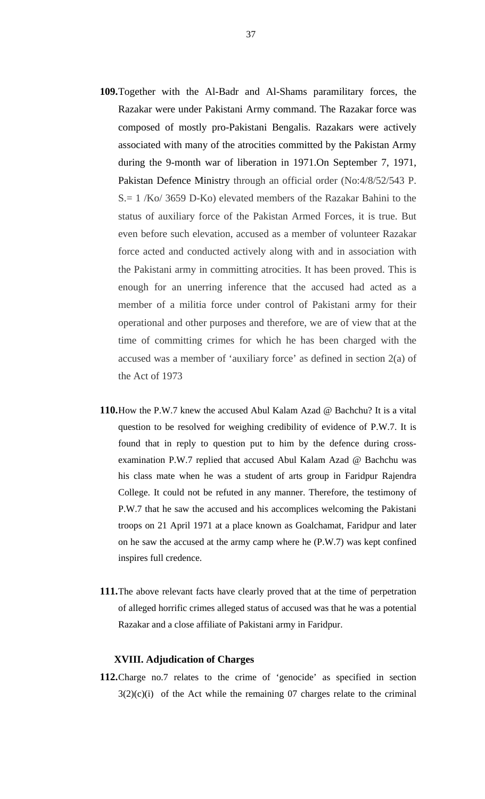- **109.**Together with the Al-Badr and Al-Shams paramilitary forces, the Razakar were under Pakistani Army command. The Razakar force was composed of mostly pro-Pakistani Bengalis. Razakars were actively associated with many of the atrocities committed by the Pakistan Army during the 9-month war of liberation in 1971.On September 7, 1971, Pakistan Defence Ministry through an official order (No:4/8/52/543 P. S.= 1 /Ko/ 3659 D-Ko) elevated members of the Razakar Bahini to the status of auxiliary force of the Pakistan Armed Forces, it is true. But even before such elevation, accused as a member of volunteer Razakar force acted and conducted actively along with and in association with the Pakistani army in committing atrocities. It has been proved. This is enough for an unerring inference that the accused had acted as a member of a militia force under control of Pakistani army for their operational and other purposes and therefore, we are of view that at the time of committing crimes for which he has been charged with the accused was a member of 'auxiliary force' as defined in section 2(a) of the Act of 1973
- **110.**How the P.W.7 knew the accused Abul Kalam Azad @ Bachchu? It is a vital question to be resolved for weighing credibility of evidence of P.W.7. It is found that in reply to question put to him by the defence during crossexamination P.W.7 replied that accused Abul Kalam Azad @ Bachchu was his class mate when he was a student of arts group in Faridpur Rajendra College. It could not be refuted in any manner. Therefore, the testimony of P.W.7 that he saw the accused and his accomplices welcoming the Pakistani troops on 21 April 1971 at a place known as Goalchamat, Faridpur and later on he saw the accused at the army camp where he (P.W.7) was kept confined inspires full credence.
- **111.**The above relevant facts have clearly proved that at the time of perpetration of alleged horrific crimes alleged status of accused was that he was a potential Razakar and a close affiliate of Pakistani army in Faridpur.

### **XVIII. Adjudication of Charges**

**112.**Charge no.7 relates to the crime of 'genocide' as specified in section  $3(2)(c)(i)$  of the Act while the remaining 07 charges relate to the criminal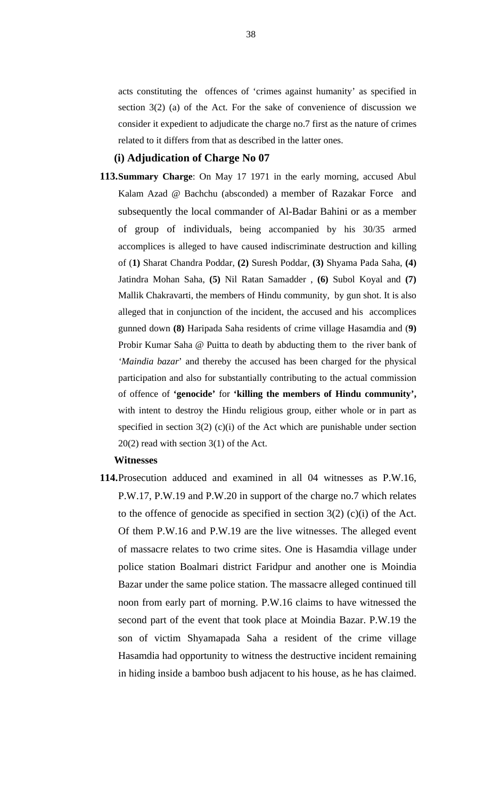acts constituting the offences of 'crimes against humanity' as specified in section 3(2) (a) of the Act. For the sake of convenience of discussion we consider it expedient to adjudicate the charge no.7 first as the nature of crimes related to it differs from that as described in the latter ones.

### **(i) Adjudication of Charge No 07**

**113.Summary Charge**: On May 17 1971 in the early morning, accused Abul Kalam Azad @ Bachchu (absconded) a member of Razakar Force and subsequently the local commander of Al-Badar Bahini or as a member of group of individuals, being accompanied by his 30/35 armed accomplices is alleged to have caused indiscriminate destruction and killing of (**1)** Sharat Chandra Poddar, **(2)** Suresh Poddar, **(3)** Shyama Pada Saha, **(4)** Jatindra Mohan Saha, **(5)** Nil Ratan Samadder , **(6)** Subol Koyal and **(7)** Mallik Chakravarti, the members of Hindu community, by gun shot. It is also alleged that in conjunction of the incident, the accused and his accomplices gunned down **(8)** Haripada Saha residents of crime village Hasamdia and (**9)** Probir Kumar Saha @ Puitta to death by abducting them to the river bank of *'Maindia bazar*' and thereby the accused has been charged for the physical participation and also for substantially contributing to the actual commission of offence of **'genocide'** for **'killing the members of Hindu community',** with intent to destroy the Hindu religious group, either whole or in part as specified in section  $3(2)$  (c)(i) of the Act which are punishable under section 20(2) read with section 3(1) of the Act.

### **Witnesses**

**114.**Prosecution adduced and examined in all 04 witnesses as P.W.16, P.W.17, P.W.19 and P.W.20 in support of the charge no.7 which relates to the offence of genocide as specified in section  $3(2)$  (c)(i) of the Act. Of them P.W.16 and P.W.19 are the live witnesses. The alleged event of massacre relates to two crime sites. One is Hasamdia village under police station Boalmari district Faridpur and another one is Moindia Bazar under the same police station. The massacre alleged continued till noon from early part of morning. P.W.16 claims to have witnessed the second part of the event that took place at Moindia Bazar. P.W.19 the son of victim Shyamapada Saha a resident of the crime village Hasamdia had opportunity to witness the destructive incident remaining in hiding inside a bamboo bush adjacent to his house, as he has claimed.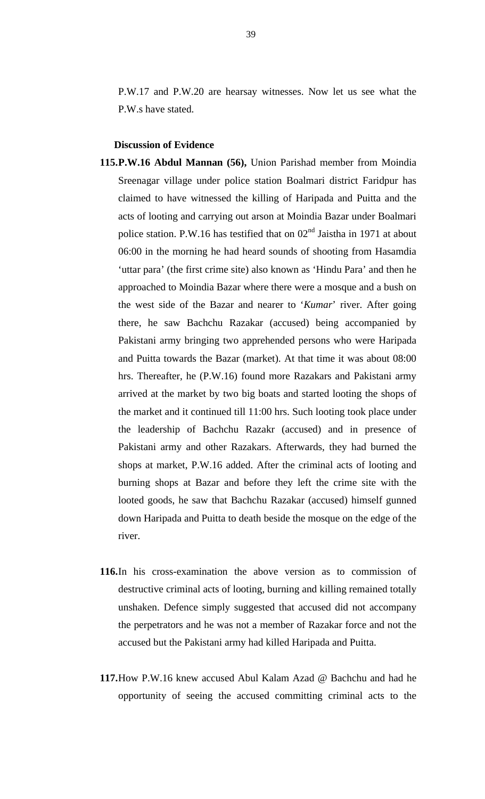P.W.17 and P.W.20 are hearsay witnesses. Now let us see what the P.W.s have stated.

# **Discussion of Evidence**

- **115.P.W.16 Abdul Mannan (56),** Union Parishad member from Moindia Sreenagar village under police station Boalmari district Faridpur has claimed to have witnessed the killing of Haripada and Puitta and the acts of looting and carrying out arson at Moindia Bazar under Boalmari police station. P.W.16 has testified that on  $02<sup>nd</sup>$  Jaistha in 1971 at about 06:00 in the morning he had heard sounds of shooting from Hasamdia 'uttar para' (the first crime site) also known as 'Hindu Para' and then he approached to Moindia Bazar where there were a mosque and a bush on the west side of the Bazar and nearer to '*Kumar*' river. After going there, he saw Bachchu Razakar (accused) being accompanied by Pakistani army bringing two apprehended persons who were Haripada and Puitta towards the Bazar (market). At that time it was about 08:00 hrs. Thereafter, he (P.W.16) found more Razakars and Pakistani army arrived at the market by two big boats and started looting the shops of the market and it continued till 11:00 hrs. Such looting took place under the leadership of Bachchu Razakr (accused) and in presence of Pakistani army and other Razakars. Afterwards, they had burned the shops at market, P.W.16 added. After the criminal acts of looting and burning shops at Bazar and before they left the crime site with the looted goods, he saw that Bachchu Razakar (accused) himself gunned down Haripada and Puitta to death beside the mosque on the edge of the river.
- **116.**In his cross-examination the above version as to commission of destructive criminal acts of looting, burning and killing remained totally unshaken. Defence simply suggested that accused did not accompany the perpetrators and he was not a member of Razakar force and not the accused but the Pakistani army had killed Haripada and Puitta.
- **117.**How P.W.16 knew accused Abul Kalam Azad @ Bachchu and had he opportunity of seeing the accused committing criminal acts to the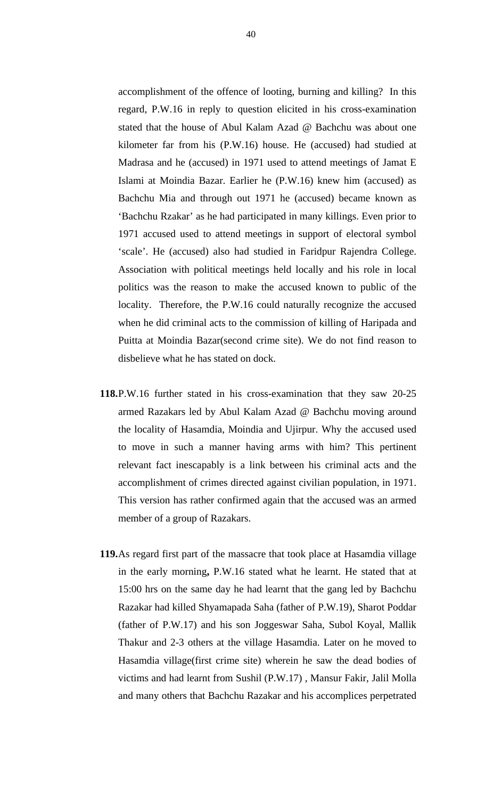accomplishment of the offence of looting, burning and killing? In this regard, P.W.16 in reply to question elicited in his cross-examination stated that the house of Abul Kalam Azad @ Bachchu was about one kilometer far from his (P.W.16) house. He (accused) had studied at Madrasa and he (accused) in 1971 used to attend meetings of Jamat E Islami at Moindia Bazar. Earlier he (P.W.16) knew him (accused) as Bachchu Mia and through out 1971 he (accused) became known as 'Bachchu Rzakar' as he had participated in many killings. Even prior to 1971 accused used to attend meetings in support of electoral symbol 'scale'. He (accused) also had studied in Faridpur Rajendra College. Association with political meetings held locally and his role in local politics was the reason to make the accused known to public of the locality. Therefore, the P.W.16 could naturally recognize the accused when he did criminal acts to the commission of killing of Haripada and Puitta at Moindia Bazar(second crime site). We do not find reason to disbelieve what he has stated on dock.

- **118.**P.W.16 further stated in his cross-examination that they saw 20-25 armed Razakars led by Abul Kalam Azad @ Bachchu moving around the locality of Hasamdia, Moindia and Ujirpur. Why the accused used to move in such a manner having arms with him? This pertinent relevant fact inescapably is a link between his criminal acts and the accomplishment of crimes directed against civilian population, in 1971. This version has rather confirmed again that the accused was an armed member of a group of Razakars.
- **119.**As regard first part of the massacre that took place at Hasamdia village in the early morning**,** P.W.16 stated what he learnt. He stated that at 15:00 hrs on the same day he had learnt that the gang led by Bachchu Razakar had killed Shyamapada Saha (father of P.W.19), Sharot Poddar (father of P.W.17) and his son Joggeswar Saha, Subol Koyal, Mallik Thakur and 2-3 others at the village Hasamdia. Later on he moved to Hasamdia village(first crime site) wherein he saw the dead bodies of victims and had learnt from Sushil (P.W.17) , Mansur Fakir, Jalil Molla and many others that Bachchu Razakar and his accomplices perpetrated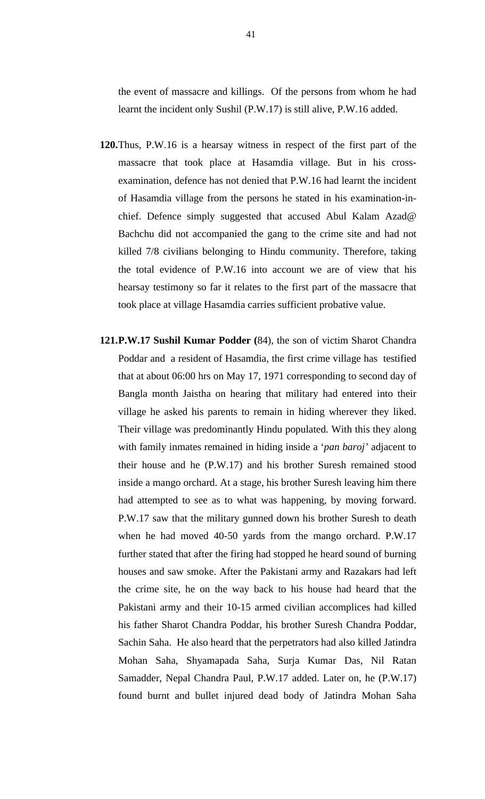the event of massacre and killings. Of the persons from whom he had learnt the incident only Sushil (P.W.17) is still alive, P.W.16 added.

- **120.**Thus, P.W.16 is a hearsay witness in respect of the first part of the massacre that took place at Hasamdia village. But in his crossexamination, defence has not denied that P.W.16 had learnt the incident of Hasamdia village from the persons he stated in his examination-inchief. Defence simply suggested that accused Abul Kalam Azad@ Bachchu did not accompanied the gang to the crime site and had not killed 7/8 civilians belonging to Hindu community. Therefore, taking the total evidence of P.W.16 into account we are of view that his hearsay testimony so far it relates to the first part of the massacre that took place at village Hasamdia carries sufficient probative value.
- **121.P.W.17 Sushil Kumar Podder (**84), the son of victim Sharot Chandra Poddar and a resident of Hasamdia, the first crime village has testified that at about 06:00 hrs on May 17, 1971 corresponding to second day of Bangla month Jaistha on hearing that military had entered into their village he asked his parents to remain in hiding wherever they liked. Their village was predominantly Hindu populated. With this they along with family inmates remained in hiding inside a '*pan baroj'* adjacent to their house and he (P.W.17) and his brother Suresh remained stood inside a mango orchard. At a stage, his brother Suresh leaving him there had attempted to see as to what was happening, by moving forward. P.W.17 saw that the military gunned down his brother Suresh to death when he had moved 40-50 yards from the mango orchard. P.W.17 further stated that after the firing had stopped he heard sound of burning houses and saw smoke. After the Pakistani army and Razakars had left the crime site, he on the way back to his house had heard that the Pakistani army and their 10-15 armed civilian accomplices had killed his father Sharot Chandra Poddar, his brother Suresh Chandra Poddar, Sachin Saha. He also heard that the perpetrators had also killed Jatindra Mohan Saha, Shyamapada Saha, Surja Kumar Das, Nil Ratan Samadder, Nepal Chandra Paul, P.W.17 added. Later on, he (P.W.17) found burnt and bullet injured dead body of Jatindra Mohan Saha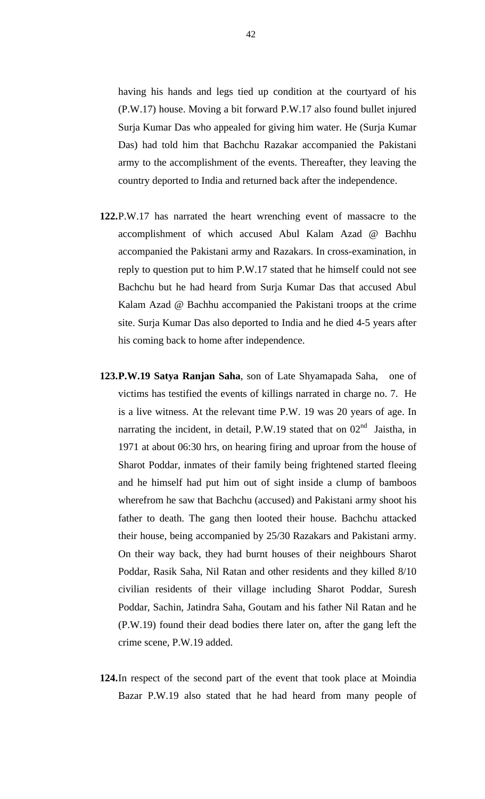having his hands and legs tied up condition at the courtyard of his (P.W.17) house. Moving a bit forward P.W.17 also found bullet injured Surja Kumar Das who appealed for giving him water. He (Surja Kumar Das) had told him that Bachchu Razakar accompanied the Pakistani army to the accomplishment of the events. Thereafter, they leaving the country deported to India and returned back after the independence.

- **122.**P.W.17 has narrated the heart wrenching event of massacre to the accomplishment of which accused Abul Kalam Azad @ Bachhu accompanied the Pakistani army and Razakars. In cross-examination, in reply to question put to him P.W.17 stated that he himself could not see Bachchu but he had heard from Surja Kumar Das that accused Abul Kalam Azad @ Bachhu accompanied the Pakistani troops at the crime site. Surja Kumar Das also deported to India and he died 4-5 years after his coming back to home after independence.
- **123.P.W.19 Satya Ranjan Saha**, son of Late Shyamapada Saha, one of victims has testified the events of killings narrated in charge no. 7. He is a live witness. At the relevant time P.W. 19 was 20 years of age. In narrating the incident, in detail, P.W.19 stated that on  $02<sup>nd</sup>$  Jaistha, in 1971 at about 06:30 hrs, on hearing firing and uproar from the house of Sharot Poddar, inmates of their family being frightened started fleeing and he himself had put him out of sight inside a clump of bamboos wherefrom he saw that Bachchu (accused) and Pakistani army shoot his father to death. The gang then looted their house. Bachchu attacked their house, being accompanied by 25/30 Razakars and Pakistani army. On their way back, they had burnt houses of their neighbours Sharot Poddar, Rasik Saha, Nil Ratan and other residents and they killed 8/10 civilian residents of their village including Sharot Poddar, Suresh Poddar, Sachin, Jatindra Saha, Goutam and his father Nil Ratan and he (P.W.19) found their dead bodies there later on, after the gang left the crime scene, P.W.19 added.
- **124.**In respect of the second part of the event that took place at Moindia Bazar P.W.19 also stated that he had heard from many people of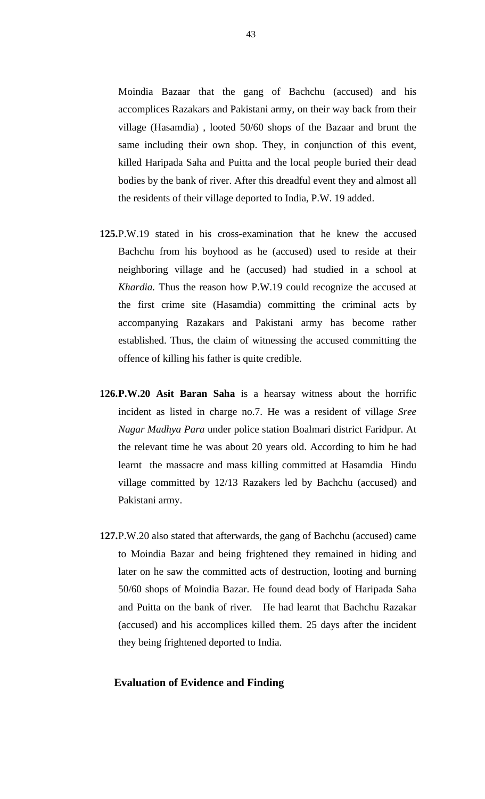Moindia Bazaar that the gang of Bachchu (accused) and his accomplices Razakars and Pakistani army, on their way back from their village (Hasamdia) , looted 50/60 shops of the Bazaar and brunt the same including their own shop. They, in conjunction of this event, killed Haripada Saha and Puitta and the local people buried their dead bodies by the bank of river. After this dreadful event they and almost all the residents of their village deported to India, P.W. 19 added.

- **125.**P.W.19 stated in his cross-examination that he knew the accused Bachchu from his boyhood as he (accused) used to reside at their neighboring village and he (accused) had studied in a school at *Khardia.* Thus the reason how P.W.19 could recognize the accused at the first crime site (Hasamdia) committing the criminal acts by accompanying Razakars and Pakistani army has become rather established. Thus, the claim of witnessing the accused committing the offence of killing his father is quite credible.
- **126.P.W.20 Asit Baran Saha** is a hearsay witness about the horrific incident as listed in charge no.7. He was a resident of village *Sree Nagar Madhya Para* under police station Boalmari district Faridpur. At the relevant time he was about 20 years old. According to him he had learnt the massacre and mass killing committed at Hasamdia Hindu village committed by 12/13 Razakers led by Bachchu (accused) and Pakistani army.
- **127.**P.W.20 also stated that afterwards, the gang of Bachchu (accused) came to Moindia Bazar and being frightened they remained in hiding and later on he saw the committed acts of destruction, looting and burning 50/60 shops of Moindia Bazar. He found dead body of Haripada Saha and Puitta on the bank of river. He had learnt that Bachchu Razakar (accused) and his accomplices killed them. 25 days after the incident they being frightened deported to India.

### **Evaluation of Evidence and Finding**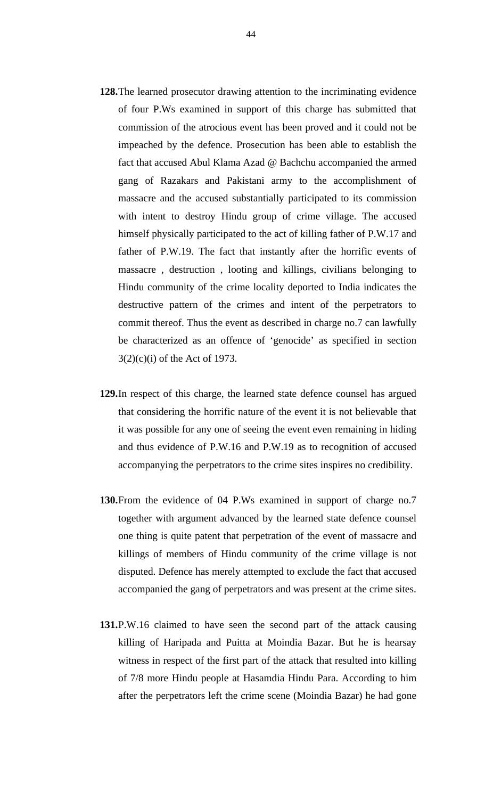- **128.**The learned prosecutor drawing attention to the incriminating evidence of four P.Ws examined in support of this charge has submitted that commission of the atrocious event has been proved and it could not be impeached by the defence. Prosecution has been able to establish the fact that accused Abul Klama Azad @ Bachchu accompanied the armed gang of Razakars and Pakistani army to the accomplishment of massacre and the accused substantially participated to its commission with intent to destroy Hindu group of crime village. The accused himself physically participated to the act of killing father of P.W.17 and father of P.W.19. The fact that instantly after the horrific events of massacre , destruction , looting and killings, civilians belonging to Hindu community of the crime locality deported to India indicates the destructive pattern of the crimes and intent of the perpetrators to commit thereof. Thus the event as described in charge no.7 can lawfully be characterized as an offence of 'genocide' as specified in section 3(2)(c)(i) of the Act of 1973.
- **129.**In respect of this charge, the learned state defence counsel has argued that considering the horrific nature of the event it is not believable that it was possible for any one of seeing the event even remaining in hiding and thus evidence of P.W.16 and P.W.19 as to recognition of accused accompanying the perpetrators to the crime sites inspires no credibility.
- **130.**From the evidence of 04 P.Ws examined in support of charge no.7 together with argument advanced by the learned state defence counsel one thing is quite patent that perpetration of the event of massacre and killings of members of Hindu community of the crime village is not disputed. Defence has merely attempted to exclude the fact that accused accompanied the gang of perpetrators and was present at the crime sites.
- **131.**P.W.16 claimed to have seen the second part of the attack causing killing of Haripada and Puitta at Moindia Bazar. But he is hearsay witness in respect of the first part of the attack that resulted into killing of 7/8 more Hindu people at Hasamdia Hindu Para. According to him after the perpetrators left the crime scene (Moindia Bazar) he had gone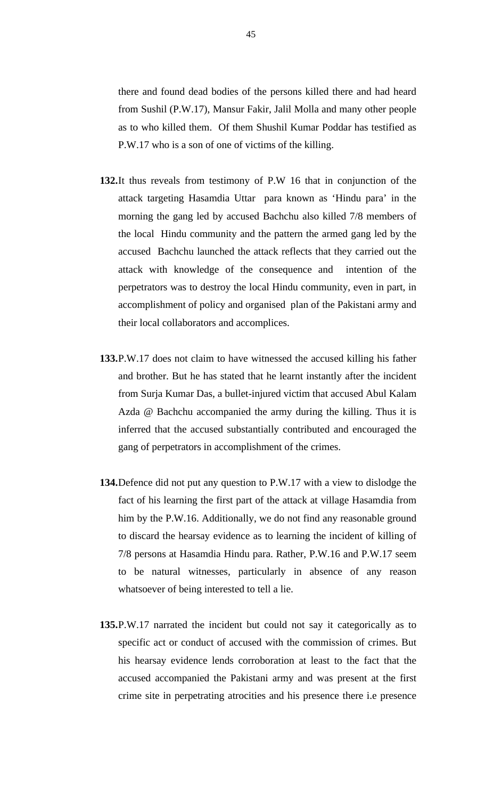there and found dead bodies of the persons killed there and had heard from Sushil (P.W.17), Mansur Fakir, Jalil Molla and many other people as to who killed them. Of them Shushil Kumar Poddar has testified as P.W.17 who is a son of one of victims of the killing.

- **132.**It thus reveals from testimony of P.W 16 that in conjunction of the attack targeting Hasamdia Uttar para known as 'Hindu para' in the morning the gang led by accused Bachchu also killed 7/8 members of the local Hindu community and the pattern the armed gang led by the accused Bachchu launched the attack reflects that they carried out the attack with knowledge of the consequence and intention of the perpetrators was to destroy the local Hindu community, even in part, in accomplishment of policy and organised plan of the Pakistani army and their local collaborators and accomplices.
- **133.**P.W.17 does not claim to have witnessed the accused killing his father and brother. But he has stated that he learnt instantly after the incident from Surja Kumar Das, a bullet-injured victim that accused Abul Kalam Azda @ Bachchu accompanied the army during the killing. Thus it is inferred that the accused substantially contributed and encouraged the gang of perpetrators in accomplishment of the crimes.
- **134.**Defence did not put any question to P.W.17 with a view to dislodge the fact of his learning the first part of the attack at village Hasamdia from him by the P.W.16. Additionally, we do not find any reasonable ground to discard the hearsay evidence as to learning the incident of killing of 7/8 persons at Hasamdia Hindu para. Rather, P.W.16 and P.W.17 seem to be natural witnesses, particularly in absence of any reason whatsoever of being interested to tell a lie.
- **135.**P.W.17 narrated the incident but could not say it categorically as to specific act or conduct of accused with the commission of crimes. But his hearsay evidence lends corroboration at least to the fact that the accused accompanied the Pakistani army and was present at the first crime site in perpetrating atrocities and his presence there i.e presence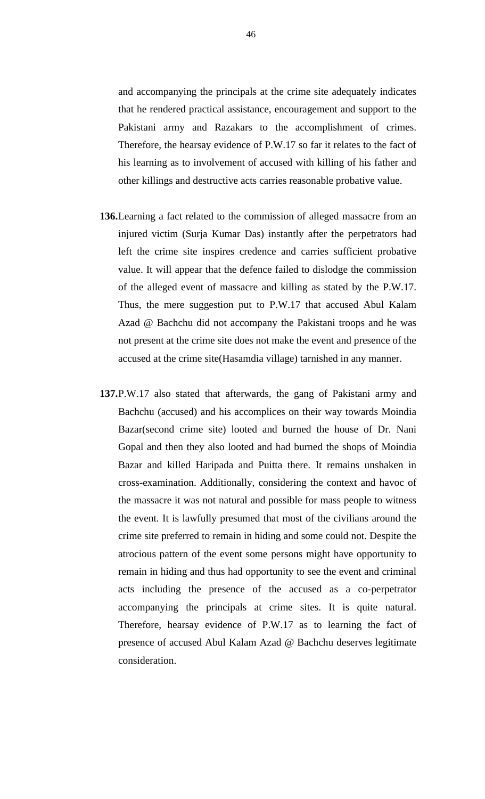and accompanying the principals at the crime site adequately indicates that he rendered practical assistance, encouragement and support to the Pakistani army and Razakars to the accomplishment of crimes. Therefore, the hearsay evidence of P.W.17 so far it relates to the fact of his learning as to involvement of accused with killing of his father and other killings and destructive acts carries reasonable probative value.

- **136.**Learning a fact related to the commission of alleged massacre from an injured victim (Surja Kumar Das) instantly after the perpetrators had left the crime site inspires credence and carries sufficient probative value. It will appear that the defence failed to dislodge the commission of the alleged event of massacre and killing as stated by the P.W.17. Thus, the mere suggestion put to P.W.17 that accused Abul Kalam Azad @ Bachchu did not accompany the Pakistani troops and he was not present at the crime site does not make the event and presence of the accused at the crime site(Hasamdia village) tarnished in any manner.
- **137.**P.W.17 also stated that afterwards, the gang of Pakistani army and Bachchu (accused) and his accomplices on their way towards Moindia Bazar(second crime site) looted and burned the house of Dr. Nani Gopal and then they also looted and had burned the shops of Moindia Bazar and killed Haripada and Puitta there. It remains unshaken in cross-examination. Additionally, considering the context and havoc of the massacre it was not natural and possible for mass people to witness the event. It is lawfully presumed that most of the civilians around the crime site preferred to remain in hiding and some could not. Despite the atrocious pattern of the event some persons might have opportunity to remain in hiding and thus had opportunity to see the event and criminal acts including the presence of the accused as a co-perpetrator accompanying the principals at crime sites. It is quite natural. Therefore, hearsay evidence of P.W.17 as to learning the fact of presence of accused Abul Kalam Azad @ Bachchu deserves legitimate consideration.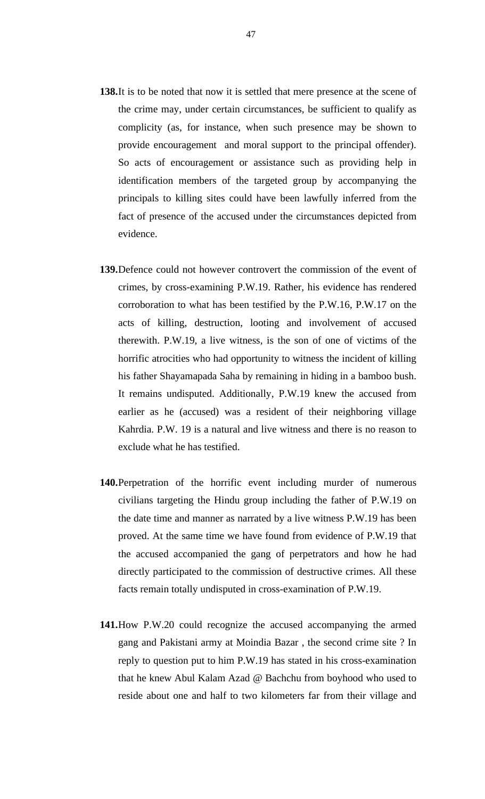- **138.**It is to be noted that now it is settled that mere presence at the scene of the crime may, under certain circumstances, be sufficient to qualify as complicity (as, for instance, when such presence may be shown to provide encouragement and moral support to the principal offender). So acts of encouragement or assistance such as providing help in identification members of the targeted group by accompanying the principals to killing sites could have been lawfully inferred from the fact of presence of the accused under the circumstances depicted from evidence.
- **139.**Defence could not however controvert the commission of the event of crimes, by cross-examining P.W.19. Rather, his evidence has rendered corroboration to what has been testified by the P.W.16, P.W.17 on the acts of killing, destruction, looting and involvement of accused therewith. P.W.19, a live witness, is the son of one of victims of the horrific atrocities who had opportunity to witness the incident of killing his father Shayamapada Saha by remaining in hiding in a bamboo bush. It remains undisputed. Additionally, P.W.19 knew the accused from earlier as he (accused) was a resident of their neighboring village Kahrdia. P.W. 19 is a natural and live witness and there is no reason to exclude what he has testified.
- **140.**Perpetration of the horrific event including murder of numerous civilians targeting the Hindu group including the father of P.W.19 on the date time and manner as narrated by a live witness P.W.19 has been proved. At the same time we have found from evidence of P.W.19 that the accused accompanied the gang of perpetrators and how he had directly participated to the commission of destructive crimes. All these facts remain totally undisputed in cross-examination of P.W.19.
- **141.**How P.W.20 could recognize the accused accompanying the armed gang and Pakistani army at Moindia Bazar , the second crime site ? In reply to question put to him P.W.19 has stated in his cross-examination that he knew Abul Kalam Azad @ Bachchu from boyhood who used to reside about one and half to two kilometers far from their village and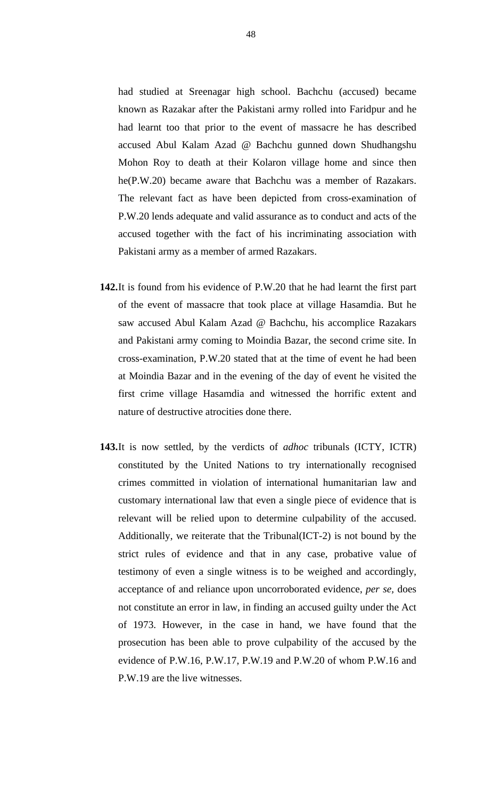had studied at Sreenagar high school. Bachchu (accused) became known as Razakar after the Pakistani army rolled into Faridpur and he had learnt too that prior to the event of massacre he has described accused Abul Kalam Azad @ Bachchu gunned down Shudhangshu Mohon Roy to death at their Kolaron village home and since then he(P.W.20) became aware that Bachchu was a member of Razakars. The relevant fact as have been depicted from cross-examination of P.W.20 lends adequate and valid assurance as to conduct and acts of the accused together with the fact of his incriminating association with Pakistani army as a member of armed Razakars.

- **142.**It is found from his evidence of P.W.20 that he had learnt the first part of the event of massacre that took place at village Hasamdia. But he saw accused Abul Kalam Azad @ Bachchu, his accomplice Razakars and Pakistani army coming to Moindia Bazar, the second crime site. In cross-examination, P.W.20 stated that at the time of event he had been at Moindia Bazar and in the evening of the day of event he visited the first crime village Hasamdia and witnessed the horrific extent and nature of destructive atrocities done there.
- **143.**It is now settled, by the verdicts of *adhoc* tribunals (ICTY, ICTR) constituted by the United Nations to try internationally recognised crimes committed in violation of international humanitarian law and customary international law that even a single piece of evidence that is relevant will be relied upon to determine culpability of the accused. Additionally, we reiterate that the Tribunal(ICT-2) is not bound by the strict rules of evidence and that in any case, probative value of testimony of even a single witness is to be weighed and accordingly, acceptance of and reliance upon uncorroborated evidence, *per se,* does not constitute an error in law, in finding an accused guilty under the Act of 1973. However, in the case in hand, we have found that the prosecution has been able to prove culpability of the accused by the evidence of P.W.16, P.W.17, P.W.19 and P.W.20 of whom P.W.16 and P.W.19 are the live witnesses.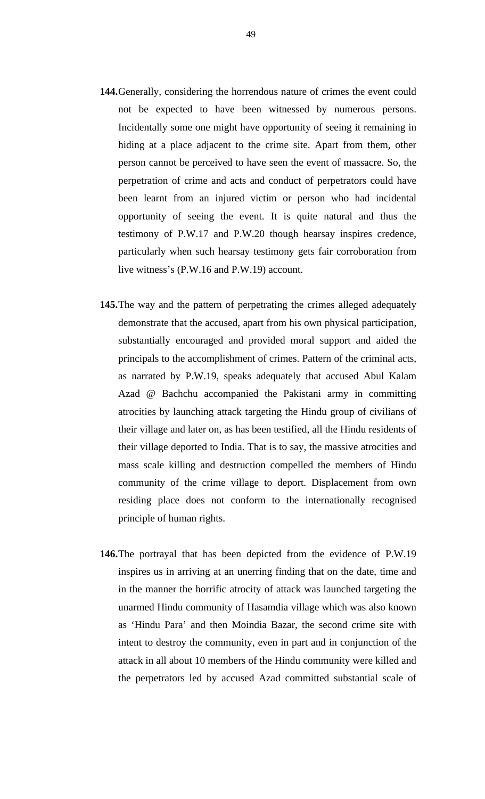- **144.**Generally, considering the horrendous nature of crimes the event could not be expected to have been witnessed by numerous persons. Incidentally some one might have opportunity of seeing it remaining in hiding at a place adjacent to the crime site. Apart from them, other person cannot be perceived to have seen the event of massacre. So, the perpetration of crime and acts and conduct of perpetrators could have been learnt from an injured victim or person who had incidental opportunity of seeing the event. It is quite natural and thus the testimony of P.W.17 and P.W.20 though hearsay inspires credence, particularly when such hearsay testimony gets fair corroboration from live witness's (P.W.16 and P.W.19) account.
- **145.**The way and the pattern of perpetrating the crimes alleged adequately demonstrate that the accused, apart from his own physical participation, substantially encouraged and provided moral support and aided the principals to the accomplishment of crimes. Pattern of the criminal acts, as narrated by P.W.19, speaks adequately that accused Abul Kalam Azad @ Bachchu accompanied the Pakistani army in committing atrocities by launching attack targeting the Hindu group of civilians of their village and later on, as has been testified, all the Hindu residents of their village deported to India. That is to say, the massive atrocities and mass scale killing and destruction compelled the members of Hindu community of the crime village to deport. Displacement from own residing place does not conform to the internationally recognised principle of human rights.
- **146.**The portrayal that has been depicted from the evidence of P.W.19 inspires us in arriving at an unerring finding that on the date, time and in the manner the horrific atrocity of attack was launched targeting the unarmed Hindu community of Hasamdia village which was also known as 'Hindu Para' and then Moindia Bazar, the second crime site with intent to destroy the community, even in part and in conjunction of the attack in all about 10 members of the Hindu community were killed and the perpetrators led by accused Azad committed substantial scale of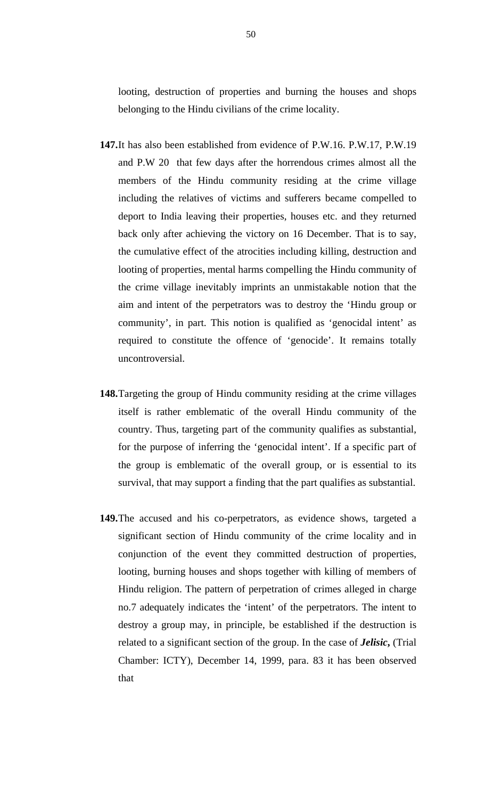looting, destruction of properties and burning the houses and shops belonging to the Hindu civilians of the crime locality.

- **147.**It has also been established from evidence of P.W.16. P.W.17, P.W.19 and P.W 20 that few days after the horrendous crimes almost all the members of the Hindu community residing at the crime village including the relatives of victims and sufferers became compelled to deport to India leaving their properties, houses etc. and they returned back only after achieving the victory on 16 December. That is to say, the cumulative effect of the atrocities including killing, destruction and looting of properties, mental harms compelling the Hindu community of the crime village inevitably imprints an unmistakable notion that the aim and intent of the perpetrators was to destroy the 'Hindu group or community', in part. This notion is qualified as 'genocidal intent' as required to constitute the offence of 'genocide'. It remains totally uncontroversial.
- **148.**Targeting the group of Hindu community residing at the crime villages itself is rather emblematic of the overall Hindu community of the country. Thus, targeting part of the community qualifies as substantial, for the purpose of inferring the 'genocidal intent'. If a specific part of the group is emblematic of the overall group, or is essential to its survival, that may support a finding that the part qualifies as substantial.
- **149.**The accused and his co-perpetrators, as evidence shows, targeted a significant section of Hindu community of the crime locality and in conjunction of the event they committed destruction of properties, looting, burning houses and shops together with killing of members of Hindu religion. The pattern of perpetration of crimes alleged in charge no.7 adequately indicates the 'intent' of the perpetrators. The intent to destroy a group may, in principle, be established if the destruction is related to a significant section of the group. In the case of *Jelisic***,** (Trial Chamber: ICTY), December 14, 1999, para. 83 it has been observed that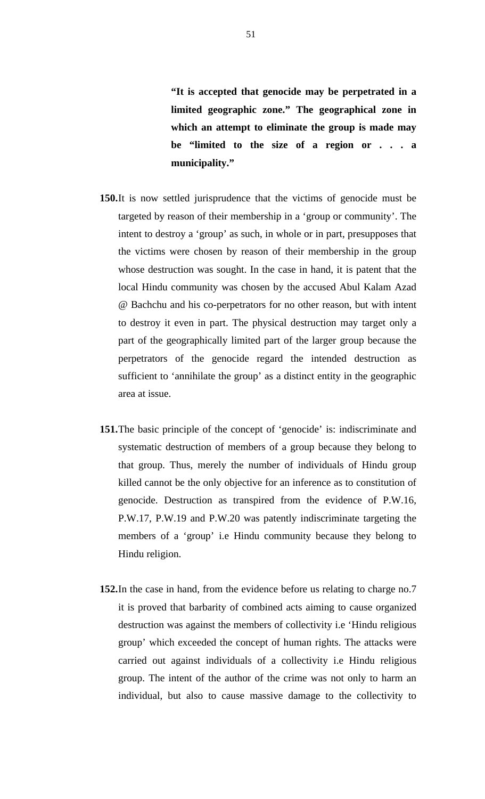**"It is accepted that genocide may be perpetrated in a limited geographic zone." The geographical zone in which an attempt to eliminate the group is made may be "limited to the size of a region or . . . a municipality."**

- **150.**It is now settled jurisprudence that the victims of genocide must be targeted by reason of their membership in a 'group or community'. The intent to destroy a 'group' as such, in whole or in part, presupposes that the victims were chosen by reason of their membership in the group whose destruction was sought. In the case in hand, it is patent that the local Hindu community was chosen by the accused Abul Kalam Azad @ Bachchu and his co-perpetrators for no other reason, but with intent to destroy it even in part. The physical destruction may target only a part of the geographically limited part of the larger group because the perpetrators of the genocide regard the intended destruction as sufficient to 'annihilate the group' as a distinct entity in the geographic area at issue.
- **151.**The basic principle of the concept of 'genocide' is: indiscriminate and systematic destruction of members of a group because they belong to that group. Thus, merely the number of individuals of Hindu group killed cannot be the only objective for an inference as to constitution of genocide. Destruction as transpired from the evidence of P.W.16, P.W.17, P.W.19 and P.W.20 was patently indiscriminate targeting the members of a 'group' i.e Hindu community because they belong to Hindu religion.
- **152.**In the case in hand, from the evidence before us relating to charge no.7 it is proved that barbarity of combined acts aiming to cause organized destruction was against the members of collectivity i.e 'Hindu religious group' which exceeded the concept of human rights. The attacks were carried out against individuals of a collectivity i.e Hindu religious group. The intent of the author of the crime was not only to harm an individual, but also to cause massive damage to the collectivity to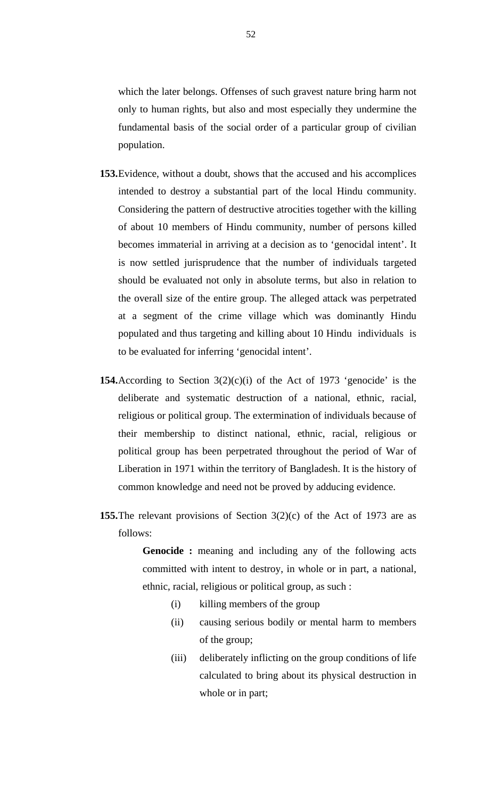which the later belongs. Offenses of such gravest nature bring harm not only to human rights, but also and most especially they undermine the fundamental basis of the social order of a particular group of civilian population.

- **153.**Evidence, without a doubt, shows that the accused and his accomplices intended to destroy a substantial part of the local Hindu community. Considering the pattern of destructive atrocities together with the killing of about 10 members of Hindu community, number of persons killed becomes immaterial in arriving at a decision as to 'genocidal intent'. It is now settled jurisprudence that the number of individuals targeted should be evaluated not only in absolute terms, but also in relation to the overall size of the entire group. The alleged attack was perpetrated at a segment of the crime village which was dominantly Hindu populated and thus targeting and killing about 10 Hindu individuals is to be evaluated for inferring 'genocidal intent'.
- **154.**According to Section  $3(2)(c)(i)$  of the Act of 1973 'genocide' is the deliberate and systematic destruction of a national, ethnic, racial, religious or political group. The extermination of individuals because of their membership to distinct national, ethnic, racial, religious or political group has been perpetrated throughout the period of War of Liberation in 1971 within the territory of Bangladesh. It is the history of common knowledge and need not be proved by adducing evidence.
- **155.**The relevant provisions of Section 3(2)(c) of the Act of 1973 are as follows:

**Genocide :** meaning and including any of the following acts committed with intent to destroy, in whole or in part, a national, ethnic, racial, religious or political group, as such :

- (i) killing members of the group
- (ii) causing serious bodily or mental harm to members of the group;
- (iii) deliberately inflicting on the group conditions of life calculated to bring about its physical destruction in whole or in part;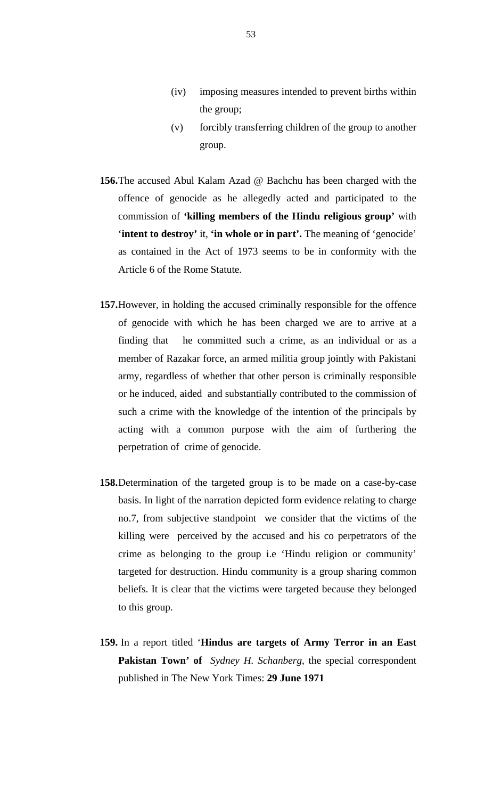- (iv) imposing measures intended to prevent births within the group;
- (v) forcibly transferring children of the group to another group.
- **156.**The accused Abul Kalam Azad @ Bachchu has been charged with the offence of genocide as he allegedly acted and participated to the commission of **'killing members of the Hindu religious group'** with '**intent to destroy'** it, **'in whole or in part'.** The meaning of 'genocide' as contained in the Act of 1973 seems to be in conformity with the Article 6 of the Rome Statute.
- **157.**However, in holding the accused criminally responsible for the offence of genocide with which he has been charged we are to arrive at a finding that he committed such a crime, as an individual or as a member of Razakar force, an armed militia group jointly with Pakistani army, regardless of whether that other person is criminally responsible or he induced, aided and substantially contributed to the commission of such a crime with the knowledge of the intention of the principals by acting with a common purpose with the aim of furthering the perpetration of crime of genocide.
- **158.**Determination of the targeted group is to be made on a case-by-case basis. In light of the narration depicted form evidence relating to charge no.7, from subjective standpoint we consider that the victims of the killing were perceived by the accused and his co perpetrators of the crime as belonging to the group i.e 'Hindu religion or community' targeted for destruction. Hindu community is a group sharing common beliefs. It is clear that the victims were targeted because they belonged to this group.
- **159.** In a report titled '**Hindus are targets of Army Terror in an East Pakistan Town' of** *Sydney H. Schanberg*, the special correspondent published in The New York Times: **29 June 1971**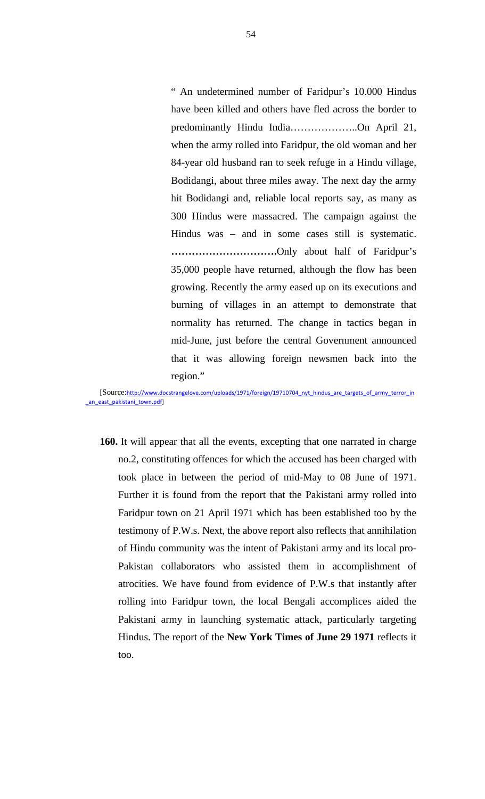" An undetermined number of Faridpur's 10.000 Hindus have been killed and others have fled across the border to predominantly Hindu India………………..On April 21, when the army rolled into Faridpur, the old woman and her 84-year old husband ran to seek refuge in a Hindu village, Bodidangi, about three miles away. The next day the army hit Bodidangi and, reliable local reports say, as many as 300 Hindus were massacred. The campaign against the Hindus was – and in some cases still is systematic. **………………………….**Only about half of Faridpur's 35,000 people have returned, although the flow has been growing. Recently the army eased up on its executions and burning of villages in an attempt to demonstrate that normality has returned. The change in tactics began in mid-June, just before the central Government announced that it was allowing foreign newsmen back into the region."

[Source:http://www.docstrangelove.com/uploads/1971/foreign/19710704\_nyt\_hindus\_are\_targets\_of\_army\_terror\_in an\_east\_pakistani\_town.pdf]

**160.** It will appear that all the events, excepting that one narrated in charge no.2, constituting offences for which the accused has been charged with took place in between the period of mid-May to 08 June of 1971. Further it is found from the report that the Pakistani army rolled into Faridpur town on 21 April 1971 which has been established too by the testimony of P.W.s. Next, the above report also reflects that annihilation of Hindu community was the intent of Pakistani army and its local pro-Pakistan collaborators who assisted them in accomplishment of atrocities. We have found from evidence of P.W.s that instantly after rolling into Faridpur town, the local Bengali accomplices aided the Pakistani army in launching systematic attack, particularly targeting Hindus. The report of the **New York Times of June 29 1971** reflects it too.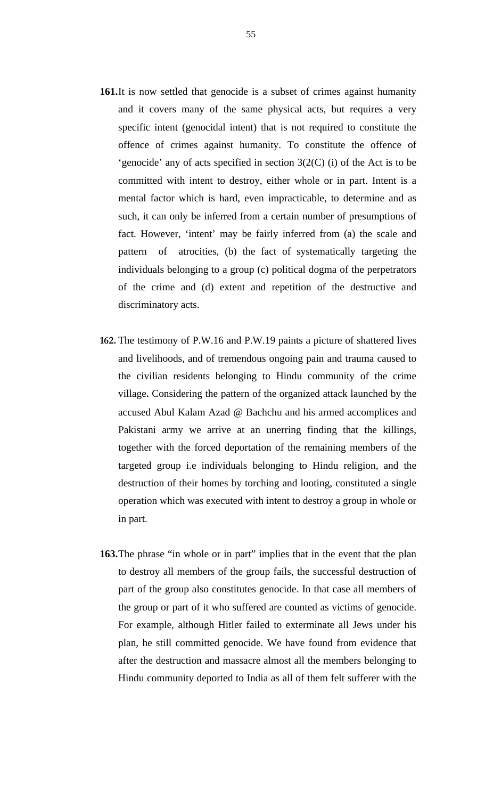- 161.It is now settled that genocide is a subset of crimes against humanity and it covers many of the same physical acts, but requires a very specific intent (genocidal intent) that is not required to constitute the offence of crimes against humanity. To constitute the offence of 'genocide' any of acts specified in section 3(2(C) (i) of the Act is to be committed with intent to destroy, either whole or in part. Intent is a mental factor which is hard, even impracticable, to determine and as such, it can only be inferred from a certain number of presumptions of fact. However, 'intent' may be fairly inferred from (a) the scale and pattern of atrocities, (b) the fact of systematically targeting the individuals belonging to a group (c) political dogma of the perpetrators of the crime and (d) extent and repetition of the destructive and discriminatory acts.
- **162.** The testimony of P.W.16 and P.W.19 paints a picture of shattered lives and livelihoods, and of tremendous ongoing pain and trauma caused to the civilian residents belonging to Hindu community of the crime village**.** Considering the pattern of the organized attack launched by the accused Abul Kalam Azad @ Bachchu and his armed accomplices and Pakistani army we arrive at an unerring finding that the killings, together with the forced deportation of the remaining members of the targeted group i.e individuals belonging to Hindu religion, and the destruction of their homes by torching and looting, constituted a single operation which was executed with intent to destroy a group in whole or in part.
- **163.**The phrase "in whole or in part" implies that in the event that the plan to destroy all members of the group fails, the successful destruction of part of the group also constitutes genocide. In that case all members of the group or part of it who suffered are counted as victims of genocide. For example, although Hitler failed to exterminate all Jews under his plan, he still committed genocide. We have found from evidence that after the destruction and massacre almost all the members belonging to Hindu community deported to India as all of them felt sufferer with the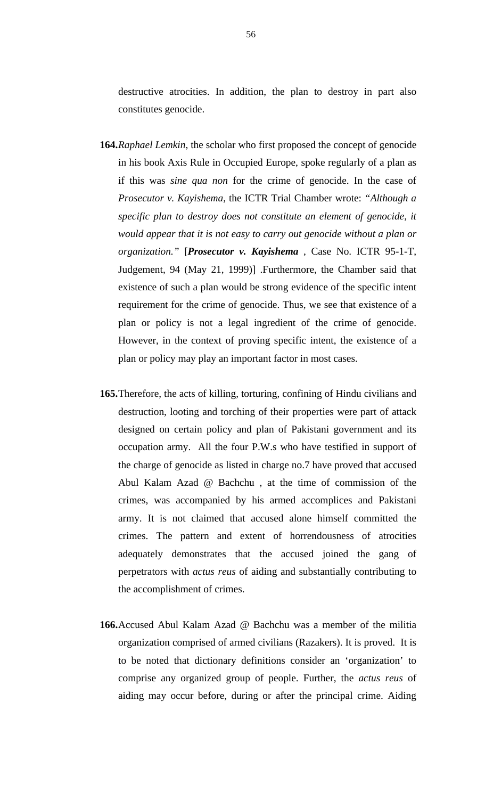destructive atrocities. In addition, the plan to destroy in part also constitutes genocide.

- **164.***Raphael Lemkin*, the scholar who first proposed the concept of genocide in his book Axis Rule in Occupied Europe, spoke regularly of a plan as if this was *sine qua non* for the crime of genocide. In the case of *Prosecutor v. Kayishema*, the ICTR Trial Chamber wrote: *"Although a specific plan to destroy does not constitute an element of genocide, it would appear that it is not easy to carry out genocide without a plan or organization."* [*Prosecutor v. Kayishema* , Case No. ICTR 95-1-T, Judgement, 94 (May 21, 1999)] .Furthermore, the Chamber said that existence of such a plan would be strong evidence of the specific intent requirement for the crime of genocide. Thus, we see that existence of a plan or policy is not a legal ingredient of the crime of genocide. However, in the context of proving specific intent, the existence of a plan or policy may play an important factor in most cases.
- **165.**Therefore, the acts of killing, torturing, confining of Hindu civilians and destruction, looting and torching of their properties were part of attack designed on certain policy and plan of Pakistani government and its occupation army. All the four P.W.s who have testified in support of the charge of genocide as listed in charge no.7 have proved that accused Abul Kalam Azad @ Bachchu , at the time of commission of the crimes, was accompanied by his armed accomplices and Pakistani army. It is not claimed that accused alone himself committed the crimes. The pattern and extent of horrendousness of atrocities adequately demonstrates that the accused joined the gang of perpetrators with *actus reus* of aiding and substantially contributing to the accomplishment of crimes.
- **166.**Accused Abul Kalam Azad @ Bachchu was a member of the militia organization comprised of armed civilians (Razakers). It is proved. It is to be noted that dictionary definitions consider an 'organization' to comprise any organized group of people. Further, the *actus reus* of aiding may occur before, during or after the principal crime. Aiding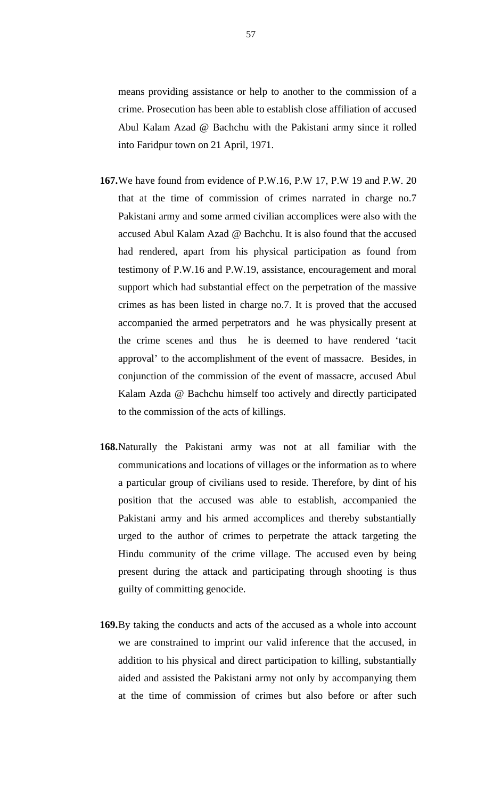means providing assistance or help to another to the commission of a crime. Prosecution has been able to establish close affiliation of accused Abul Kalam Azad @ Bachchu with the Pakistani army since it rolled into Faridpur town on 21 April, 1971.

- **167.**We have found from evidence of P.W.16, P.W 17, P.W 19 and P.W. 20 that at the time of commission of crimes narrated in charge no.7 Pakistani army and some armed civilian accomplices were also with the accused Abul Kalam Azad @ Bachchu. It is also found that the accused had rendered, apart from his physical participation as found from testimony of P.W.16 and P.W.19, assistance, encouragement and moral support which had substantial effect on the perpetration of the massive crimes as has been listed in charge no.7. It is proved that the accused accompanied the armed perpetrators and he was physically present at the crime scenes and thus he is deemed to have rendered 'tacit approval' to the accomplishment of the event of massacre. Besides, in conjunction of the commission of the event of massacre, accused Abul Kalam Azda @ Bachchu himself too actively and directly participated to the commission of the acts of killings.
- **168.**Naturally the Pakistani army was not at all familiar with the communications and locations of villages or the information as to where a particular group of civilians used to reside. Therefore, by dint of his position that the accused was able to establish, accompanied the Pakistani army and his armed accomplices and thereby substantially urged to the author of crimes to perpetrate the attack targeting the Hindu community of the crime village. The accused even by being present during the attack and participating through shooting is thus guilty of committing genocide.
- **169.**By taking the conducts and acts of the accused as a whole into account we are constrained to imprint our valid inference that the accused, in addition to his physical and direct participation to killing, substantially aided and assisted the Pakistani army not only by accompanying them at the time of commission of crimes but also before or after such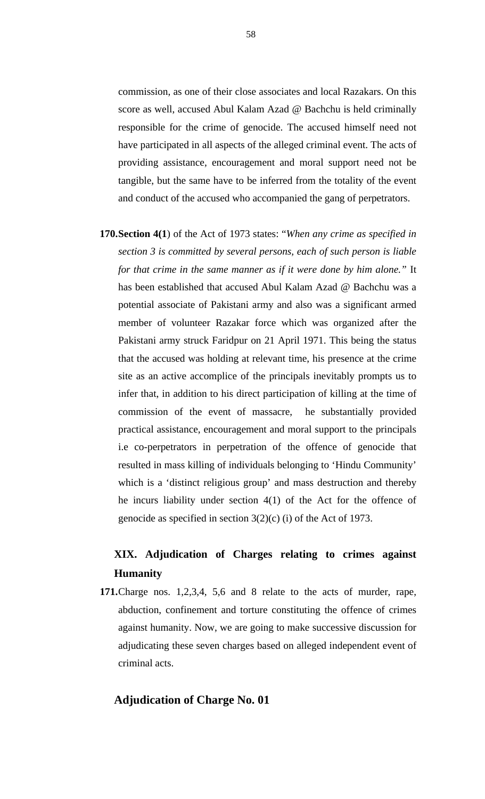commission, as one of their close associates and local Razakars. On this score as well, accused Abul Kalam Azad @ Bachchu is held criminally responsible for the crime of genocide. The accused himself need not have participated in all aspects of the alleged criminal event. The acts of providing assistance, encouragement and moral support need not be tangible, but the same have to be inferred from the totality of the event and conduct of the accused who accompanied the gang of perpetrators.

**170.Section 4(1**) of the Act of 1973 states: "*When any crime as specified in section 3 is committed by several persons, each of such person is liable for that crime in the same manner as if it were done by him alone."* It has been established that accused Abul Kalam Azad @ Bachchu was a potential associate of Pakistani army and also was a significant armed member of volunteer Razakar force which was organized after the Pakistani army struck Faridpur on 21 April 1971. This being the status that the accused was holding at relevant time, his presence at the crime site as an active accomplice of the principals inevitably prompts us to infer that, in addition to his direct participation of killing at the time of commission of the event of massacre, he substantially provided practical assistance, encouragement and moral support to the principals i.e co-perpetrators in perpetration of the offence of genocide that resulted in mass killing of individuals belonging to 'Hindu Community' which is a 'distinct religious group' and mass destruction and thereby he incurs liability under section 4(1) of the Act for the offence of genocide as specified in section 3(2)(c) (i) of the Act of 1973.

# **XIX. Adjudication of Charges relating to crimes against Humanity**

**171.**Charge nos. 1,2,3,4, 5,6 and 8 relate to the acts of murder, rape, abduction, confinement and torture constituting the offence of crimes against humanity. Now, we are going to make successive discussion for adjudicating these seven charges based on alleged independent event of criminal acts.

# **Adjudication of Charge No. 01**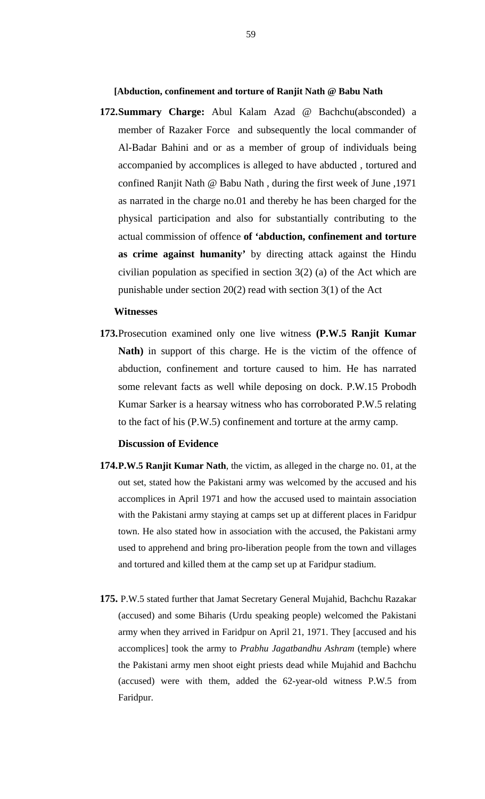**[Abduction, confinement and torture of Ranjit Nath @ Babu Nath** 

**172.Summary Charge:** Abul Kalam Azad @ Bachchu(absconded) a member of Razaker Force and subsequently the local commander of Al-Badar Bahini and or as a member of group of individuals being accompanied by accomplices is alleged to have abducted , tortured and confined Ranjit Nath @ Babu Nath , during the first week of June ,1971 as narrated in the charge no.01 and thereby he has been charged for the physical participation and also for substantially contributing to the actual commission of offence **of 'abduction, confinement and torture as crime against humanity'** by directing attack against the Hindu civilian population as specified in section 3(2) (a) of the Act which are punishable under section 20(2) read with section 3(1) of the Act

#### **Witnesses**

**173.**Prosecution examined only one live witness **(P.W.5 Ranjit Kumar Nath)** in support of this charge. He is the victim of the offence of abduction, confinement and torture caused to him. He has narrated some relevant facts as well while deposing on dock. P.W.15 Probodh Kumar Sarker is a hearsay witness who has corroborated P.W.5 relating to the fact of his (P.W.5) confinement and torture at the army camp.

#### **Discussion of Evidence**

- **174.P.W.5 Ranjit Kumar Nath**, the victim, as alleged in the charge no. 01, at the out set, stated how the Pakistani army was welcomed by the accused and his accomplices in April 1971 and how the accused used to maintain association with the Pakistani army staying at camps set up at different places in Faridpur town. He also stated how in association with the accused, the Pakistani army used to apprehend and bring pro-liberation people from the town and villages and tortured and killed them at the camp set up at Faridpur stadium.
- **175.** P.W.5 stated further that Jamat Secretary General Mujahid, Bachchu Razakar (accused) and some Biharis (Urdu speaking people) welcomed the Pakistani army when they arrived in Faridpur on April 21, 1971. They [accused and his accomplices] took the army to *Prabhu Jagatbandhu Ashram* (temple) where the Pakistani army men shoot eight priests dead while Mujahid and Bachchu (accused) were with them, added the 62-year-old witness P.W.5 from Faridpur.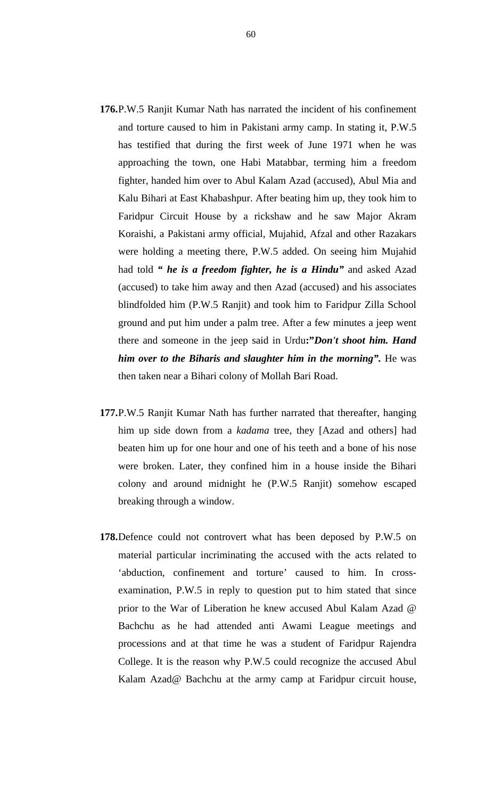- **176.**P.W.5 Ranjit Kumar Nath has narrated the incident of his confinement and torture caused to him in Pakistani army camp. In stating it, P.W.5 has testified that during the first week of June 1971 when he was approaching the town, one Habi Matabbar, terming him a freedom fighter, handed him over to Abul Kalam Azad (accused), Abul Mia and Kalu Bihari at East Khabashpur. After beating him up, they took him to Faridpur Circuit House by a rickshaw and he saw Major Akram Koraishi, a Pakistani army official, Mujahid, Afzal and other Razakars were holding a meeting there, P.W.5 added. On seeing him Mujahid had told *" he is a freedom fighter, he is a Hindu"* and asked Azad (accused) to take him away and then Azad (accused) and his associates blindfolded him (P.W.5 Ranjit) and took him to Faridpur Zilla School ground and put him under a palm tree. After a few minutes a jeep went there and someone in the jeep said in Urdu**:"***Don't shoot him. Hand him over to the Biharis and slaughter him in the morning".* He was then taken near a Bihari colony of Mollah Bari Road.
- **177.**P.W.5 Ranjit Kumar Nath has further narrated that thereafter, hanging him up side down from a *kadama* tree, they [Azad and others] had beaten him up for one hour and one of his teeth and a bone of his nose were broken. Later, they confined him in a house inside the Bihari colony and around midnight he (P.W.5 Ranjit) somehow escaped breaking through a window.
- **178.**Defence could not controvert what has been deposed by P.W.5 on material particular incriminating the accused with the acts related to 'abduction, confinement and torture' caused to him. In crossexamination, P.W.5 in reply to question put to him stated that since prior to the War of Liberation he knew accused Abul Kalam Azad @ Bachchu as he had attended anti Awami League meetings and processions and at that time he was a student of Faridpur Rajendra College. It is the reason why P.W.5 could recognize the accused Abul Kalam Azad@ Bachchu at the army camp at Faridpur circuit house,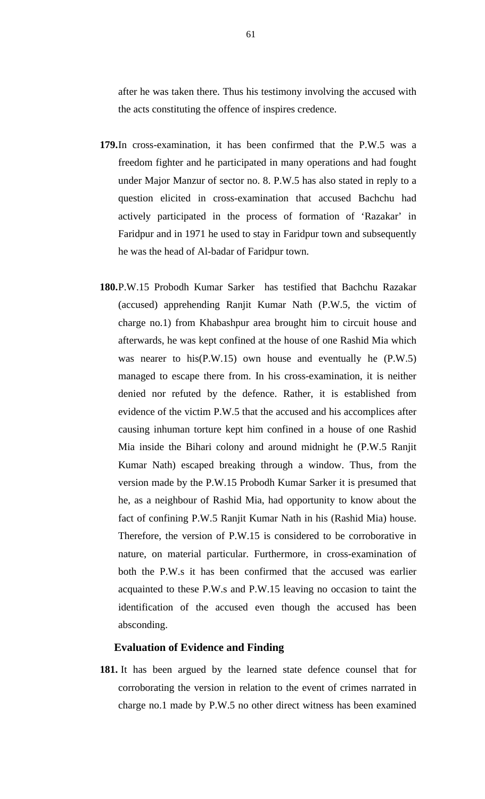after he was taken there. Thus his testimony involving the accused with the acts constituting the offence of inspires credence.

- **179.**In cross-examination, it has been confirmed that the P.W.5 was a freedom fighter and he participated in many operations and had fought under Major Manzur of sector no. 8. P.W.5 has also stated in reply to a question elicited in cross-examination that accused Bachchu had actively participated in the process of formation of 'Razakar' in Faridpur and in 1971 he used to stay in Faridpur town and subsequently he was the head of Al-badar of Faridpur town.
- **180.**P.W.15 Probodh Kumar Sarker has testified that Bachchu Razakar (accused) apprehending Ranjit Kumar Nath (P.W.5, the victim of charge no.1) from Khabashpur area brought him to circuit house and afterwards, he was kept confined at the house of one Rashid Mia which was nearer to his(P.W.15) own house and eventually he (P.W.5) managed to escape there from. In his cross-examination, it is neither denied nor refuted by the defence. Rather, it is established from evidence of the victim P.W.5 that the accused and his accomplices after causing inhuman torture kept him confined in a house of one Rashid Mia inside the Bihari colony and around midnight he (P.W.5 Ranjit Kumar Nath) escaped breaking through a window. Thus, from the version made by the P.W.15 Probodh Kumar Sarker it is presumed that he, as a neighbour of Rashid Mia, had opportunity to know about the fact of confining P.W.5 Ranjit Kumar Nath in his (Rashid Mia) house. Therefore, the version of P.W.15 is considered to be corroborative in nature, on material particular. Furthermore, in cross-examination of both the P.W.s it has been confirmed that the accused was earlier acquainted to these P.W.s and P.W.15 leaving no occasion to taint the identification of the accused even though the accused has been absconding.

## **Evaluation of Evidence and Finding**

**181.** It has been argued by the learned state defence counsel that for corroborating the version in relation to the event of crimes narrated in charge no.1 made by P.W.5 no other direct witness has been examined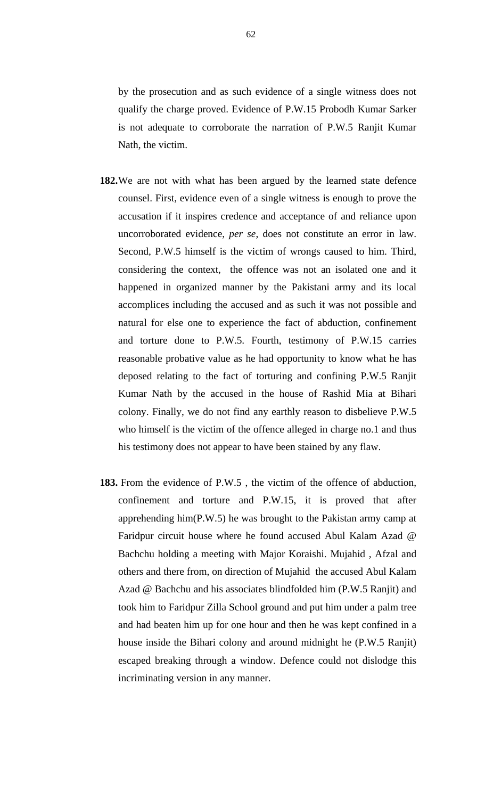by the prosecution and as such evidence of a single witness does not qualify the charge proved. Evidence of P.W.15 Probodh Kumar Sarker is not adequate to corroborate the narration of P.W.5 Ranjit Kumar Nath, the victim.

- **182.**We are not with what has been argued by the learned state defence counsel. First, evidence even of a single witness is enough to prove the accusation if it inspires credence and acceptance of and reliance upon uncorroborated evidence, *per se*, does not constitute an error in law. Second, P.W.5 himself is the victim of wrongs caused to him. Third, considering the context, the offence was not an isolated one and it happened in organized manner by the Pakistani army and its local accomplices including the accused and as such it was not possible and natural for else one to experience the fact of abduction, confinement and torture done to P.W.5. Fourth, testimony of P.W.15 carries reasonable probative value as he had opportunity to know what he has deposed relating to the fact of torturing and confining P.W.5 Ranjit Kumar Nath by the accused in the house of Rashid Mia at Bihari colony. Finally, we do not find any earthly reason to disbelieve P.W.5 who himself is the victim of the offence alleged in charge no.1 and thus his testimony does not appear to have been stained by any flaw.
- **183.** From the evidence of P.W.5 , the victim of the offence of abduction, confinement and torture and P.W.15, it is proved that after apprehending him(P.W.5) he was brought to the Pakistan army camp at Faridpur circuit house where he found accused Abul Kalam Azad @ Bachchu holding a meeting with Major Koraishi. Mujahid , Afzal and others and there from, on direction of Mujahid the accused Abul Kalam Azad @ Bachchu and his associates blindfolded him (P.W.5 Ranjit) and took him to Faridpur Zilla School ground and put him under a palm tree and had beaten him up for one hour and then he was kept confined in a house inside the Bihari colony and around midnight he (P.W.5 Ranjit) escaped breaking through a window. Defence could not dislodge this incriminating version in any manner.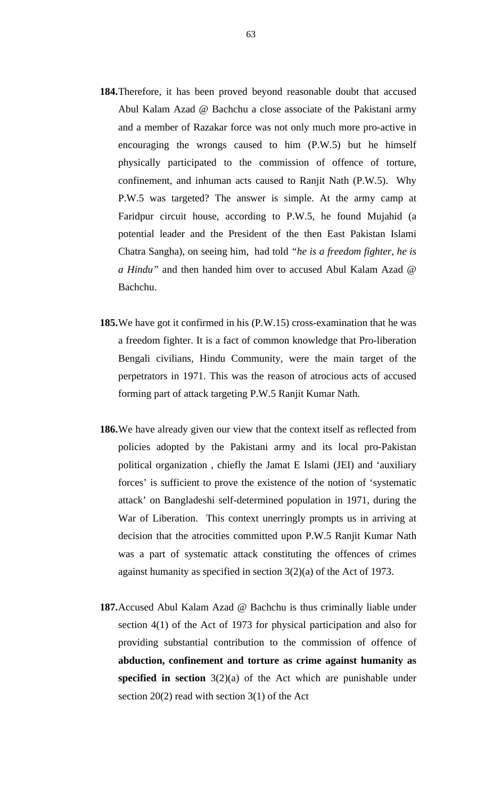- **184.**Therefore, it has been proved beyond reasonable doubt that accused Abul Kalam Azad @ Bachchu a close associate of the Pakistani army and a member of Razakar force was not only much more pro-active in encouraging the wrongs caused to him (P.W.5) but he himself physically participated to the commission of offence of torture, confinement, and inhuman acts caused to Ranjit Nath (P.W.5). Why P.W.5 was targeted? The answer is simple. At the army camp at Faridpur circuit house, according to P.W.5, he found Mujahid (a potential leader and the President of the then East Pakistan Islami Chatra Sangha), on seeing him, had told *"he is a freedom fighter, he is a Hindu"* and then handed him over to accused Abul Kalam Azad @ Bachchu.
- **185.**We have got it confirmed in his (P.W.15) cross-examination that he was a freedom fighter. It is a fact of common knowledge that Pro-liberation Bengali civilians, Hindu Community, were the main target of the perpetrators in 1971. This was the reason of atrocious acts of accused forming part of attack targeting P.W.5 Ranjit Kumar Nath.
- **186.**We have already given our view that the context itself as reflected from policies adopted by the Pakistani army and its local pro-Pakistan political organization , chiefly the Jamat E Islami (JEI) and 'auxiliary forces' is sufficient to prove the existence of the notion of 'systematic attack' on Bangladeshi self-determined population in 1971, during the War of Liberation. This context unerringly prompts us in arriving at decision that the atrocities committed upon P.W.5 Ranjit Kumar Nath was a part of systematic attack constituting the offences of crimes against humanity as specified in section 3(2)(a) of the Act of 1973.
- **187.**Accused Abul Kalam Azad @ Bachchu is thus criminally liable under section 4(1) of the Act of 1973 for physical participation and also for providing substantial contribution to the commission of offence of **abduction, confinement and torture as crime against humanity as specified in section** 3(2)(a) of the Act which are punishable under section 20(2) read with section 3(1) of the Act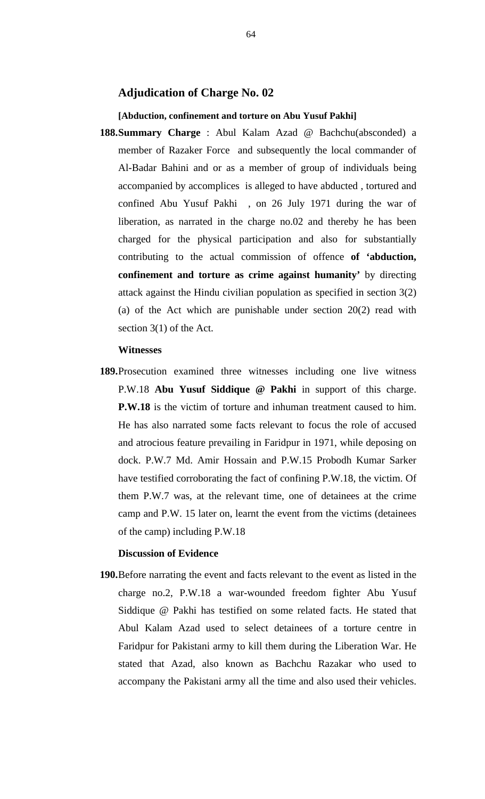# **Adjudication of Charge No. 02**

### **[Abduction, confinement and torture on Abu Yusuf Pakhi]**

**188.Summary Charge** : Abul Kalam Azad @ Bachchu(absconded) a member of Razaker Force and subsequently the local commander of Al-Badar Bahini and or as a member of group of individuals being accompanied by accomplices is alleged to have abducted , tortured and confined Abu Yusuf Pakhi , on 26 July 1971 during the war of liberation, as narrated in the charge no.02 and thereby he has been charged for the physical participation and also for substantially contributing to the actual commission of offence **of 'abduction, confinement and torture as crime against humanity'** by directing attack against the Hindu civilian population as specified in section 3(2) (a) of the Act which are punishable under section 20(2) read with section 3(1) of the Act.

### **Witnesses**

**189.**Prosecution examined three witnesses including one live witness P.W.18 **Abu Yusuf Siddique @ Pakhi** in support of this charge. **P.W.18** is the victim of torture and inhuman treatment caused to him. He has also narrated some facts relevant to focus the role of accused and atrocious feature prevailing in Faridpur in 1971, while deposing on dock. P.W.7 Md. Amir Hossain and P.W.15 Probodh Kumar Sarker have testified corroborating the fact of confining P.W.18, the victim. Of them P.W.7 was, at the relevant time, one of detainees at the crime camp and P.W. 15 later on, learnt the event from the victims (detainees of the camp) including P.W.18

### **Discussion of Evidence**

**190.**Before narrating the event and facts relevant to the event as listed in the charge no.2, P.W.18 a war-wounded freedom fighter Abu Yusuf Siddique @ Pakhi has testified on some related facts. He stated that Abul Kalam Azad used to select detainees of a torture centre in Faridpur for Pakistani army to kill them during the Liberation War. He stated that Azad, also known as Bachchu Razakar who used to accompany the Pakistani army all the time and also used their vehicles.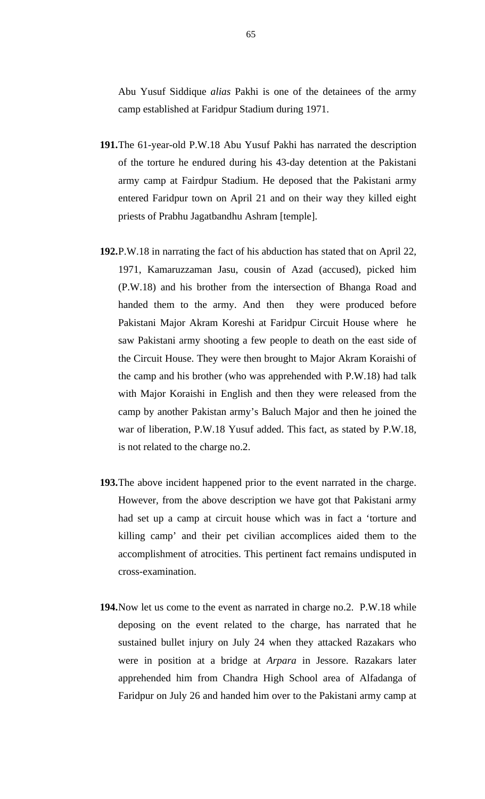Abu Yusuf Siddique *alias* Pakhi is one of the detainees of the army camp established at Faridpur Stadium during 1971.

- **191.**The 61-year-old P.W.18 Abu Yusuf Pakhi has narrated the description of the torture he endured during his 43-day detention at the Pakistani army camp at Fairdpur Stadium. He deposed that the Pakistani army entered Faridpur town on April 21 and on their way they killed eight priests of Prabhu Jagatbandhu Ashram [temple].
- **192.**P.W.18 in narrating the fact of his abduction has stated that on April 22, 1971, Kamaruzzaman Jasu, cousin of Azad (accused), picked him (P.W.18) and his brother from the intersection of Bhanga Road and handed them to the army. And then they were produced before Pakistani Major Akram Koreshi at Faridpur Circuit House where he saw Pakistani army shooting a few people to death on the east side of the Circuit House. They were then brought to Major Akram Koraishi of the camp and his brother (who was apprehended with P.W.18) had talk with Major Koraishi in English and then they were released from the camp by another Pakistan army's Baluch Major and then he joined the war of liberation, P.W.18 Yusuf added. This fact, as stated by P.W.18, is not related to the charge no.2.
- **193.**The above incident happened prior to the event narrated in the charge. However, from the above description we have got that Pakistani army had set up a camp at circuit house which was in fact a 'torture and killing camp' and their pet civilian accomplices aided them to the accomplishment of atrocities. This pertinent fact remains undisputed in cross-examination.
- **194.**Now let us come to the event as narrated in charge no.2. P.W.18 while deposing on the event related to the charge, has narrated that he sustained bullet injury on July 24 when they attacked Razakars who were in position at a bridge at *Arpara* in Jessore. Razakars later apprehended him from Chandra High School area of Alfadanga of Faridpur on July 26 and handed him over to the Pakistani army camp at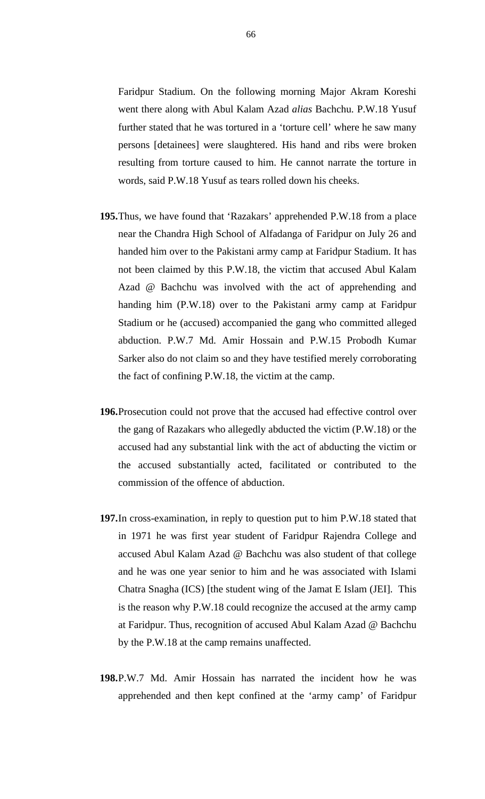Faridpur Stadium. On the following morning Major Akram Koreshi went there along with Abul Kalam Azad *alias* Bachchu. P.W.18 Yusuf further stated that he was tortured in a 'torture cell' where he saw many persons [detainees] were slaughtered. His hand and ribs were broken resulting from torture caused to him. He cannot narrate the torture in words, said P.W.18 Yusuf as tears rolled down his cheeks.

- **195.**Thus, we have found that 'Razakars' apprehended P.W.18 from a place near the Chandra High School of Alfadanga of Faridpur on July 26 and handed him over to the Pakistani army camp at Faridpur Stadium. It has not been claimed by this P.W.18, the victim that accused Abul Kalam Azad @ Bachchu was involved with the act of apprehending and handing him (P.W.18) over to the Pakistani army camp at Faridpur Stadium or he (accused) accompanied the gang who committed alleged abduction. P.W.7 Md. Amir Hossain and P.W.15 Probodh Kumar Sarker also do not claim so and they have testified merely corroborating the fact of confining P.W.18, the victim at the camp.
- **196.**Prosecution could not prove that the accused had effective control over the gang of Razakars who allegedly abducted the victim (P.W.18) or the accused had any substantial link with the act of abducting the victim or the accused substantially acted, facilitated or contributed to the commission of the offence of abduction.
- **197.**In cross-examination, in reply to question put to him P.W.18 stated that in 1971 he was first year student of Faridpur Rajendra College and accused Abul Kalam Azad @ Bachchu was also student of that college and he was one year senior to him and he was associated with Islami Chatra Snagha (ICS) [the student wing of the Jamat E Islam (JEI]. This is the reason why P.W.18 could recognize the accused at the army camp at Faridpur. Thus, recognition of accused Abul Kalam Azad @ Bachchu by the P.W.18 at the camp remains unaffected.
- **198.**P.W.7 Md. Amir Hossain has narrated the incident how he was apprehended and then kept confined at the 'army camp' of Faridpur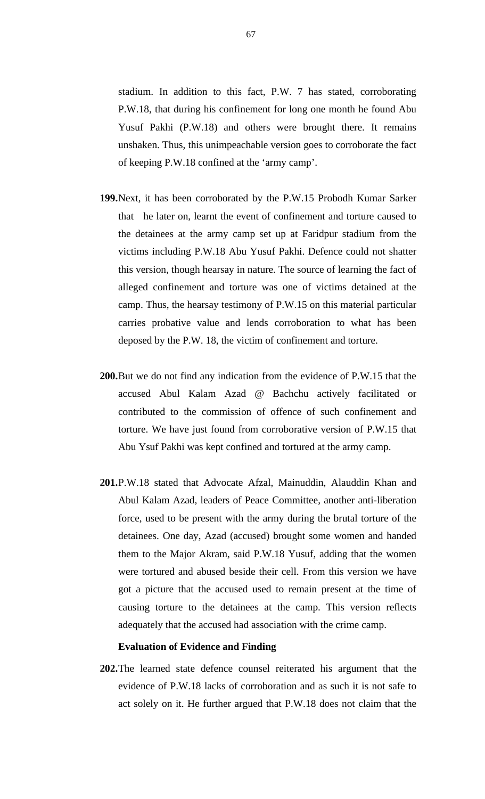stadium. In addition to this fact, P.W. 7 has stated, corroborating P.W.18, that during his confinement for long one month he found Abu Yusuf Pakhi (P.W.18) and others were brought there. It remains unshaken. Thus, this unimpeachable version goes to corroborate the fact of keeping P.W.18 confined at the 'army camp'.

- **199.**Next, it has been corroborated by the P.W.15 Probodh Kumar Sarker that he later on, learnt the event of confinement and torture caused to the detainees at the army camp set up at Faridpur stadium from the victims including P.W.18 Abu Yusuf Pakhi. Defence could not shatter this version, though hearsay in nature. The source of learning the fact of alleged confinement and torture was one of victims detained at the camp. Thus, the hearsay testimony of P.W.15 on this material particular carries probative value and lends corroboration to what has been deposed by the P.W. 18, the victim of confinement and torture.
- **200.**But we do not find any indication from the evidence of P.W.15 that the accused Abul Kalam Azad @ Bachchu actively facilitated or contributed to the commission of offence of such confinement and torture. We have just found from corroborative version of P.W.15 that Abu Ysuf Pakhi was kept confined and tortured at the army camp.
- **201.**P.W.18 stated that Advocate Afzal, Mainuddin, Alauddin Khan and Abul Kalam Azad, leaders of Peace Committee, another anti-liberation force, used to be present with the army during the brutal torture of the detainees. One day, Azad (accused) brought some women and handed them to the Major Akram, said P.W.18 Yusuf, adding that the women were tortured and abused beside their cell. From this version we have got a picture that the accused used to remain present at the time of causing torture to the detainees at the camp. This version reflects adequately that the accused had association with the crime camp.

### **Evaluation of Evidence and Finding**

**202.**The learned state defence counsel reiterated his argument that the evidence of P.W.18 lacks of corroboration and as such it is not safe to act solely on it. He further argued that P.W.18 does not claim that the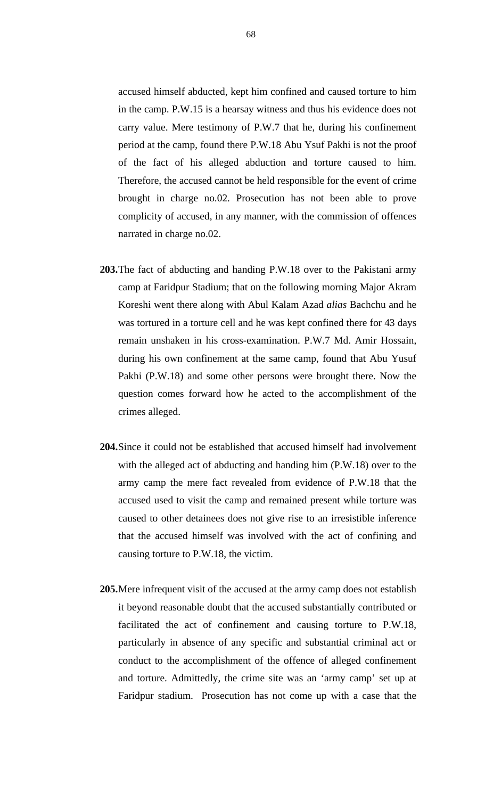accused himself abducted, kept him confined and caused torture to him in the camp. P.W.15 is a hearsay witness and thus his evidence does not carry value. Mere testimony of P.W.7 that he, during his confinement period at the camp, found there P.W.18 Abu Ysuf Pakhi is not the proof of the fact of his alleged abduction and torture caused to him. Therefore, the accused cannot be held responsible for the event of crime brought in charge no.02. Prosecution has not been able to prove complicity of accused, in any manner, with the commission of offences narrated in charge no.02.

- **203.**The fact of abducting and handing P.W.18 over to the Pakistani army camp at Faridpur Stadium; that on the following morning Major Akram Koreshi went there along with Abul Kalam Azad *alias* Bachchu and he was tortured in a torture cell and he was kept confined there for 43 days remain unshaken in his cross-examination. P.W.7 Md. Amir Hossain, during his own confinement at the same camp, found that Abu Yusuf Pakhi (P.W.18) and some other persons were brought there. Now the question comes forward how he acted to the accomplishment of the crimes alleged.
- **204.**Since it could not be established that accused himself had involvement with the alleged act of abducting and handing him (P.W.18) over to the army camp the mere fact revealed from evidence of P.W.18 that the accused used to visit the camp and remained present while torture was caused to other detainees does not give rise to an irresistible inference that the accused himself was involved with the act of confining and causing torture to P.W.18, the victim.
- **205.**Mere infrequent visit of the accused at the army camp does not establish it beyond reasonable doubt that the accused substantially contributed or facilitated the act of confinement and causing torture to P.W.18, particularly in absence of any specific and substantial criminal act or conduct to the accomplishment of the offence of alleged confinement and torture. Admittedly, the crime site was an 'army camp' set up at Faridpur stadium. Prosecution has not come up with a case that the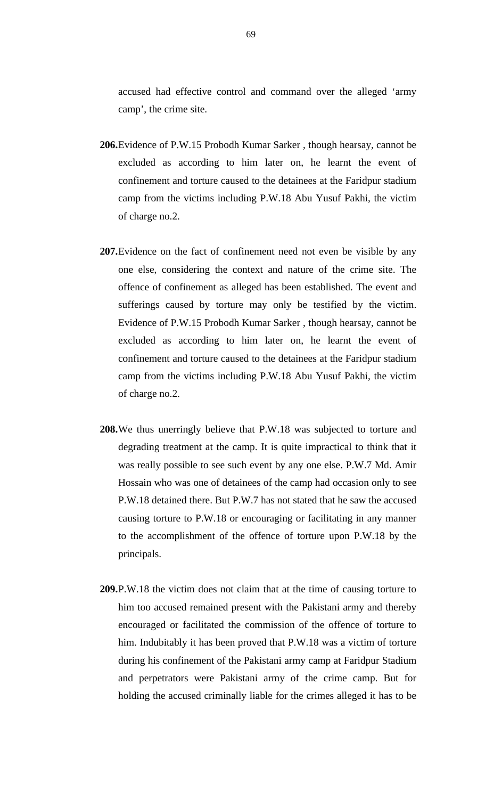accused had effective control and command over the alleged 'army camp', the crime site.

- **206.**Evidence of P.W.15 Probodh Kumar Sarker , though hearsay, cannot be excluded as according to him later on, he learnt the event of confinement and torture caused to the detainees at the Faridpur stadium camp from the victims including P.W.18 Abu Yusuf Pakhi, the victim of charge no.2.
- **207.**Evidence on the fact of confinement need not even be visible by any one else, considering the context and nature of the crime site. The offence of confinement as alleged has been established. The event and sufferings caused by torture may only be testified by the victim. Evidence of P.W.15 Probodh Kumar Sarker , though hearsay, cannot be excluded as according to him later on, he learnt the event of confinement and torture caused to the detainees at the Faridpur stadium camp from the victims including P.W.18 Abu Yusuf Pakhi, the victim of charge no.2.
- **208.**We thus unerringly believe that P.W.18 was subjected to torture and degrading treatment at the camp. It is quite impractical to think that it was really possible to see such event by any one else. P.W.7 Md. Amir Hossain who was one of detainees of the camp had occasion only to see P.W.18 detained there. But P.W.7 has not stated that he saw the accused causing torture to P.W.18 or encouraging or facilitating in any manner to the accomplishment of the offence of torture upon P.W.18 by the principals.
- **209.**P.W.18 the victim does not claim that at the time of causing torture to him too accused remained present with the Pakistani army and thereby encouraged or facilitated the commission of the offence of torture to him. Indubitably it has been proved that P.W.18 was a victim of torture during his confinement of the Pakistani army camp at Faridpur Stadium and perpetrators were Pakistani army of the crime camp. But for holding the accused criminally liable for the crimes alleged it has to be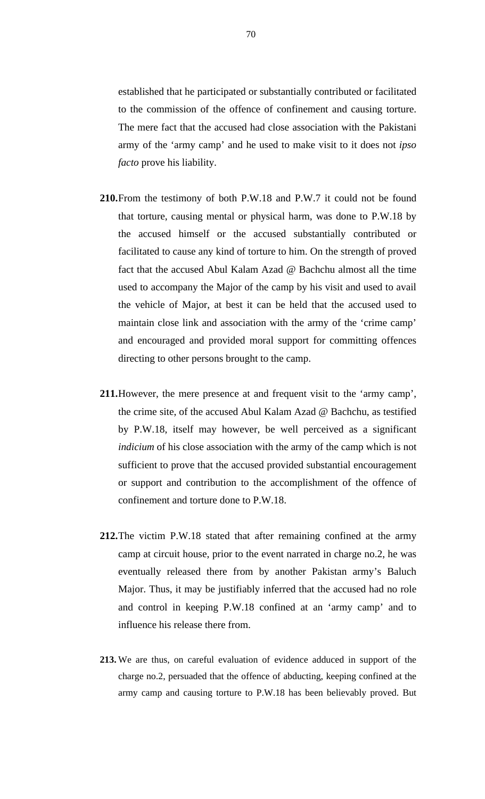established that he participated or substantially contributed or facilitated to the commission of the offence of confinement and causing torture. The mere fact that the accused had close association with the Pakistani army of the 'army camp' and he used to make visit to it does not *ipso facto* prove his liability.

- **210.**From the testimony of both P.W.18 and P.W.7 it could not be found that torture, causing mental or physical harm, was done to P.W.18 by the accused himself or the accused substantially contributed or facilitated to cause any kind of torture to him. On the strength of proved fact that the accused Abul Kalam Azad @ Bachchu almost all the time used to accompany the Major of the camp by his visit and used to avail the vehicle of Major, at best it can be held that the accused used to maintain close link and association with the army of the 'crime camp' and encouraged and provided moral support for committing offences directing to other persons brought to the camp.
- **211.**However, the mere presence at and frequent visit to the 'army camp', the crime site, of the accused Abul Kalam Azad @ Bachchu, as testified by P.W.18, itself may however, be well perceived as a significant *indicium* of his close association with the army of the camp which is not sufficient to prove that the accused provided substantial encouragement or support and contribution to the accomplishment of the offence of confinement and torture done to P.W.18.
- **212.**The victim P.W.18 stated that after remaining confined at the army camp at circuit house, prior to the event narrated in charge no.2, he was eventually released there from by another Pakistan army's Baluch Major. Thus, it may be justifiably inferred that the accused had no role and control in keeping P.W.18 confined at an 'army camp' and to influence his release there from.
- **213.** We are thus, on careful evaluation of evidence adduced in support of the charge no.2, persuaded that the offence of abducting, keeping confined at the army camp and causing torture to P.W.18 has been believably proved. But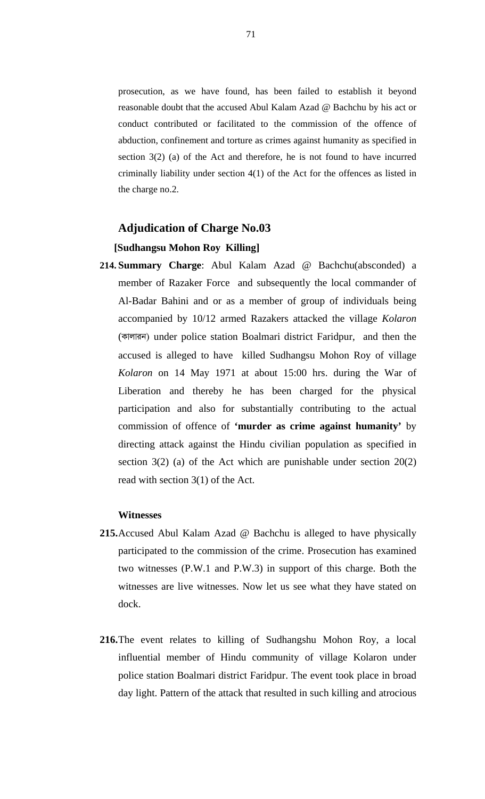prosecution, as we have found, has been failed to establish it beyond reasonable doubt that the accused Abul Kalam Azad @ Bachchu by his act or conduct contributed or facilitated to the commission of the offence of abduction, confinement and torture as crimes against humanity as specified in section 3(2) (a) of the Act and therefore, he is not found to have incurred criminally liability under section 4(1) of the Act for the offences as listed in the charge no.2.

# **Adjudication of Charge No.03**

# **[Sudhangsu Mohon Roy Killing]**

**214. Summary Charge**: Abul Kalam Azad @ Bachchu(absconded) a member of Razaker Force and subsequently the local commander of Al-Badar Bahini and or as a member of group of individuals being accompanied by 10/12 armed Razakers attacked the village *Kolaron* (कालाज़न) under police station Boalmari district Faridpur, and then the accused is alleged to have killed Sudhangsu Mohon Roy of village *Kolaron* on 14 May 1971 at about 15:00 hrs. during the War of Liberation and thereby he has been charged for the physical participation and also for substantially contributing to the actual commission of offence of **'murder as crime against humanity'** by directing attack against the Hindu civilian population as specified in section  $3(2)$  (a) of the Act which are punishable under section  $20(2)$ read with section 3(1) of the Act.

### **Witnesses**

- **215.**Accused Abul Kalam Azad @ Bachchu is alleged to have physically participated to the commission of the crime. Prosecution has examined two witnesses (P.W.1 and P.W.3) in support of this charge. Both the witnesses are live witnesses. Now let us see what they have stated on dock.
- **216.**The event relates to killing of Sudhangshu Mohon Roy, a local influential member of Hindu community of village Kolaron under police station Boalmari district Faridpur. The event took place in broad day light. Pattern of the attack that resulted in such killing and atrocious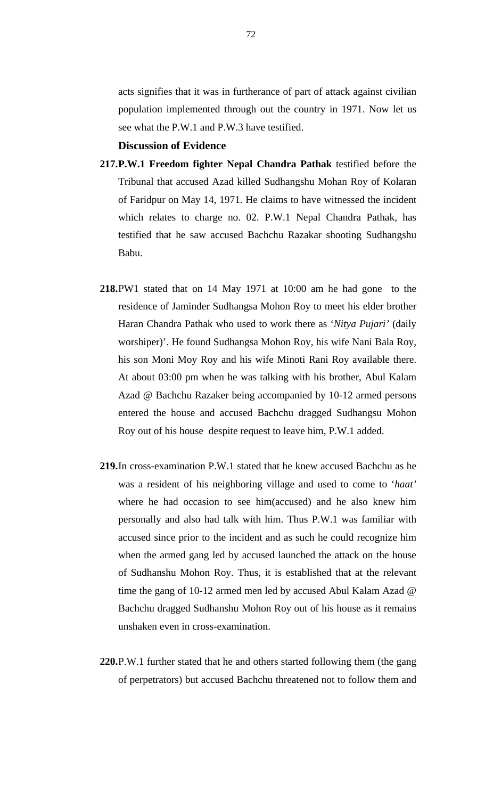acts signifies that it was in furtherance of part of attack against civilian population implemented through out the country in 1971. Now let us see what the P.W.1 and P.W.3 have testified.

# **Discussion of Evidence**

- **217.P.W.1 Freedom fighter Nepal Chandra Pathak** testified before the Tribunal that accused Azad killed Sudhangshu Mohan Roy of Kolaran of Faridpur on May 14, 1971. He claims to have witnessed the incident which relates to charge no. 02. P.W.1 Nepal Chandra Pathak, has testified that he saw accused Bachchu Razakar shooting Sudhangshu Babu.
- **218.**PW1 stated that on 14 May 1971 at 10:00 am he had gone to the residence of Jaminder Sudhangsa Mohon Roy to meet his elder brother Haran Chandra Pathak who used to work there as '*Nitya Pujari'* (daily worshiper)'. He found Sudhangsa Mohon Roy, his wife Nani Bala Roy, his son Moni Moy Roy and his wife Minoti Rani Roy available there. At about 03:00 pm when he was talking with his brother, Abul Kalam Azad @ Bachchu Razaker being accompanied by 10-12 armed persons entered the house and accused Bachchu dragged Sudhangsu Mohon Roy out of his house despite request to leave him, P.W.1 added.
- **219.**In cross-examination P.W.1 stated that he knew accused Bachchu as he was a resident of his neighboring village and used to come to '*haat'*  where he had occasion to see him(accused) and he also knew him personally and also had talk with him. Thus P.W.1 was familiar with accused since prior to the incident and as such he could recognize him when the armed gang led by accused launched the attack on the house of Sudhanshu Mohon Roy. Thus, it is established that at the relevant time the gang of 10-12 armed men led by accused Abul Kalam Azad @ Bachchu dragged Sudhanshu Mohon Roy out of his house as it remains unshaken even in cross-examination.
- **220.**P.W.1 further stated that he and others started following them (the gang of perpetrators) but accused Bachchu threatened not to follow them and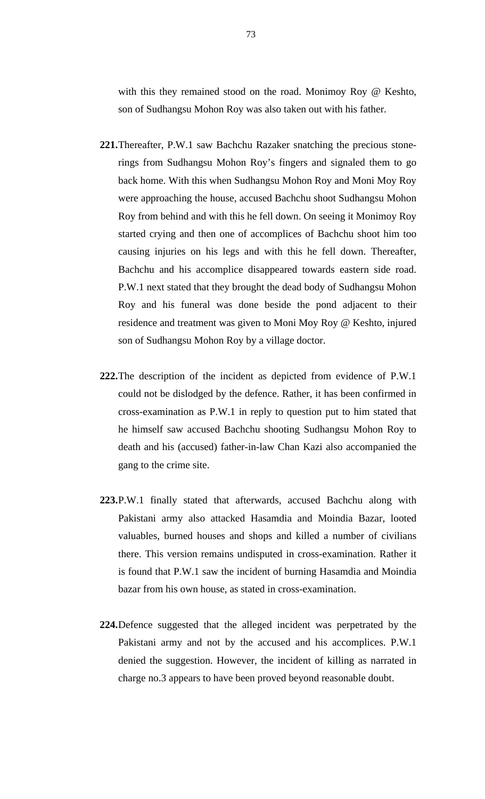with this they remained stood on the road. Monimoy Roy @ Keshto, son of Sudhangsu Mohon Roy was also taken out with his father.

- **221.**Thereafter, P.W.1 saw Bachchu Razaker snatching the precious stonerings from Sudhangsu Mohon Roy's fingers and signaled them to go back home. With this when Sudhangsu Mohon Roy and Moni Moy Roy were approaching the house, accused Bachchu shoot Sudhangsu Mohon Roy from behind and with this he fell down. On seeing it Monimoy Roy started crying and then one of accomplices of Bachchu shoot him too causing injuries on his legs and with this he fell down. Thereafter, Bachchu and his accomplice disappeared towards eastern side road. P.W.1 next stated that they brought the dead body of Sudhangsu Mohon Roy and his funeral was done beside the pond adjacent to their residence and treatment was given to Moni Moy Roy @ Keshto, injured son of Sudhangsu Mohon Roy by a village doctor.
- **222.**The description of the incident as depicted from evidence of P.W.1 could not be dislodged by the defence. Rather, it has been confirmed in cross-examination as P.W.1 in reply to question put to him stated that he himself saw accused Bachchu shooting Sudhangsu Mohon Roy to death and his (accused) father-in-law Chan Kazi also accompanied the gang to the crime site.
- **223.**P.W.1 finally stated that afterwards, accused Bachchu along with Pakistani army also attacked Hasamdia and Moindia Bazar, looted valuables, burned houses and shops and killed a number of civilians there. This version remains undisputed in cross-examination. Rather it is found that P.W.1 saw the incident of burning Hasamdia and Moindia bazar from his own house, as stated in cross-examination.
- **224.**Defence suggested that the alleged incident was perpetrated by the Pakistani army and not by the accused and his accomplices. P.W.1 denied the suggestion. However, the incident of killing as narrated in charge no.3 appears to have been proved beyond reasonable doubt.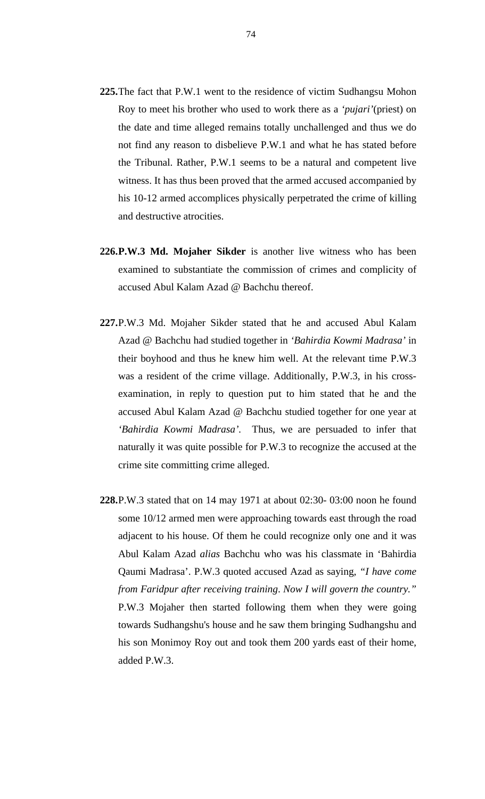- **225.**The fact that P.W.1 went to the residence of victim Sudhangsu Mohon Roy to meet his brother who used to work there as a *'pujari'*(priest) on the date and time alleged remains totally unchallenged and thus we do not find any reason to disbelieve P.W.1 and what he has stated before the Tribunal. Rather, P.W.1 seems to be a natural and competent live witness. It has thus been proved that the armed accused accompanied by his 10-12 armed accomplices physically perpetrated the crime of killing and destructive atrocities.
- **226.P.W.3 Md. Mojaher Sikder** is another live witness who has been examined to substantiate the commission of crimes and complicity of accused Abul Kalam Azad @ Bachchu thereof.
- **227.**P.W.3 Md. Mojaher Sikder stated that he and accused Abul Kalam Azad @ Bachchu had studied together in *'Bahirdia Kowmi Madrasa'* in their boyhood and thus he knew him well. At the relevant time P.W.3 was a resident of the crime village. Additionally, P.W.3, in his crossexamination, in reply to question put to him stated that he and the accused Abul Kalam Azad @ Bachchu studied together for one year at *'Bahirdia Kowmi Madrasa'.* Thus, we are persuaded to infer that naturally it was quite possible for P.W.3 to recognize the accused at the crime site committing crime alleged.
- **228.**P.W.3 stated that on 14 may 1971 at about 02:30- 03:00 noon he found some 10/12 armed men were approaching towards east through the road adjacent to his house. Of them he could recognize only one and it was Abul Kalam Azad *alias* Bachchu who was his classmate in 'Bahirdia Qaumi Madrasa'. P.W.3 quoted accused Azad as saying, *"I have come from Faridpur after receiving training*. *Now I will govern the country."* P.W.3 Mojaher then started following them when they were going towards Sudhangshu's house and he saw them bringing Sudhangshu and his son Monimoy Roy out and took them 200 yards east of their home, added P.W.3.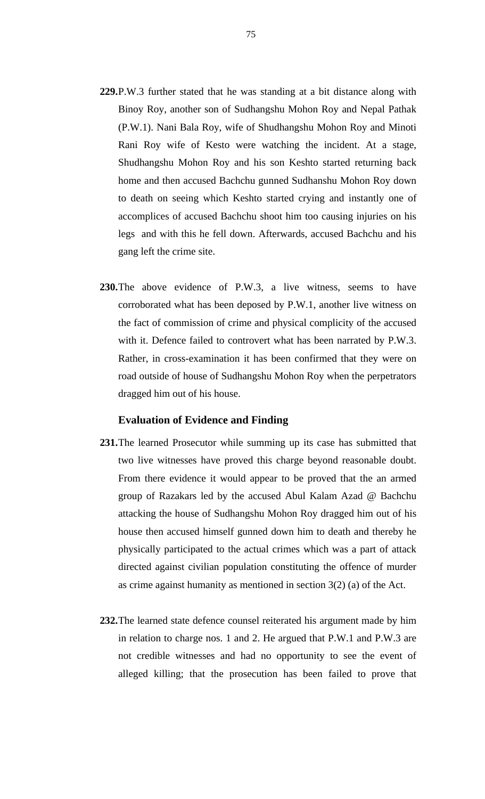- **229.**P.W.3 further stated that he was standing at a bit distance along with Binoy Roy, another son of Sudhangshu Mohon Roy and Nepal Pathak (P.W.1). Nani Bala Roy, wife of Shudhangshu Mohon Roy and Minoti Rani Roy wife of Kesto were watching the incident. At a stage, Shudhangshu Mohon Roy and his son Keshto started returning back home and then accused Bachchu gunned Sudhanshu Mohon Roy down to death on seeing which Keshto started crying and instantly one of accomplices of accused Bachchu shoot him too causing injuries on his legs and with this he fell down. Afterwards, accused Bachchu and his gang left the crime site.
- **230.**The above evidence of P.W.3, a live witness, seems to have corroborated what has been deposed by P.W.1, another live witness on the fact of commission of crime and physical complicity of the accused with it. Defence failed to controvert what has been narrated by P.W.3. Rather, in cross-examination it has been confirmed that they were on road outside of house of Sudhangshu Mohon Roy when the perpetrators dragged him out of his house.

### **Evaluation of Evidence and Finding**

- **231.**The learned Prosecutor while summing up its case has submitted that two live witnesses have proved this charge beyond reasonable doubt. From there evidence it would appear to be proved that the an armed group of Razakars led by the accused Abul Kalam Azad @ Bachchu attacking the house of Sudhangshu Mohon Roy dragged him out of his house then accused himself gunned down him to death and thereby he physically participated to the actual crimes which was a part of attack directed against civilian population constituting the offence of murder as crime against humanity as mentioned in section 3(2) (a) of the Act.
- **232.**The learned state defence counsel reiterated his argument made by him in relation to charge nos. 1 and 2. He argued that P.W.1 and P.W.3 are not credible witnesses and had no opportunity to see the event of alleged killing; that the prosecution has been failed to prove that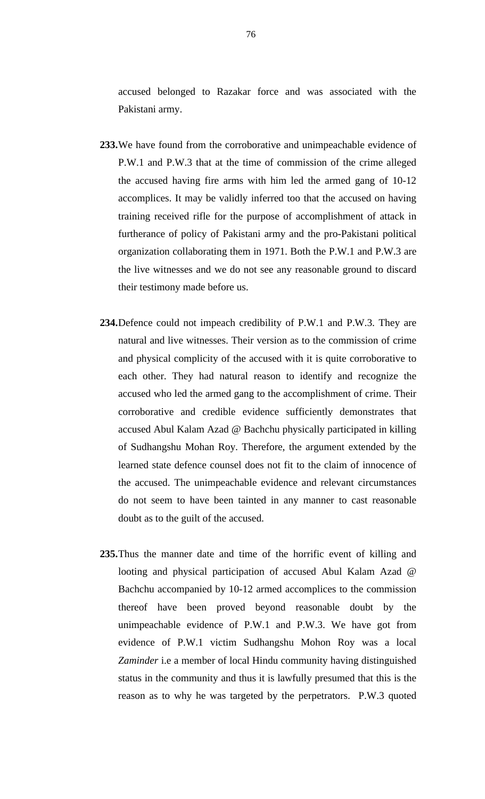accused belonged to Razakar force and was associated with the Pakistani army.

- **233.**We have found from the corroborative and unimpeachable evidence of P.W.1 and P.W.3 that at the time of commission of the crime alleged the accused having fire arms with him led the armed gang of 10-12 accomplices. It may be validly inferred too that the accused on having training received rifle for the purpose of accomplishment of attack in furtherance of policy of Pakistani army and the pro-Pakistani political organization collaborating them in 1971. Both the P.W.1 and P.W.3 are the live witnesses and we do not see any reasonable ground to discard their testimony made before us.
- **234.**Defence could not impeach credibility of P.W.1 and P.W.3. They are natural and live witnesses. Their version as to the commission of crime and physical complicity of the accused with it is quite corroborative to each other. They had natural reason to identify and recognize the accused who led the armed gang to the accomplishment of crime. Their corroborative and credible evidence sufficiently demonstrates that accused Abul Kalam Azad @ Bachchu physically participated in killing of Sudhangshu Mohan Roy. Therefore, the argument extended by the learned state defence counsel does not fit to the claim of innocence of the accused. The unimpeachable evidence and relevant circumstances do not seem to have been tainted in any manner to cast reasonable doubt as to the guilt of the accused.
- **235.**Thus the manner date and time of the horrific event of killing and looting and physical participation of accused Abul Kalam Azad @ Bachchu accompanied by 10-12 armed accomplices to the commission thereof have been proved beyond reasonable doubt by the unimpeachable evidence of P.W.1 and P.W.3. We have got from evidence of P.W.1 victim Sudhangshu Mohon Roy was a local *Zaminder* i.e a member of local Hindu community having distinguished status in the community and thus it is lawfully presumed that this is the reason as to why he was targeted by the perpetrators. P.W.3 quoted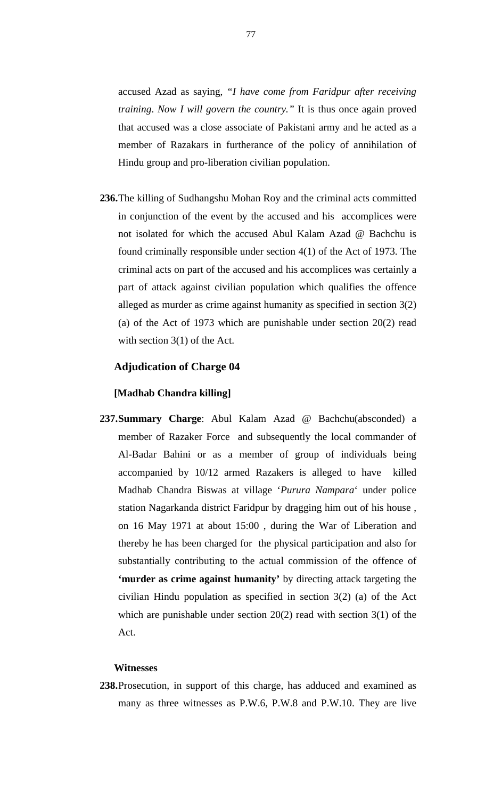accused Azad as saying, *"I have come from Faridpur after receiving training*. *Now I will govern the country."* It is thus once again proved that accused was a close associate of Pakistani army and he acted as a member of Razakars in furtherance of the policy of annihilation of Hindu group and pro-liberation civilian population.

**236.**The killing of Sudhangshu Mohan Roy and the criminal acts committed in conjunction of the event by the accused and his accomplices were not isolated for which the accused Abul Kalam Azad @ Bachchu is found criminally responsible under section 4(1) of the Act of 1973. The criminal acts on part of the accused and his accomplices was certainly a part of attack against civilian population which qualifies the offence alleged as murder as crime against humanity as specified in section 3(2) (a) of the Act of 1973 which are punishable under section 20(2) read with section 3(1) of the Act.

### **Adjudication of Charge 04**

### **[Madhab Chandra killing]**

**237.Summary Charge**: Abul Kalam Azad @ Bachchu(absconded) a member of Razaker Force and subsequently the local commander of Al-Badar Bahini or as a member of group of individuals being accompanied by 10/12 armed Razakers is alleged to have killed Madhab Chandra Biswas at village '*Purura Nampara*' under police station Nagarkanda district Faridpur by dragging him out of his house , on 16 May 1971 at about 15:00 , during the War of Liberation and thereby he has been charged for the physical participation and also for substantially contributing to the actual commission of the offence of **'murder as crime against humanity'** by directing attack targeting the civilian Hindu population as specified in section 3(2) (a) of the Act which are punishable under section  $20(2)$  read with section  $3(1)$  of the Act.

### **Witnesses**

**238.**Prosecution, in support of this charge, has adduced and examined as many as three witnesses as P.W.6, P.W.8 and P.W.10. They are live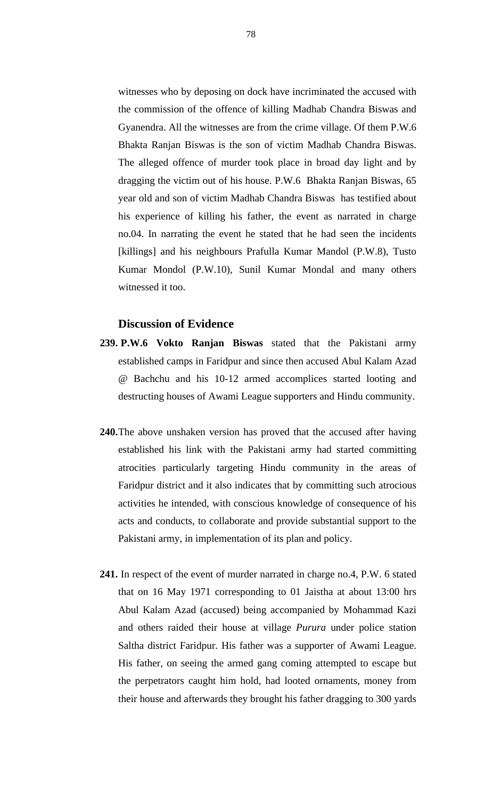witnesses who by deposing on dock have incriminated the accused with the commission of the offence of killing Madhab Chandra Biswas and Gyanendra. All the witnesses are from the crime village. Of them P.W.6 Bhakta Ranjan Biswas is the son of victim Madhab Chandra Biswas. The alleged offence of murder took place in broad day light and by dragging the victim out of his house. P.W.6 Bhakta Ranjan Biswas, 65 year old and son of victim Madhab Chandra Biswas has testified about his experience of killing his father, the event as narrated in charge no.04. In narrating the event he stated that he had seen the incidents [killings] and his neighbours Prafulla Kumar Mandol (P.W.8), Tusto Kumar Mondol (P.W.10), Sunil Kumar Mondal and many others witnessed it too.

### **Discussion of Evidence**

- **239. P.W.6 Vokto Ranjan Biswas** stated that the Pakistani army established camps in Faridpur and since then accused Abul Kalam Azad @ Bachchu and his 10-12 armed accomplices started looting and destructing houses of Awami League supporters and Hindu community.
- **240.**The above unshaken version has proved that the accused after having established his link with the Pakistani army had started committing atrocities particularly targeting Hindu community in the areas of Faridpur district and it also indicates that by committing such atrocious activities he intended, with conscious knowledge of consequence of his acts and conducts, to collaborate and provide substantial support to the Pakistani army, in implementation of its plan and policy.
- **241.** In respect of the event of murder narrated in charge no.4, P.W. 6 stated that on 16 May 1971 corresponding to 01 Jaistha at about 13:00 hrs Abul Kalam Azad (accused) being accompanied by Mohammad Kazi and others raided their house at village *Purura* under police station Saltha district Faridpur. His father was a supporter of Awami League. His father, on seeing the armed gang coming attempted to escape but the perpetrators caught him hold, had looted ornaments, money from their house and afterwards they brought his father dragging to 300 yards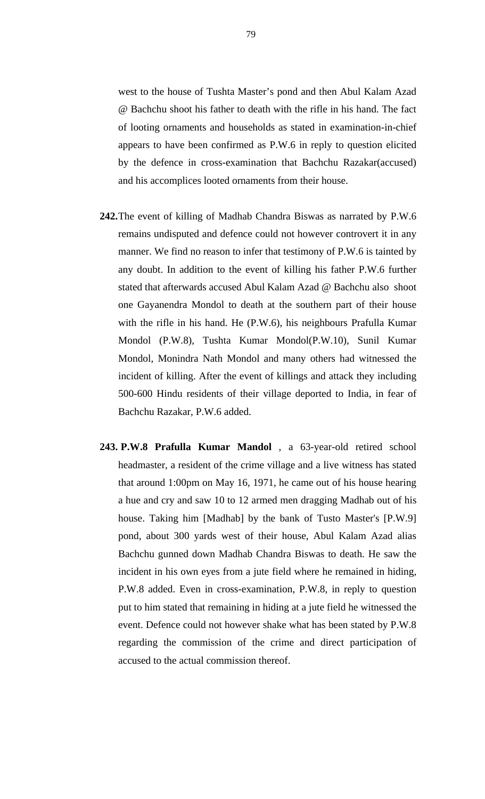west to the house of Tushta Master's pond and then Abul Kalam Azad @ Bachchu shoot his father to death with the rifle in his hand. The fact of looting ornaments and households as stated in examination-in-chief appears to have been confirmed as P.W.6 in reply to question elicited by the defence in cross-examination that Bachchu Razakar(accused) and his accomplices looted ornaments from their house.

- **242.**The event of killing of Madhab Chandra Biswas as narrated by P.W.6 remains undisputed and defence could not however controvert it in any manner. We find no reason to infer that testimony of P.W.6 is tainted by any doubt. In addition to the event of killing his father P.W.6 further stated that afterwards accused Abul Kalam Azad @ Bachchu also shoot one Gayanendra Mondol to death at the southern part of their house with the rifle in his hand. He (P.W.6), his neighbours Prafulla Kumar Mondol (P.W.8), Tushta Kumar Mondol(P.W.10), Sunil Kumar Mondol, Monindra Nath Mondol and many others had witnessed the incident of killing. After the event of killings and attack they including 500-600 Hindu residents of their village deported to India, in fear of Bachchu Razakar, P.W.6 added.
- **243. P.W.8 Prafulla Kumar Mandol** , a 63-year-old retired school headmaster, a resident of the crime village and a live witness has stated that around 1:00pm on May 16, 1971, he came out of his house hearing a hue and cry and saw 10 to 12 armed men dragging Madhab out of his house. Taking him [Madhab] by the bank of Tusto Master's [P.W.9] pond, about 300 yards west of their house, Abul Kalam Azad alias Bachchu gunned down Madhab Chandra Biswas to death. He saw the incident in his own eyes from a jute field where he remained in hiding, P.W.8 added. Even in cross-examination, P.W.8, in reply to question put to him stated that remaining in hiding at a jute field he witnessed the event. Defence could not however shake what has been stated by P.W.8 regarding the commission of the crime and direct participation of accused to the actual commission thereof.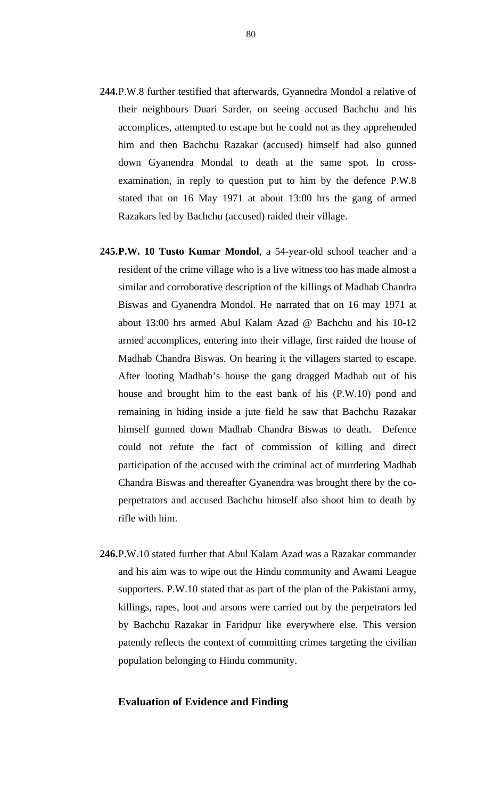- **244.**P.W.8 further testified that afterwards, Gyannedra Mondol a relative of their neighbours Duari Sarder, on seeing accused Bachchu and his accomplices, attempted to escape but he could not as they apprehended him and then Bachchu Razakar (accused) himself had also gunned down Gyanendra Mondal to death at the same spot. In crossexamination, in reply to question put to him by the defence P.W.8 stated that on 16 May 1971 at about 13:00 hrs the gang of armed Razakars led by Bachchu (accused) raided their village.
- **245.P.W. 10 Tusto Kumar Mondol**, a 54-year-old school teacher and a resident of the crime village who is a live witness too has made almost a similar and corroborative description of the killings of Madhab Chandra Biswas and Gyanendra Mondol. He narrated that on 16 may 1971 at about 13:00 hrs armed Abul Kalam Azad @ Bachchu and his 10-12 armed accomplices, entering into their village, first raided the house of Madhab Chandra Biswas. On hearing it the villagers started to escape. After looting Madhab's house the gang dragged Madhab out of his house and brought him to the east bank of his (P.W.10) pond and remaining in hiding inside a jute field he saw that Bachchu Razakar himself gunned down Madhab Chandra Biswas to death. Defence could not refute the fact of commission of killing and direct participation of the accused with the criminal act of murdering Madhab Chandra Biswas and thereafter Gyanendra was brought there by the coperpetrators and accused Bachchu himself also shoot him to death by rifle with him.
- **246.**P.W.10 stated further that Abul Kalam Azad was a Razakar commander and his aim was to wipe out the Hindu community and Awami League supporters. P.W.10 stated that as part of the plan of the Pakistani army, killings, rapes, loot and arsons were carried out by the perpetrators led by Bachchu Razakar in Faridpur like everywhere else. This version patently reflects the context of committing crimes targeting the civilian population belonging to Hindu community.

### **Evaluation of Evidence and Finding**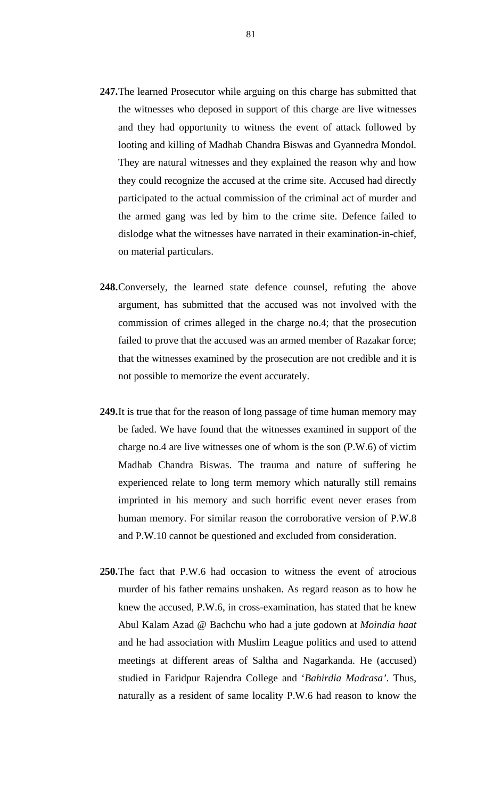- **247.**The learned Prosecutor while arguing on this charge has submitted that the witnesses who deposed in support of this charge are live witnesses and they had opportunity to witness the event of attack followed by looting and killing of Madhab Chandra Biswas and Gyannedra Mondol. They are natural witnesses and they explained the reason why and how they could recognize the accused at the crime site. Accused had directly participated to the actual commission of the criminal act of murder and the armed gang was led by him to the crime site. Defence failed to dislodge what the witnesses have narrated in their examination-in-chief, on material particulars.
- **248.**Conversely, the learned state defence counsel, refuting the above argument, has submitted that the accused was not involved with the commission of crimes alleged in the charge no.4; that the prosecution failed to prove that the accused was an armed member of Razakar force; that the witnesses examined by the prosecution are not credible and it is not possible to memorize the event accurately.
- **249.**It is true that for the reason of long passage of time human memory may be faded. We have found that the witnesses examined in support of the charge no.4 are live witnesses one of whom is the son (P.W.6) of victim Madhab Chandra Biswas. The trauma and nature of suffering he experienced relate to long term memory which naturally still remains imprinted in his memory and such horrific event never erases from human memory. For similar reason the corroborative version of P.W.8 and P.W.10 cannot be questioned and excluded from consideration.
- **250.**The fact that P.W.6 had occasion to witness the event of atrocious murder of his father remains unshaken. As regard reason as to how he knew the accused, P.W.6, in cross-examination, has stated that he knew Abul Kalam Azad @ Bachchu who had a jute godown at *Moindia haat*  and he had association with Muslim League politics and used to attend meetings at different areas of Saltha and Nagarkanda. He (accused) studied in Faridpur Rajendra College and '*Bahirdia Madrasa'*. Thus, naturally as a resident of same locality P.W.6 had reason to know the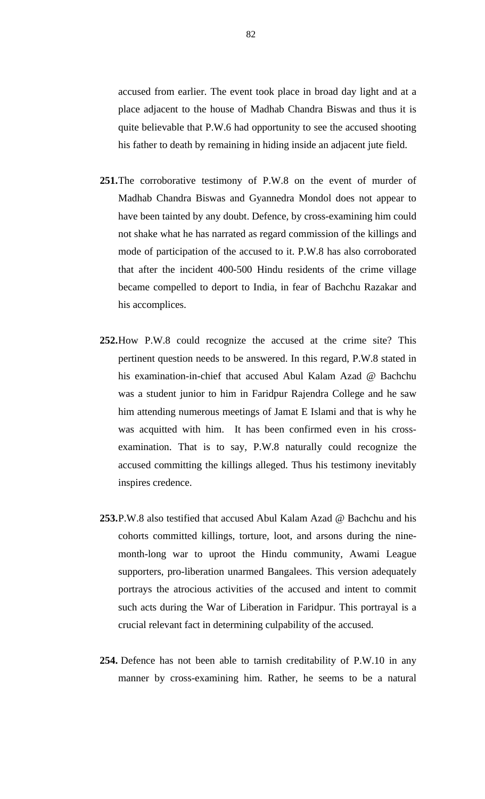accused from earlier. The event took place in broad day light and at a place adjacent to the house of Madhab Chandra Biswas and thus it is quite believable that P.W.6 had opportunity to see the accused shooting his father to death by remaining in hiding inside an adjacent jute field.

- **251.**The corroborative testimony of P.W.8 on the event of murder of Madhab Chandra Biswas and Gyannedra Mondol does not appear to have been tainted by any doubt. Defence, by cross-examining him could not shake what he has narrated as regard commission of the killings and mode of participation of the accused to it. P.W.8 has also corroborated that after the incident 400-500 Hindu residents of the crime village became compelled to deport to India, in fear of Bachchu Razakar and his accomplices.
- **252.**How P.W.8 could recognize the accused at the crime site? This pertinent question needs to be answered. In this regard, P.W.8 stated in his examination-in-chief that accused Abul Kalam Azad @ Bachchu was a student junior to him in Faridpur Rajendra College and he saw him attending numerous meetings of Jamat E Islami and that is why he was acquitted with him. It has been confirmed even in his crossexamination. That is to say, P.W.8 naturally could recognize the accused committing the killings alleged. Thus his testimony inevitably inspires credence.
- **253.**P.W.8 also testified that accused Abul Kalam Azad @ Bachchu and his cohorts committed killings, torture, loot, and arsons during the ninemonth-long war to uproot the Hindu community, Awami League supporters, pro-liberation unarmed Bangalees. This version adequately portrays the atrocious activities of the accused and intent to commit such acts during the War of Liberation in Faridpur. This portrayal is a crucial relevant fact in determining culpability of the accused.
- **254.** Defence has not been able to tarnish creditability of P.W.10 in any manner by cross-examining him. Rather, he seems to be a natural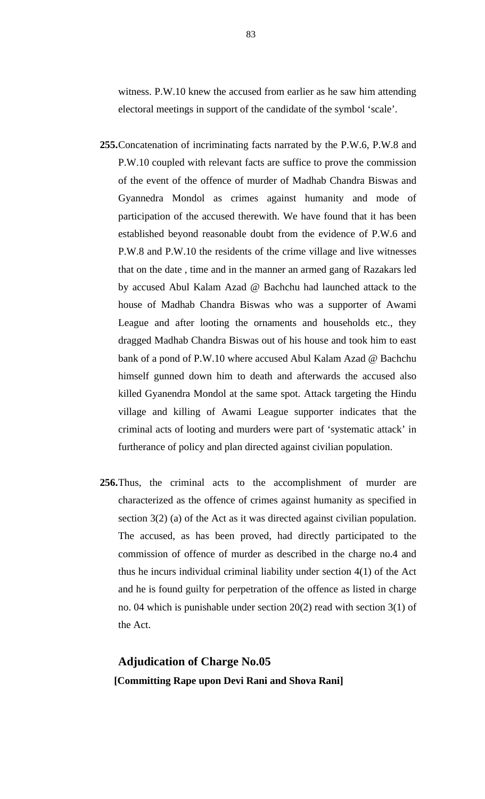witness. P.W.10 knew the accused from earlier as he saw him attending electoral meetings in support of the candidate of the symbol 'scale'.

- **255.**Concatenation of incriminating facts narrated by the P.W.6, P.W.8 and P.W.10 coupled with relevant facts are suffice to prove the commission of the event of the offence of murder of Madhab Chandra Biswas and Gyannedra Mondol as crimes against humanity and mode of participation of the accused therewith. We have found that it has been established beyond reasonable doubt from the evidence of P.W.6 and P.W.8 and P.W.10 the residents of the crime village and live witnesses that on the date , time and in the manner an armed gang of Razakars led by accused Abul Kalam Azad @ Bachchu had launched attack to the house of Madhab Chandra Biswas who was a supporter of Awami League and after looting the ornaments and households etc., they dragged Madhab Chandra Biswas out of his house and took him to east bank of a pond of P.W.10 where accused Abul Kalam Azad @ Bachchu himself gunned down him to death and afterwards the accused also killed Gyanendra Mondol at the same spot. Attack targeting the Hindu village and killing of Awami League supporter indicates that the criminal acts of looting and murders were part of 'systematic attack' in furtherance of policy and plan directed against civilian population.
- **256.**Thus, the criminal acts to the accomplishment of murder are characterized as the offence of crimes against humanity as specified in section 3(2) (a) of the Act as it was directed against civilian population. The accused, as has been proved, had directly participated to the commission of offence of murder as described in the charge no.4 and thus he incurs individual criminal liability under section 4(1) of the Act and he is found guilty for perpetration of the offence as listed in charge no. 04 which is punishable under section 20(2) read with section 3(1) of the Act.

# **Adjudication of Charge No.05 [Committing Rape upon Devi Rani and Shova Rani]**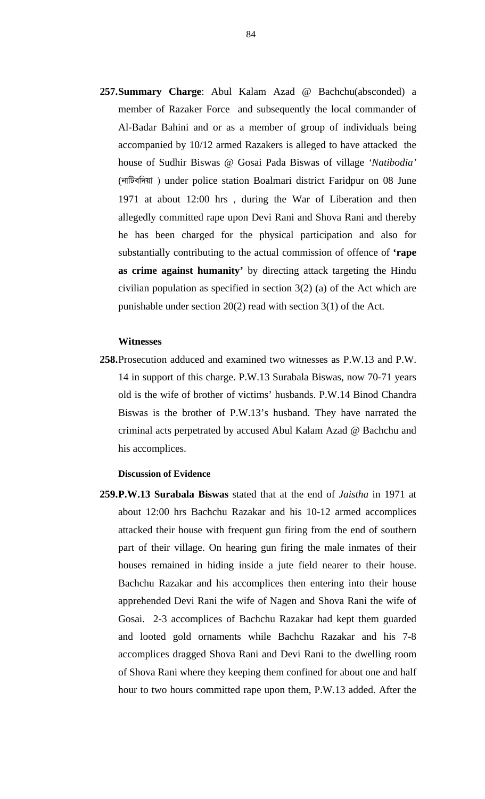**257.Summary Charge**: Abul Kalam Azad @ Bachchu(absconded) a member of Razaker Force and subsequently the local commander of Al-Badar Bahini and or as a member of group of individuals being accompanied by 10/12 armed Razakers is alleged to have attacked the house of Sudhir Biswas @ Gosai Pada Biswas of village *'Natibodia'* (नांग्लिक्सिल) under police station Boalmari district Faridpur on 08 June 1971 at about 12:00 hrs , during the War of Liberation and then allegedly committed rape upon Devi Rani and Shova Rani and thereby he has been charged for the physical participation and also for substantially contributing to the actual commission of offence of **'rape as crime against humanity'** by directing attack targeting the Hindu civilian population as specified in section 3(2) (a) of the Act which are punishable under section 20(2) read with section 3(1) of the Act.

### **Witnesses**

**258.**Prosecution adduced and examined two witnesses as P.W.13 and P.W. 14 in support of this charge. P.W.13 Surabala Biswas, now 70-71 years old is the wife of brother of victims' husbands. P.W.14 Binod Chandra Biswas is the brother of P.W.13's husband. They have narrated the criminal acts perpetrated by accused Abul Kalam Azad @ Bachchu and his accomplices.

### **Discussion of Evidence**

**259.P.W.13 Surabala Biswas** stated that at the end of *Jaistha* in 1971 at about 12:00 hrs Bachchu Razakar and his 10-12 armed accomplices attacked their house with frequent gun firing from the end of southern part of their village. On hearing gun firing the male inmates of their houses remained in hiding inside a jute field nearer to their house. Bachchu Razakar and his accomplices then entering into their house apprehended Devi Rani the wife of Nagen and Shova Rani the wife of Gosai. 2-3 accomplices of Bachchu Razakar had kept them guarded and looted gold ornaments while Bachchu Razakar and his 7-8 accomplices dragged Shova Rani and Devi Rani to the dwelling room of Shova Rani where they keeping them confined for about one and half hour to two hours committed rape upon them, P.W.13 added. After the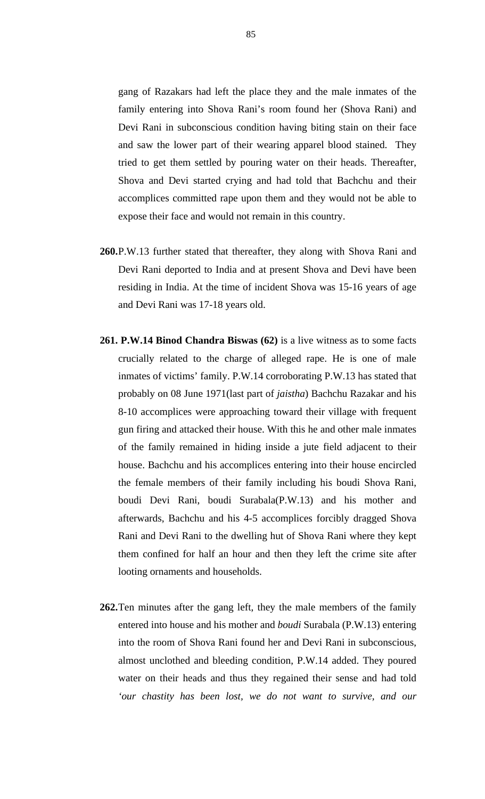gang of Razakars had left the place they and the male inmates of the family entering into Shova Rani's room found her (Shova Rani) and Devi Rani in subconscious condition having biting stain on their face and saw the lower part of their wearing apparel blood stained. They tried to get them settled by pouring water on their heads. Thereafter, Shova and Devi started crying and had told that Bachchu and their accomplices committed rape upon them and they would not be able to expose their face and would not remain in this country.

- **260.**P.W.13 further stated that thereafter, they along with Shova Rani and Devi Rani deported to India and at present Shova and Devi have been residing in India. At the time of incident Shova was 15-16 years of age and Devi Rani was 17-18 years old.
- **261. P.W.14 Binod Chandra Biswas (62)** is a live witness as to some facts crucially related to the charge of alleged rape. He is one of male inmates of victims' family. P.W.14 corroborating P.W.13 has stated that probably on 08 June 1971(last part of *jaistha*) Bachchu Razakar and his 8-10 accomplices were approaching toward their village with frequent gun firing and attacked their house. With this he and other male inmates of the family remained in hiding inside a jute field adjacent to their house. Bachchu and his accomplices entering into their house encircled the female members of their family including his boudi Shova Rani, boudi Devi Rani, boudi Surabala(P.W.13) and his mother and afterwards, Bachchu and his 4-5 accomplices forcibly dragged Shova Rani and Devi Rani to the dwelling hut of Shova Rani where they kept them confined for half an hour and then they left the crime site after looting ornaments and households.
- **262.**Ten minutes after the gang left, they the male members of the family entered into house and his mother and *boudi* Surabala (P.W.13) entering into the room of Shova Rani found her and Devi Rani in subconscious, almost unclothed and bleeding condition, P.W.14 added. They poured water on their heads and thus they regained their sense and had told *'our chastity has been lost, we do not want to survive, and our*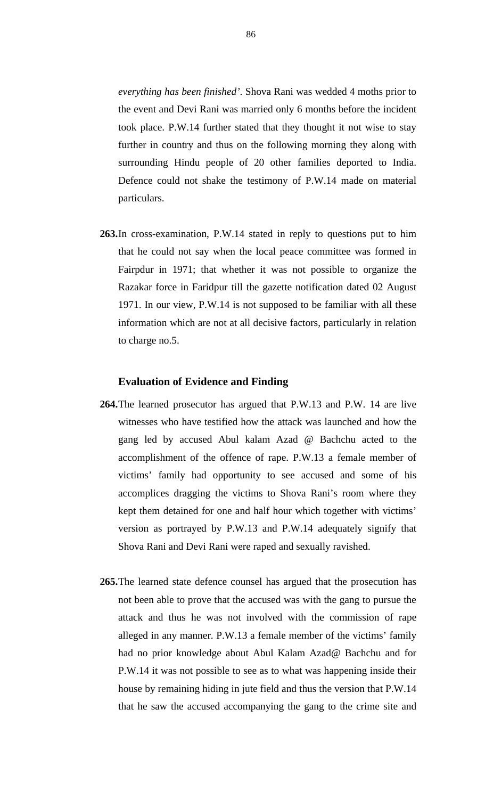*everything has been finished'*. Shova Rani was wedded 4 moths prior to the event and Devi Rani was married only 6 months before the incident took place. P.W.14 further stated that they thought it not wise to stay further in country and thus on the following morning they along with surrounding Hindu people of 20 other families deported to India. Defence could not shake the testimony of P.W.14 made on material particulars.

**263.**In cross-examination, P.W.14 stated in reply to questions put to him that he could not say when the local peace committee was formed in Fairpdur in 1971; that whether it was not possible to organize the Razakar force in Faridpur till the gazette notification dated 02 August 1971. In our view, P.W.14 is not supposed to be familiar with all these information which are not at all decisive factors, particularly in relation to charge no.5.

### **Evaluation of Evidence and Finding**

- **264.**The learned prosecutor has argued that P.W.13 and P.W. 14 are live witnesses who have testified how the attack was launched and how the gang led by accused Abul kalam Azad @ Bachchu acted to the accomplishment of the offence of rape. P.W.13 a female member of victims' family had opportunity to see accused and some of his accomplices dragging the victims to Shova Rani's room where they kept them detained for one and half hour which together with victims' version as portrayed by P.W.13 and P.W.14 adequately signify that Shova Rani and Devi Rani were raped and sexually ravished.
- **265.**The learned state defence counsel has argued that the prosecution has not been able to prove that the accused was with the gang to pursue the attack and thus he was not involved with the commission of rape alleged in any manner. P.W.13 a female member of the victims' family had no prior knowledge about Abul Kalam Azad@ Bachchu and for P.W.14 it was not possible to see as to what was happening inside their house by remaining hiding in jute field and thus the version that P.W.14 that he saw the accused accompanying the gang to the crime site and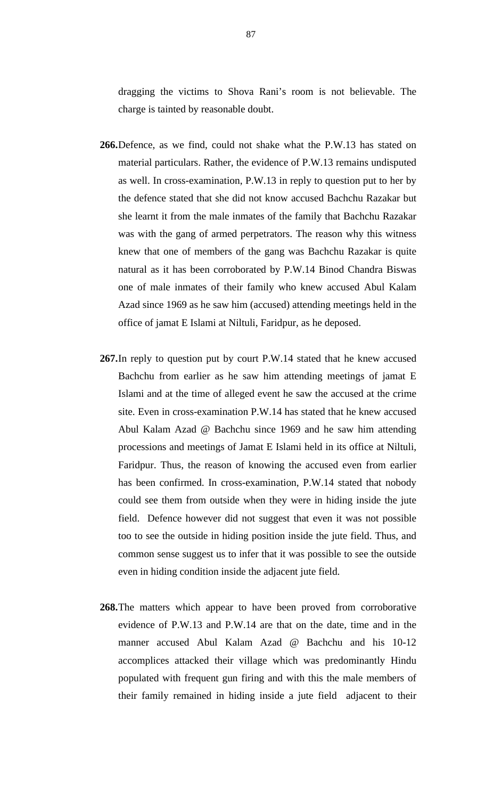dragging the victims to Shova Rani's room is not believable. The charge is tainted by reasonable doubt.

- **266.**Defence, as we find, could not shake what the P.W.13 has stated on material particulars. Rather, the evidence of P.W.13 remains undisputed as well. In cross-examination, P.W.13 in reply to question put to her by the defence stated that she did not know accused Bachchu Razakar but she learnt it from the male inmates of the family that Bachchu Razakar was with the gang of armed perpetrators. The reason why this witness knew that one of members of the gang was Bachchu Razakar is quite natural as it has been corroborated by P.W.14 Binod Chandra Biswas one of male inmates of their family who knew accused Abul Kalam Azad since 1969 as he saw him (accused) attending meetings held in the office of jamat E Islami at Niltuli, Faridpur, as he deposed.
- **267.**In reply to question put by court P.W.14 stated that he knew accused Bachchu from earlier as he saw him attending meetings of jamat E Islami and at the time of alleged event he saw the accused at the crime site. Even in cross-examination P.W.14 has stated that he knew accused Abul Kalam Azad @ Bachchu since 1969 and he saw him attending processions and meetings of Jamat E Islami held in its office at Niltuli, Faridpur. Thus, the reason of knowing the accused even from earlier has been confirmed. In cross-examination, P.W.14 stated that nobody could see them from outside when they were in hiding inside the jute field. Defence however did not suggest that even it was not possible too to see the outside in hiding position inside the jute field. Thus, and common sense suggest us to infer that it was possible to see the outside even in hiding condition inside the adjacent jute field.
- **268.**The matters which appear to have been proved from corroborative evidence of P.W.13 and P.W.14 are that on the date, time and in the manner accused Abul Kalam Azad @ Bachchu and his 10-12 accomplices attacked their village which was predominantly Hindu populated with frequent gun firing and with this the male members of their family remained in hiding inside a jute field adjacent to their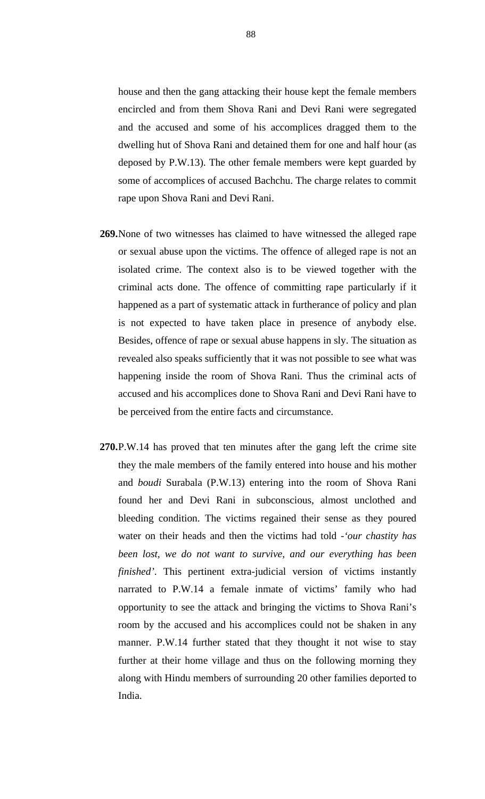house and then the gang attacking their house kept the female members encircled and from them Shova Rani and Devi Rani were segregated and the accused and some of his accomplices dragged them to the dwelling hut of Shova Rani and detained them for one and half hour (as deposed by P.W.13). The other female members were kept guarded by some of accomplices of accused Bachchu. The charge relates to commit rape upon Shova Rani and Devi Rani.

- **269.**None of two witnesses has claimed to have witnessed the alleged rape or sexual abuse upon the victims. The offence of alleged rape is not an isolated crime. The context also is to be viewed together with the criminal acts done. The offence of committing rape particularly if it happened as a part of systematic attack in furtherance of policy and plan is not expected to have taken place in presence of anybody else. Besides, offence of rape or sexual abuse happens in sly. The situation as revealed also speaks sufficiently that it was not possible to see what was happening inside the room of Shova Rani. Thus the criminal acts of accused and his accomplices done to Shova Rani and Devi Rani have to be perceived from the entire facts and circumstance.
- **270.**P.W.14 has proved that ten minutes after the gang left the crime site they the male members of the family entered into house and his mother and *boudi* Surabala (P.W.13) entering into the room of Shova Rani found her and Devi Rani in subconscious, almost unclothed and bleeding condition. The victims regained their sense as they poured water on their heads and then the victims had told -*'our chastity has been lost, we do not want to survive, and our everything has been finished'*. This pertinent extra-judicial version of victims instantly narrated to P.W.14 a female inmate of victims' family who had opportunity to see the attack and bringing the victims to Shova Rani's room by the accused and his accomplices could not be shaken in any manner. P.W.14 further stated that they thought it not wise to stay further at their home village and thus on the following morning they along with Hindu members of surrounding 20 other families deported to India.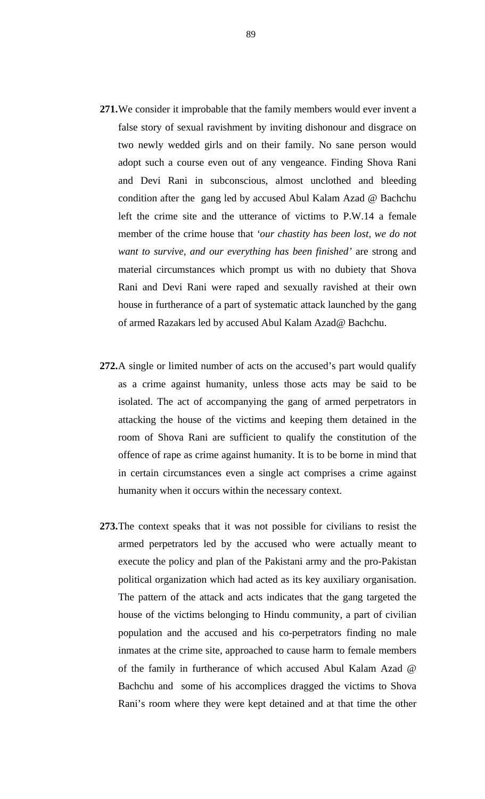- **271.**We consider it improbable that the family members would ever invent a false story of sexual ravishment by inviting dishonour and disgrace on two newly wedded girls and on their family. No sane person would adopt such a course even out of any vengeance. Finding Shova Rani and Devi Rani in subconscious, almost unclothed and bleeding condition after the gang led by accused Abul Kalam Azad @ Bachchu left the crime site and the utterance of victims to P.W.14 a female member of the crime house that *'our chastity has been lost, we do not want to survive, and our everything has been finished'* are strong and material circumstances which prompt us with no dubiety that Shova Rani and Devi Rani were raped and sexually ravished at their own house in furtherance of a part of systematic attack launched by the gang of armed Razakars led by accused Abul Kalam Azad@ Bachchu.
- **272.**A single or limited number of acts on the accused's part would qualify as a crime against humanity, unless those acts may be said to be isolated. The act of accompanying the gang of armed perpetrators in attacking the house of the victims and keeping them detained in the room of Shova Rani are sufficient to qualify the constitution of the offence of rape as crime against humanity. It is to be borne in mind that in certain circumstances even a single act comprises a crime against humanity when it occurs within the necessary context.
- **273.**The context speaks that it was not possible for civilians to resist the armed perpetrators led by the accused who were actually meant to execute the policy and plan of the Pakistani army and the pro-Pakistan political organization which had acted as its key auxiliary organisation. The pattern of the attack and acts indicates that the gang targeted the house of the victims belonging to Hindu community, a part of civilian population and the accused and his co-perpetrators finding no male inmates at the crime site, approached to cause harm to female members of the family in furtherance of which accused Abul Kalam Azad @ Bachchu and some of his accomplices dragged the victims to Shova Rani's room where they were kept detained and at that time the other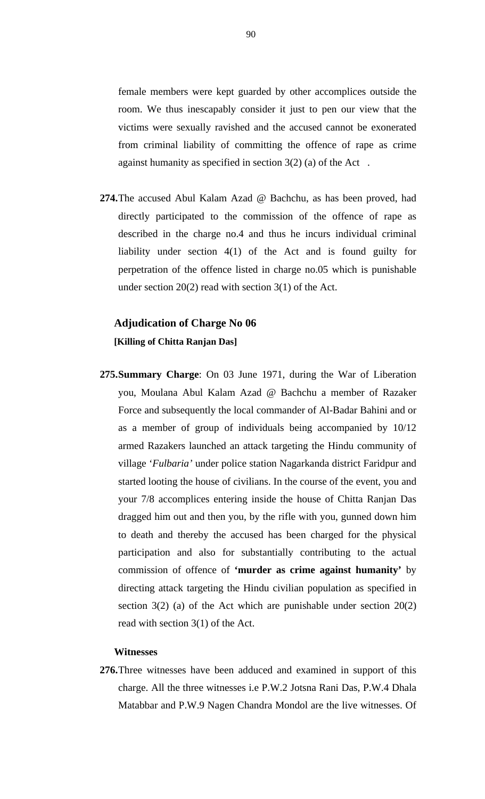female members were kept guarded by other accomplices outside the room. We thus inescapably consider it just to pen our view that the victims were sexually ravished and the accused cannot be exonerated from criminal liability of committing the offence of rape as crime against humanity as specified in section 3(2) (a) of the Act .

**274.**The accused Abul Kalam Azad @ Bachchu, as has been proved, had directly participated to the commission of the offence of rape as described in the charge no.4 and thus he incurs individual criminal liability under section 4(1) of the Act and is found guilty for perpetration of the offence listed in charge no.05 which is punishable under section 20(2) read with section 3(1) of the Act.

## **Adjudication of Charge No 06 [Killing of Chitta Ranjan Das]**

**275.Summary Charge**: On 03 June 1971, during the War of Liberation you, Moulana Abul Kalam Azad @ Bachchu a member of Razaker Force and subsequently the local commander of Al-Badar Bahini and or as a member of group of individuals being accompanied by 10/12 armed Razakers launched an attack targeting the Hindu community of village '*Fulbaria'* under police station Nagarkanda district Faridpur and started looting the house of civilians. In the course of the event, you and your 7/8 accomplices entering inside the house of Chitta Ranjan Das dragged him out and then you, by the rifle with you, gunned down him to death and thereby the accused has been charged for the physical participation and also for substantially contributing to the actual commission of offence of **'murder as crime against humanity'** by directing attack targeting the Hindu civilian population as specified in section 3(2) (a) of the Act which are punishable under section 20(2) read with section 3(1) of the Act.

### **Witnesses**

**276.**Three witnesses have been adduced and examined in support of this charge. All the three witnesses i.e P.W.2 Jotsna Rani Das, P.W.4 Dhala Matabbar and P.W.9 Nagen Chandra Mondol are the live witnesses. Of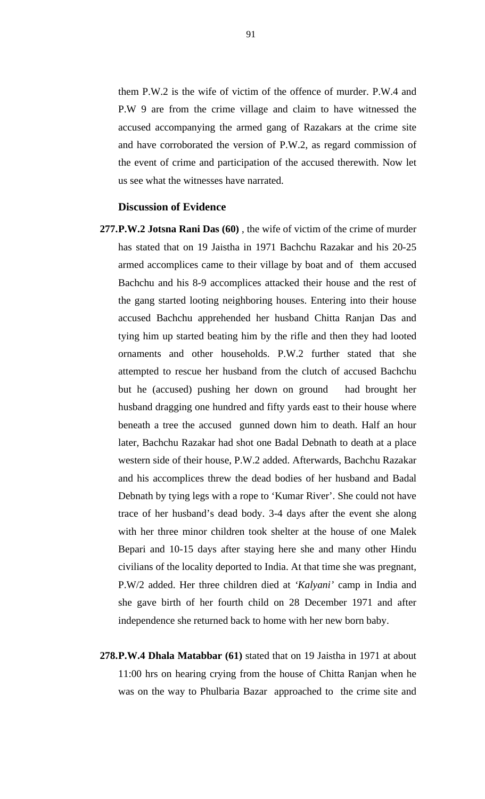them P.W.2 is the wife of victim of the offence of murder. P.W.4 and P.W 9 are from the crime village and claim to have witnessed the accused accompanying the armed gang of Razakars at the crime site and have corroborated the version of P.W.2, as regard commission of the event of crime and participation of the accused therewith. Now let us see what the witnesses have narrated.

### **Discussion of Evidence**

- **277.P.W.2 Jotsna Rani Das (60)** , the wife of victim of the crime of murder has stated that on 19 Jaistha in 1971 Bachchu Razakar and his 20-25 armed accomplices came to their village by boat and of them accused Bachchu and his 8-9 accomplices attacked their house and the rest of the gang started looting neighboring houses. Entering into their house accused Bachchu apprehended her husband Chitta Ranjan Das and tying him up started beating him by the rifle and then they had looted ornaments and other households. P.W.2 further stated that she attempted to rescue her husband from the clutch of accused Bachchu but he (accused) pushing her down on ground had brought her husband dragging one hundred and fifty yards east to their house where beneath a tree the accused gunned down him to death. Half an hour later, Bachchu Razakar had shot one Badal Debnath to death at a place western side of their house, P.W.2 added. Afterwards, Bachchu Razakar and his accomplices threw the dead bodies of her husband and Badal Debnath by tying legs with a rope to 'Kumar River'. She could not have trace of her husband's dead body. 3-4 days after the event she along with her three minor children took shelter at the house of one Malek Bepari and 10-15 days after staying here she and many other Hindu civilians of the locality deported to India. At that time she was pregnant, P.W/2 added. Her three children died at *'Kalyani'* camp in India and she gave birth of her fourth child on 28 December 1971 and after independence she returned back to home with her new born baby.
- **278.P.W.4 Dhala Matabbar (61)** stated that on 19 Jaistha in 1971 at about 11:00 hrs on hearing crying from the house of Chitta Ranjan when he was on the way to Phulbaria Bazar approached to the crime site and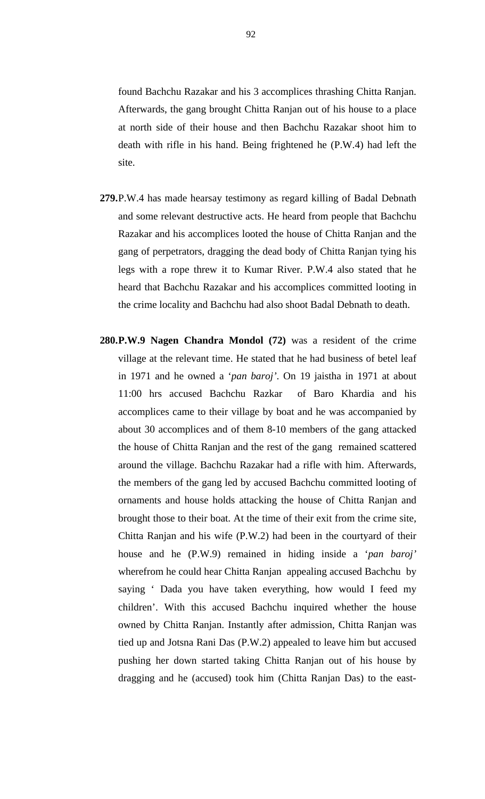found Bachchu Razakar and his 3 accomplices thrashing Chitta Ranjan. Afterwards, the gang brought Chitta Ranjan out of his house to a place at north side of their house and then Bachchu Razakar shoot him to death with rifle in his hand. Being frightened he (P.W.4) had left the site.

- **279.**P.W.4 has made hearsay testimony as regard killing of Badal Debnath and some relevant destructive acts. He heard from people that Bachchu Razakar and his accomplices looted the house of Chitta Ranjan and the gang of perpetrators, dragging the dead body of Chitta Ranjan tying his legs with a rope threw it to Kumar River. P.W.4 also stated that he heard that Bachchu Razakar and his accomplices committed looting in the crime locality and Bachchu had also shoot Badal Debnath to death.
- **280.P.W.9 Nagen Chandra Mondol (72)** was a resident of the crime village at the relevant time. He stated that he had business of betel leaf in 1971 and he owned a '*pan baroj'*. On 19 jaistha in 1971 at about 11:00 hrs accused Bachchu Razkar of Baro Khardia and his accomplices came to their village by boat and he was accompanied by about 30 accomplices and of them 8-10 members of the gang attacked the house of Chitta Ranjan and the rest of the gang remained scattered around the village. Bachchu Razakar had a rifle with him. Afterwards, the members of the gang led by accused Bachchu committed looting of ornaments and house holds attacking the house of Chitta Ranjan and brought those to their boat. At the time of their exit from the crime site, Chitta Ranjan and his wife (P.W.2) had been in the courtyard of their house and he (P.W.9) remained in hiding inside a '*pan baroj'* wherefrom he could hear Chitta Ranjan appealing accused Bachchu by saying ' Dada you have taken everything, how would I feed my children'. With this accused Bachchu inquired whether the house owned by Chitta Ranjan. Instantly after admission, Chitta Ranjan was tied up and Jotsna Rani Das (P.W.2) appealed to leave him but accused pushing her down started taking Chitta Ranjan out of his house by dragging and he (accused) took him (Chitta Ranjan Das) to the east-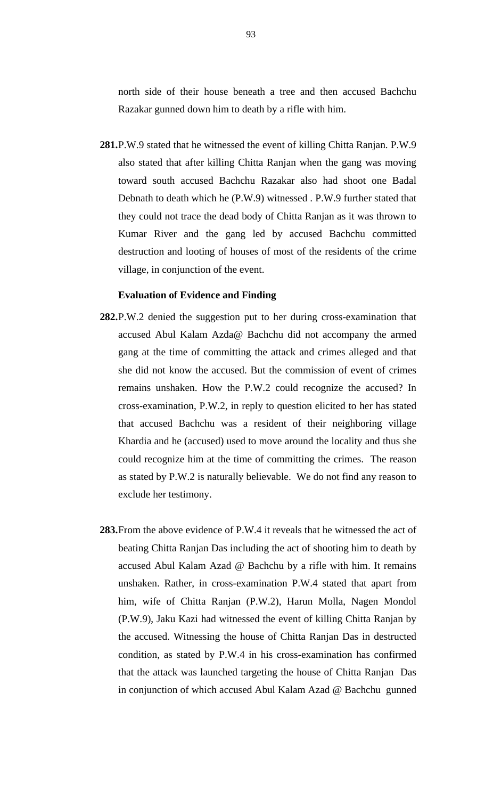north side of their house beneath a tree and then accused Bachchu Razakar gunned down him to death by a rifle with him.

**281.**P.W.9 stated that he witnessed the event of killing Chitta Ranjan. P.W.9 also stated that after killing Chitta Ranjan when the gang was moving toward south accused Bachchu Razakar also had shoot one Badal Debnath to death which he (P.W.9) witnessed . P.W.9 further stated that they could not trace the dead body of Chitta Ranjan as it was thrown to Kumar River and the gang led by accused Bachchu committed destruction and looting of houses of most of the residents of the crime village, in conjunction of the event.

### **Evaluation of Evidence and Finding**

- **282.**P.W.2 denied the suggestion put to her during cross-examination that accused Abul Kalam Azda@ Bachchu did not accompany the armed gang at the time of committing the attack and crimes alleged and that she did not know the accused. But the commission of event of crimes remains unshaken. How the P.W.2 could recognize the accused? In cross-examination, P.W.2, in reply to question elicited to her has stated that accused Bachchu was a resident of their neighboring village Khardia and he (accused) used to move around the locality and thus she could recognize him at the time of committing the crimes. The reason as stated by P.W.2 is naturally believable. We do not find any reason to exclude her testimony.
- **283.**From the above evidence of P.W.4 it reveals that he witnessed the act of beating Chitta Ranjan Das including the act of shooting him to death by accused Abul Kalam Azad @ Bachchu by a rifle with him. It remains unshaken. Rather, in cross-examination P.W.4 stated that apart from him, wife of Chitta Ranjan (P.W.2), Harun Molla, Nagen Mondol (P.W.9), Jaku Kazi had witnessed the event of killing Chitta Ranjan by the accused. Witnessing the house of Chitta Ranjan Das in destructed condition, as stated by P.W.4 in his cross-examination has confirmed that the attack was launched targeting the house of Chitta Ranjan Das in conjunction of which accused Abul Kalam Azad @ Bachchu gunned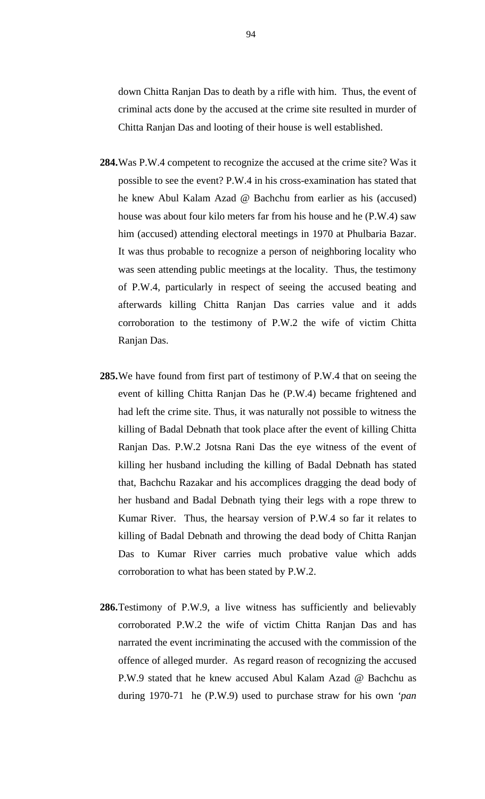down Chitta Ranjan Das to death by a rifle with him. Thus, the event of criminal acts done by the accused at the crime site resulted in murder of Chitta Ranjan Das and looting of their house is well established.

- **284.**Was P.W.4 competent to recognize the accused at the crime site? Was it possible to see the event? P.W.4 in his cross-examination has stated that he knew Abul Kalam Azad @ Bachchu from earlier as his (accused) house was about four kilo meters far from his house and he (P.W.4) saw him (accused) attending electoral meetings in 1970 at Phulbaria Bazar. It was thus probable to recognize a person of neighboring locality who was seen attending public meetings at the locality. Thus, the testimony of P.W.4, particularly in respect of seeing the accused beating and afterwards killing Chitta Ranjan Das carries value and it adds corroboration to the testimony of P.W.2 the wife of victim Chitta Ranjan Das.
- **285.**We have found from first part of testimony of P.W.4 that on seeing the event of killing Chitta Ranjan Das he (P.W.4) became frightened and had left the crime site. Thus, it was naturally not possible to witness the killing of Badal Debnath that took place after the event of killing Chitta Ranjan Das. P.W.2 Jotsna Rani Das the eye witness of the event of killing her husband including the killing of Badal Debnath has stated that, Bachchu Razakar and his accomplices dragging the dead body of her husband and Badal Debnath tying their legs with a rope threw to Kumar River. Thus, the hearsay version of P.W.4 so far it relates to killing of Badal Debnath and throwing the dead body of Chitta Ranjan Das to Kumar River carries much probative value which adds corroboration to what has been stated by P.W.2.
- **286.**Testimony of P.W.9, a live witness has sufficiently and believably corroborated P.W.2 the wife of victim Chitta Ranjan Das and has narrated the event incriminating the accused with the commission of the offence of alleged murder. As regard reason of recognizing the accused P.W.9 stated that he knew accused Abul Kalam Azad @ Bachchu as during 1970-71 he (P.W.9) used to purchase straw for his own *'pan*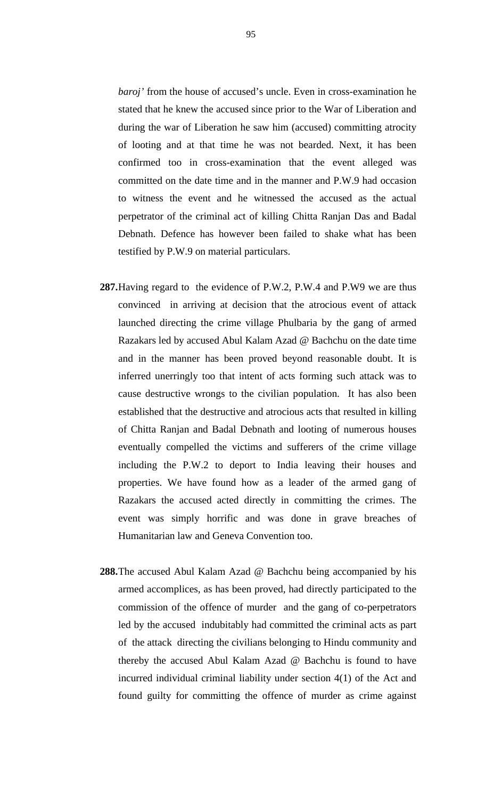*baroj'* from the house of accused's uncle. Even in cross-examination he stated that he knew the accused since prior to the War of Liberation and during the war of Liberation he saw him (accused) committing atrocity of looting and at that time he was not bearded. Next, it has been confirmed too in cross-examination that the event alleged was committed on the date time and in the manner and P.W.9 had occasion to witness the event and he witnessed the accused as the actual perpetrator of the criminal act of killing Chitta Ranjan Das and Badal Debnath. Defence has however been failed to shake what has been testified by P.W.9 on material particulars.

- **287.**Having regard to the evidence of P.W.2, P.W.4 and P.W9 we are thus convinced in arriving at decision that the atrocious event of attack launched directing the crime village Phulbaria by the gang of armed Razakars led by accused Abul Kalam Azad @ Bachchu on the date time and in the manner has been proved beyond reasonable doubt. It is inferred unerringly too that intent of acts forming such attack was to cause destructive wrongs to the civilian population. It has also been established that the destructive and atrocious acts that resulted in killing of Chitta Ranjan and Badal Debnath and looting of numerous houses eventually compelled the victims and sufferers of the crime village including the P.W.2 to deport to India leaving their houses and properties. We have found how as a leader of the armed gang of Razakars the accused acted directly in committing the crimes. The event was simply horrific and was done in grave breaches of Humanitarian law and Geneva Convention too.
- **288.**The accused Abul Kalam Azad @ Bachchu being accompanied by his armed accomplices, as has been proved, had directly participated to the commission of the offence of murder and the gang of co-perpetrators led by the accused indubitably had committed the criminal acts as part of the attack directing the civilians belonging to Hindu community and thereby the accused Abul Kalam Azad @ Bachchu is found to have incurred individual criminal liability under section 4(1) of the Act and found guilty for committing the offence of murder as crime against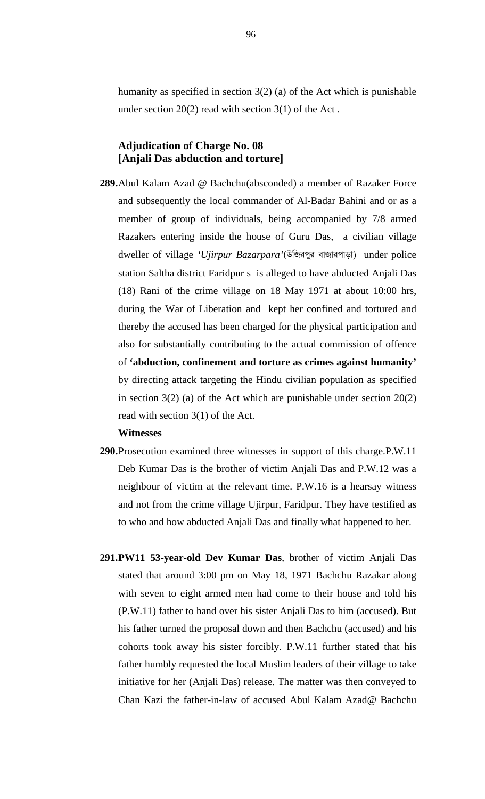humanity as specified in section 3(2) (a) of the Act which is punishable under section  $20(2)$  read with section  $3(1)$  of the Act.

### **Adjudication of Charge No. 08 [Anjali Das abduction and torture]**

**289.**Abul Kalam Azad @ Bachchu(absconded) a member of Razaker Force and subsequently the local commander of Al-Badar Bahini and or as a member of group of individuals, being accompanied by 7/8 armed Razakers entering inside the house of Guru Das, a civilian village dweller of village 'Ujirpur Bazarpara'(উজিরপুর বাজারপাড়া) under police station Saltha district Faridpur s is alleged to have abducted Anjali Das (18) Rani of the crime village on 18 May 1971 at about 10:00 hrs, during the War of Liberation and kept her confined and tortured and thereby the accused has been charged for the physical participation and also for substantially contributing to the actual commission of offence of **'abduction, confinement and torture as crimes against humanity'** by directing attack targeting the Hindu civilian population as specified in section  $3(2)$  (a) of the Act which are punishable under section  $20(2)$ read with section 3(1) of the Act.

### **Witnesses**

- **290.**Prosecution examined three witnesses in support of this charge.P.W.11 Deb Kumar Das is the brother of victim Anjali Das and P.W.12 was a neighbour of victim at the relevant time. P.W.16 is a hearsay witness and not from the crime village Ujirpur, Faridpur. They have testified as to who and how abducted Anjali Das and finally what happened to her.
- **291.PW11 53-year-old Dev Kumar Das**, brother of victim Anjali Das stated that around 3:00 pm on May 18, 1971 Bachchu Razakar along with seven to eight armed men had come to their house and told his (P.W.11) father to hand over his sister Anjali Das to him (accused). But his father turned the proposal down and then Bachchu (accused) and his cohorts took away his sister forcibly. P.W.11 further stated that his father humbly requested the local Muslim leaders of their village to take initiative for her (Anjali Das) release. The matter was then conveyed to Chan Kazi the father-in-law of accused Abul Kalam Azad@ Bachchu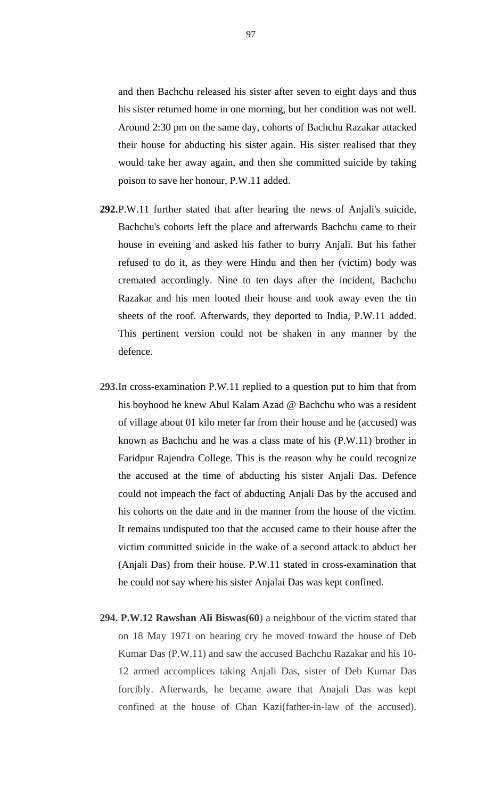and then Bachchu released his sister after seven to eight days and thus his sister returned home in one morning, but her condition was not well. Around 2:30 pm on the same day, cohorts of Bachchu Razakar attacked their house for abducting his sister again. His sister realised that they would take her away again, and then she committed suicide by taking poison to save her honour, P.W.11 added.

- **292.**P.W.11 further stated that after hearing the news of Anjali's suicide, Bachchu's cohorts left the place and afterwards Bachchu came to their house in evening and asked his father to burry Anjali. But his father refused to do it, as they were Hindu and then her (victim) body was cremated accordingly. Nine to ten days after the incident, Bachchu Razakar and his men looted their house and took away even the tin sheets of the roof. Afterwards, they deported to India, P.W.11 added. This pertinent version could not be shaken in any manner by the defence.
- **293.**In cross-examination P.W.11 replied to a question put to him that from his boyhood he knew Abul Kalam Azad @ Bachchu who was a resident of village about 01 kilo meter far from their house and he (accused) was known as Bachchu and he was a class mate of his (P.W.11) brother in Faridpur Rajendra College. This is the reason why he could recognize the accused at the time of abducting his sister Anjali Das. Defence could not impeach the fact of abducting Anjali Das by the accused and his cohorts on the date and in the manner from the house of the victim. It remains undisputed too that the accused came to their house after the victim committed suicide in the wake of a second attack to abduct her (Anjali Das) from their house. P.W.11 stated in cross-examination that he could not say where his sister Anjalai Das was kept confined.
- **294. P.W.12 Rawshan Ali Biswas(60**) a neighbour of the victim stated that on 18 May 1971 on hearing cry he moved toward the house of Deb Kumar Das (P.W.11) and saw the accused Bachchu Razakar and his 10- 12 armed accomplices taking Anjali Das, sister of Deb Kumar Das forcibly. Afterwards, he became aware that Anajali Das was kept confined at the house of Chan Kazi(father-in-law of the accused).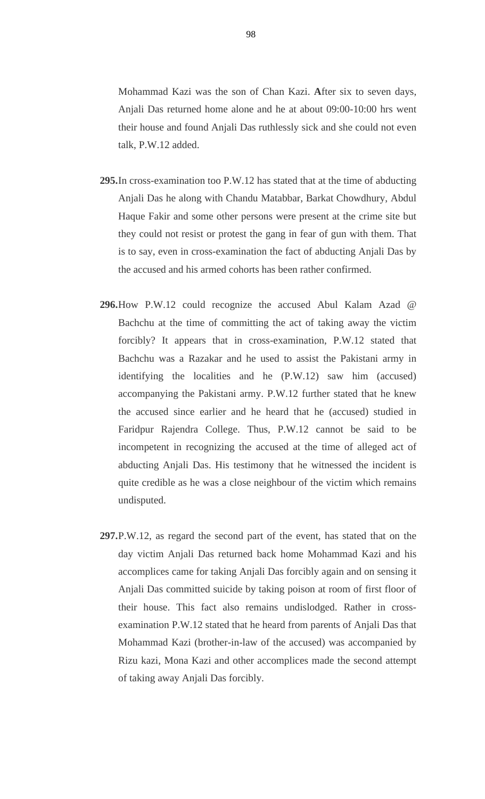Mohammad Kazi was the son of Chan Kazi. **A**fter six to seven days, Anjali Das returned home alone and he at about 09:00-10:00 hrs went their house and found Anjali Das ruthlessly sick and she could not even talk, P.W.12 added.

- **295.**In cross-examination too P.W.12 has stated that at the time of abducting Anjali Das he along with Chandu Matabbar, Barkat Chowdhury, Abdul Haque Fakir and some other persons were present at the crime site but they could not resist or protest the gang in fear of gun with them. That is to say, even in cross-examination the fact of abducting Anjali Das by the accused and his armed cohorts has been rather confirmed.
- **296.**How P.W.12 could recognize the accused Abul Kalam Azad @ Bachchu at the time of committing the act of taking away the victim forcibly? It appears that in cross-examination, P.W.12 stated that Bachchu was a Razakar and he used to assist the Pakistani army in identifying the localities and he (P.W.12) saw him (accused) accompanying the Pakistani army. P.W.12 further stated that he knew the accused since earlier and he heard that he (accused) studied in Faridpur Rajendra College. Thus, P.W.12 cannot be said to be incompetent in recognizing the accused at the time of alleged act of abducting Anjali Das. His testimony that he witnessed the incident is quite credible as he was a close neighbour of the victim which remains undisputed.
- **297.**P.W.12, as regard the second part of the event, has stated that on the day victim Anjali Das returned back home Mohammad Kazi and his accomplices came for taking Anjali Das forcibly again and on sensing it Anjali Das committed suicide by taking poison at room of first floor of their house. This fact also remains undislodged. Rather in crossexamination P.W.12 stated that he heard from parents of Anjali Das that Mohammad Kazi (brother-in-law of the accused) was accompanied by Rizu kazi, Mona Kazi and other accomplices made the second attempt of taking away Anjali Das forcibly.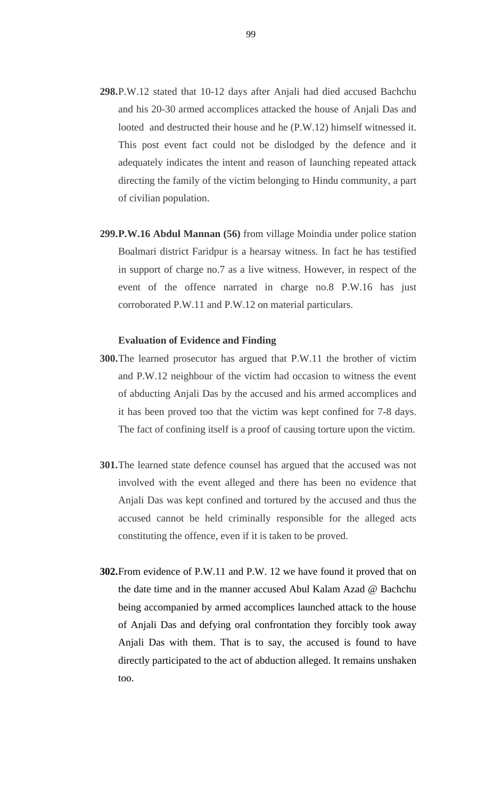- **298.**P.W.12 stated that 10-12 days after Anjali had died accused Bachchu and his 20-30 armed accomplices attacked the house of Anjali Das and looted and destructed their house and he (P.W.12) himself witnessed it. This post event fact could not be dislodged by the defence and it adequately indicates the intent and reason of launching repeated attack directing the family of the victim belonging to Hindu community, a part of civilian population.
- **299.P.W.16 Abdul Mannan (56)** from village Moindia under police station Boalmari district Faridpur is a hearsay witness. In fact he has testified in support of charge no.7 as a live witness. However, in respect of the event of the offence narrated in charge no.8 P.W.16 has just corroborated P.W.11 and P.W.12 on material particulars.

### **Evaluation of Evidence and Finding**

- **300.**The learned prosecutor has argued that P.W.11 the brother of victim and P.W.12 neighbour of the victim had occasion to witness the event of abducting Anjali Das by the accused and his armed accomplices and it has been proved too that the victim was kept confined for 7-8 days. The fact of confining itself is a proof of causing torture upon the victim.
- **301.**The learned state defence counsel has argued that the accused was not involved with the event alleged and there has been no evidence that Anjali Das was kept confined and tortured by the accused and thus the accused cannot be held criminally responsible for the alleged acts constituting the offence, even if it is taken to be proved.
- **302.**From evidence of P.W.11 and P.W. 12 we have found it proved that on the date time and in the manner accused Abul Kalam Azad @ Bachchu being accompanied by armed accomplices launched attack to the house of Anjali Das and defying oral confrontation they forcibly took away Anjali Das with them. That is to say, the accused is found to have directly participated to the act of abduction alleged. It remains unshaken too.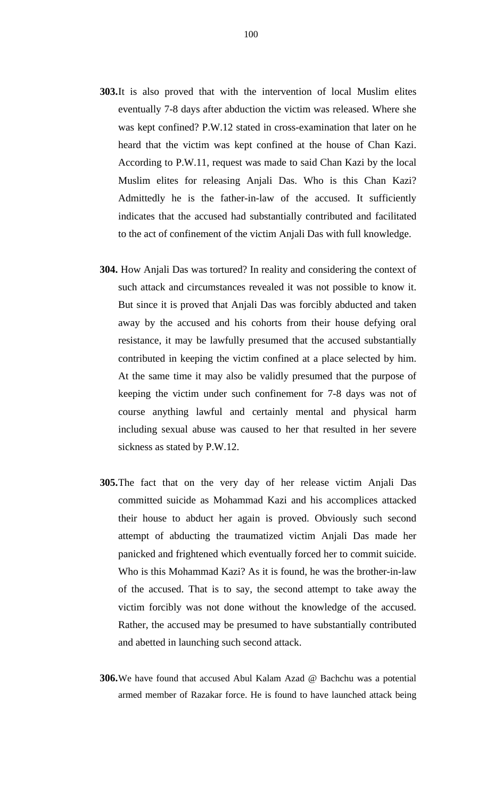- **303.**It is also proved that with the intervention of local Muslim elites eventually 7-8 days after abduction the victim was released. Where she was kept confined? P.W.12 stated in cross-examination that later on he heard that the victim was kept confined at the house of Chan Kazi. According to P.W.11, request was made to said Chan Kazi by the local Muslim elites for releasing Anjali Das. Who is this Chan Kazi? Admittedly he is the father-in-law of the accused. It sufficiently indicates that the accused had substantially contributed and facilitated to the act of confinement of the victim Anjali Das with full knowledge.
- **304.** How Anjali Das was tortured? In reality and considering the context of such attack and circumstances revealed it was not possible to know it. But since it is proved that Anjali Das was forcibly abducted and taken away by the accused and his cohorts from their house defying oral resistance, it may be lawfully presumed that the accused substantially contributed in keeping the victim confined at a place selected by him. At the same time it may also be validly presumed that the purpose of keeping the victim under such confinement for 7-8 days was not of course anything lawful and certainly mental and physical harm including sexual abuse was caused to her that resulted in her severe sickness as stated by P.W.12.
- **305.**The fact that on the very day of her release victim Anjali Das committed suicide as Mohammad Kazi and his accomplices attacked their house to abduct her again is proved. Obviously such second attempt of abducting the traumatized victim Anjali Das made her panicked and frightened which eventually forced her to commit suicide. Who is this Mohammad Kazi? As it is found, he was the brother-in-law of the accused. That is to say, the second attempt to take away the victim forcibly was not done without the knowledge of the accused. Rather, the accused may be presumed to have substantially contributed and abetted in launching such second attack.
- **306.**We have found that accused Abul Kalam Azad @ Bachchu was a potential armed member of Razakar force. He is found to have launched attack being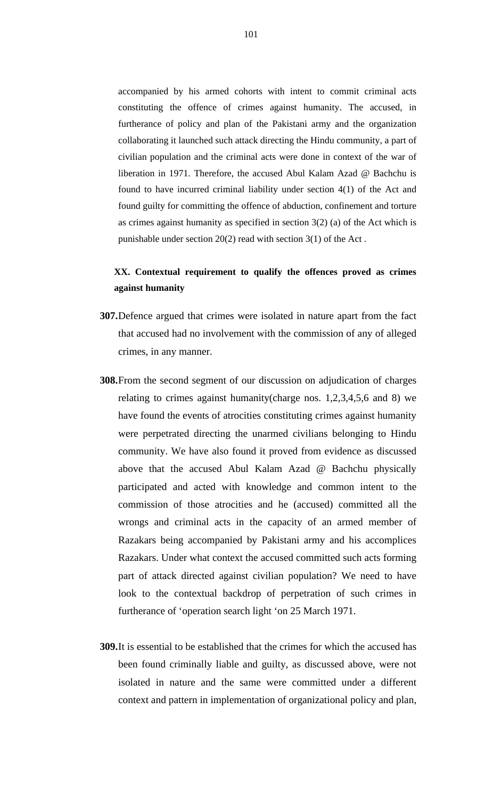accompanied by his armed cohorts with intent to commit criminal acts constituting the offence of crimes against humanity. The accused, in furtherance of policy and plan of the Pakistani army and the organization collaborating it launched such attack directing the Hindu community, a part of civilian population and the criminal acts were done in context of the war of liberation in 1971. Therefore, the accused Abul Kalam Azad @ Bachchu is found to have incurred criminal liability under section 4(1) of the Act and found guilty for committing the offence of abduction, confinement and torture as crimes against humanity as specified in section 3(2) (a) of the Act which is punishable under section 20(2) read with section 3(1) of the Act .

### **XX. Contextual requirement to qualify the offences proved as crimes against humanity**

- **307.**Defence argued that crimes were isolated in nature apart from the fact that accused had no involvement with the commission of any of alleged crimes, in any manner.
- **308.**From the second segment of our discussion on adjudication of charges relating to crimes against humanity(charge nos. 1,2,3,4,5,6 and 8) we have found the events of atrocities constituting crimes against humanity were perpetrated directing the unarmed civilians belonging to Hindu community. We have also found it proved from evidence as discussed above that the accused Abul Kalam Azad @ Bachchu physically participated and acted with knowledge and common intent to the commission of those atrocities and he (accused) committed all the wrongs and criminal acts in the capacity of an armed member of Razakars being accompanied by Pakistani army and his accomplices Razakars. Under what context the accused committed such acts forming part of attack directed against civilian population? We need to have look to the contextual backdrop of perpetration of such crimes in furtherance of 'operation search light 'on 25 March 1971.
- **309.**It is essential to be established that the crimes for which the accused has been found criminally liable and guilty, as discussed above, were not isolated in nature and the same were committed under a different context and pattern in implementation of organizational policy and plan,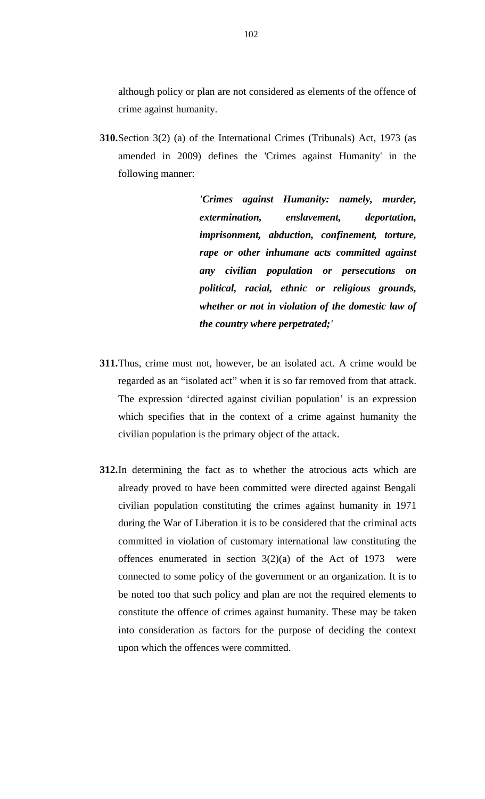although policy or plan are not considered as elements of the offence of crime against humanity.

**310.**Section 3(2) (a) of the International Crimes (Tribunals) Act, 1973 (as amended in 2009) defines the 'Crimes against Humanity' in the following manner:

> *'Crimes against Humanity: namely, murder, extermination, enslavement, deportation, imprisonment, abduction, confinement, torture, rape or other inhumane acts committed against any civilian population or persecutions on political, racial, ethnic or religious grounds, whether or not in violation of the domestic law of the country where perpetrated;'*

- **311.**Thus, crime must not, however, be an isolated act. A crime would be regarded as an "isolated act" when it is so far removed from that attack. The expression 'directed against civilian population' is an expression which specifies that in the context of a crime against humanity the civilian population is the primary object of the attack.
- **312.**In determining the fact as to whether the atrocious acts which are already proved to have been committed were directed against Bengali civilian population constituting the crimes against humanity in 1971 during the War of Liberation it is to be considered that the criminal acts committed in violation of customary international law constituting the offences enumerated in section  $3(2)(a)$  of the Act of 1973 were connected to some policy of the government or an organization. It is to be noted too that such policy and plan are not the required elements to constitute the offence of crimes against humanity. These may be taken into consideration as factors for the purpose of deciding the context upon which the offences were committed.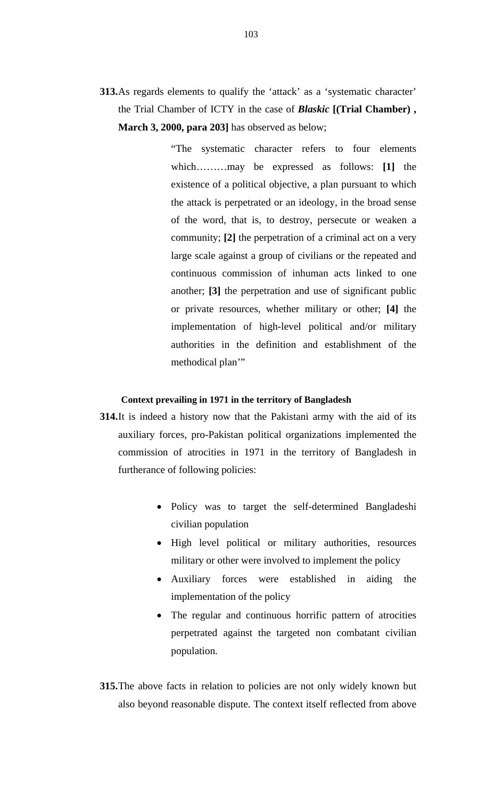**313.**As regards elements to qualify the 'attack' as a 'systematic character' the Trial Chamber of ICTY in the case of *Blaskic* **[(Trial Chamber) , March 3, 2000, para 203]** has observed as below;

> "The systematic character refers to four elements which………may be expressed as follows: **[1]** the existence of a political objective, a plan pursuant to which the attack is perpetrated or an ideology, in the broad sense of the word, that is, to destroy, persecute or weaken a community; **[2]** the perpetration of a criminal act on a very large scale against a group of civilians or the repeated and continuous commission of inhuman acts linked to one another; **[3]** the perpetration and use of significant public or private resources, whether military or other; **[4]** the implementation of high-level political and/or military authorities in the definition and establishment of the methodical plan'"

### **Context prevailing in 1971 in the territory of Bangladesh**

- **314.**It is indeed a history now that the Pakistani army with the aid of its auxiliary forces, pro-Pakistan political organizations implemented the commission of atrocities in 1971 in the territory of Bangladesh in furtherance of following policies:
	- Policy was to target the self-determined Bangladeshi civilian population
	- High level political or military authorities, resources military or other were involved to implement the policy
	- Auxiliary forces were established in aiding the implementation of the policy
	- The regular and continuous horrific pattern of atrocities perpetrated against the targeted non combatant civilian population.
- **315.**The above facts in relation to policies are not only widely known but also beyond reasonable dispute. The context itself reflected from above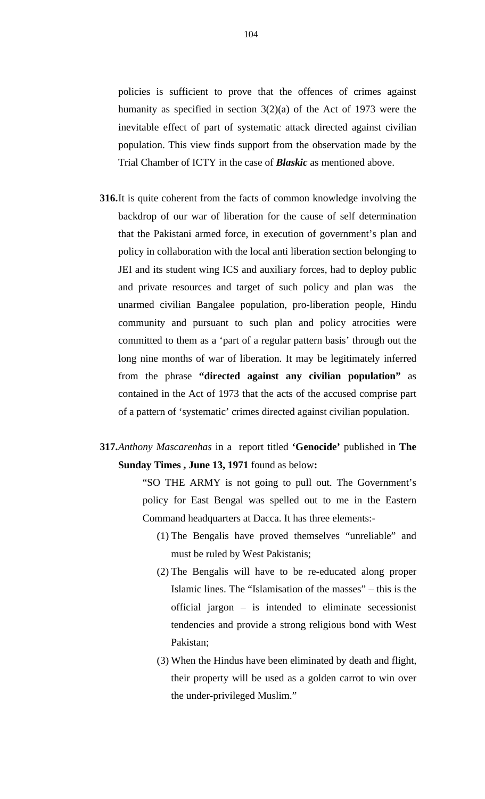policies is sufficient to prove that the offences of crimes against humanity as specified in section 3(2)(a) of the Act of 1973 were the inevitable effect of part of systematic attack directed against civilian population. This view finds support from the observation made by the Trial Chamber of ICTY in the case of *Blaskic* as mentioned above.

- **316.**It is quite coherent from the facts of common knowledge involving the backdrop of our war of liberation for the cause of self determination that the Pakistani armed force, in execution of government's plan and policy in collaboration with the local anti liberation section belonging to JEI and its student wing ICS and auxiliary forces, had to deploy public and private resources and target of such policy and plan was the unarmed civilian Bangalee population, pro-liberation people, Hindu community and pursuant to such plan and policy atrocities were committed to them as a 'part of a regular pattern basis' through out the long nine months of war of liberation. It may be legitimately inferred from the phrase **"directed against any civilian population"** as contained in the Act of 1973 that the acts of the accused comprise part of a pattern of 'systematic' crimes directed against civilian population.
- **317.***Anthony Mascarenhas* in a report titled **'Genocide'** published in **The Sunday Times , June 13, 1971** found as below**:**

"SO THE ARMY is not going to pull out. The Government's policy for East Bengal was spelled out to me in the Eastern Command headquarters at Dacca. It has three elements:-

- (1) The Bengalis have proved themselves "unreliable" and must be ruled by West Pakistanis;
- (2) The Bengalis will have to be re-educated along proper Islamic lines. The "Islamisation of the masses" – this is the official jargon – is intended to eliminate secessionist tendencies and provide a strong religious bond with West Pakistan;
- (3) When the Hindus have been eliminated by death and flight, their property will be used as a golden carrot to win over the under-privileged Muslim."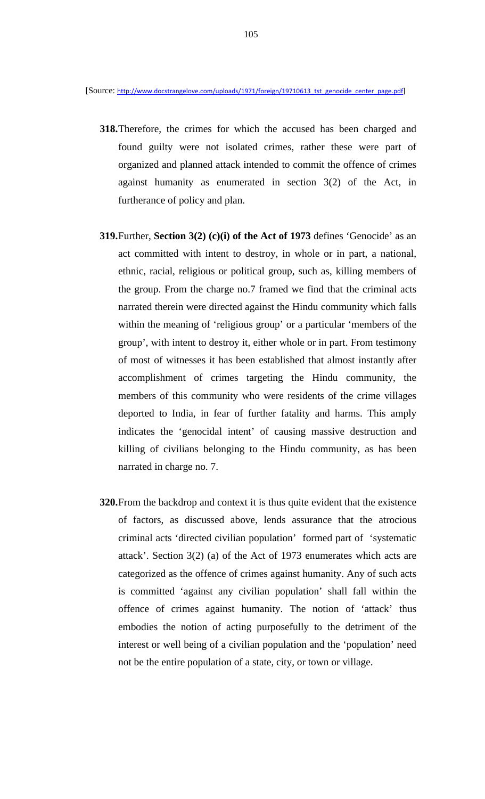- **318.**Therefore, the crimes for which the accused has been charged and found guilty were not isolated crimes, rather these were part of organized and planned attack intended to commit the offence of crimes against humanity as enumerated in section 3(2) of the Act, in furtherance of policy and plan.
- **319.**Further, **Section 3(2) (c)(i) of the Act of 1973** defines 'Genocide' as an act committed with intent to destroy, in whole or in part, a national, ethnic, racial, religious or political group, such as, killing members of the group. From the charge no.7 framed we find that the criminal acts narrated therein were directed against the Hindu community which falls within the meaning of 'religious group' or a particular 'members of the group', with intent to destroy it, either whole or in part. From testimony of most of witnesses it has been established that almost instantly after accomplishment of crimes targeting the Hindu community, the members of this community who were residents of the crime villages deported to India, in fear of further fatality and harms. This amply indicates the 'genocidal intent' of causing massive destruction and killing of civilians belonging to the Hindu community, as has been narrated in charge no. 7.
- **320.**From the backdrop and context it is thus quite evident that the existence of factors, as discussed above, lends assurance that the atrocious criminal acts 'directed civilian population' formed part of 'systematic attack'. Section 3(2) (a) of the Act of 1973 enumerates which acts are categorized as the offence of crimes against humanity. Any of such acts is committed 'against any civilian population' shall fall within the offence of crimes against humanity. The notion of 'attack' thus embodies the notion of acting purposefully to the detriment of the interest or well being of a civilian population and the 'population' need not be the entire population of a state, city, or town or village.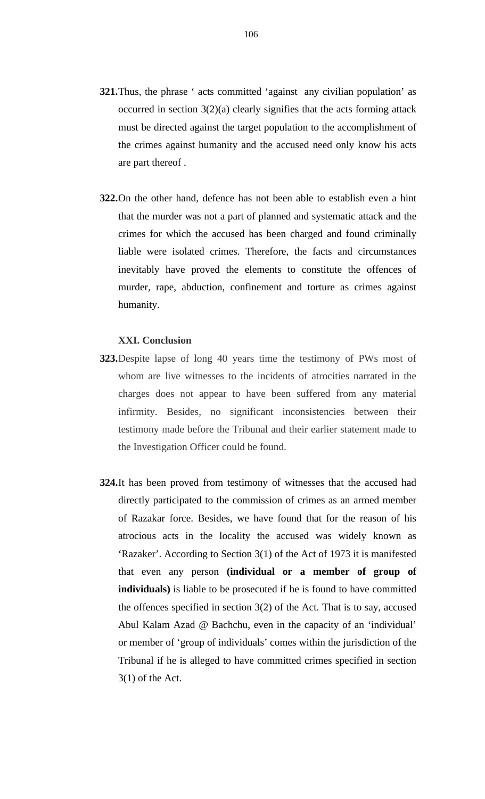- **321.**Thus, the phrase ' acts committed 'against any civilian population' as occurred in section  $3(2)(a)$  clearly signifies that the acts forming attack must be directed against the target population to the accomplishment of the crimes against humanity and the accused need only know his acts are part thereof .
- **322.**On the other hand, defence has not been able to establish even a hint that the murder was not a part of planned and systematic attack and the crimes for which the accused has been charged and found criminally liable were isolated crimes. Therefore, the facts and circumstances inevitably have proved the elements to constitute the offences of murder, rape, abduction, confinement and torture as crimes against humanity.

### **XXI. Conclusion**

- **323.**Despite lapse of long 40 years time the testimony of PWs most of whom are live witnesses to the incidents of atrocities narrated in the charges does not appear to have been suffered from any material infirmity. Besides, no significant inconsistencies between their testimony made before the Tribunal and their earlier statement made to the Investigation Officer could be found.
- **324.**It has been proved from testimony of witnesses that the accused had directly participated to the commission of crimes as an armed member of Razakar force. Besides, we have found that for the reason of his atrocious acts in the locality the accused was widely known as 'Razaker'. According to Section 3(1) of the Act of 1973 it is manifested that even any person **(individual or a member of group of individuals)** is liable to be prosecuted if he is found to have committed the offences specified in section 3(2) of the Act. That is to say, accused Abul Kalam Azad @ Bachchu, even in the capacity of an 'individual' or member of 'group of individuals' comes within the jurisdiction of the Tribunal if he is alleged to have committed crimes specified in section 3(1) of the Act.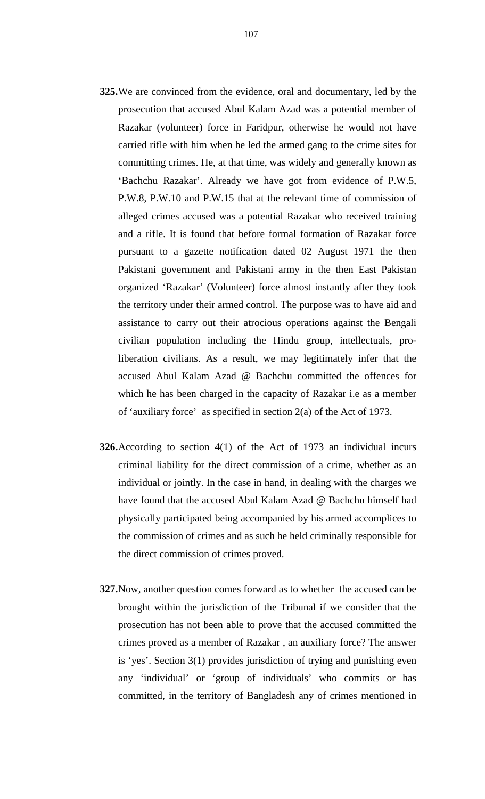- **325.**We are convinced from the evidence, oral and documentary, led by the prosecution that accused Abul Kalam Azad was a potential member of Razakar (volunteer) force in Faridpur, otherwise he would not have carried rifle with him when he led the armed gang to the crime sites for committing crimes. He, at that time, was widely and generally known as 'Bachchu Razakar'. Already we have got from evidence of P.W.5, P.W.8, P.W.10 and P.W.15 that at the relevant time of commission of alleged crimes accused was a potential Razakar who received training and a rifle. It is found that before formal formation of Razakar force pursuant to a gazette notification dated 02 August 1971 the then Pakistani government and Pakistani army in the then East Pakistan organized 'Razakar' (Volunteer) force almost instantly after they took the territory under their armed control. The purpose was to have aid and assistance to carry out their atrocious operations against the Bengali civilian population including the Hindu group, intellectuals, proliberation civilians. As a result, we may legitimately infer that the accused Abul Kalam Azad @ Bachchu committed the offences for which he has been charged in the capacity of Razakar i.e as a member of 'auxiliary force' as specified in section 2(a) of the Act of 1973.
- **326.**According to section 4(1) of the Act of 1973 an individual incurs criminal liability for the direct commission of a crime, whether as an individual or jointly. In the case in hand, in dealing with the charges we have found that the accused Abul Kalam Azad @ Bachchu himself had physically participated being accompanied by his armed accomplices to the commission of crimes and as such he held criminally responsible for the direct commission of crimes proved.
- **327.**Now, another question comes forward as to whether the accused can be brought within the jurisdiction of the Tribunal if we consider that the prosecution has not been able to prove that the accused committed the crimes proved as a member of Razakar , an auxiliary force? The answer is 'yes'. Section 3(1) provides jurisdiction of trying and punishing even any 'individual' or 'group of individuals' who commits or has committed, in the territory of Bangladesh any of crimes mentioned in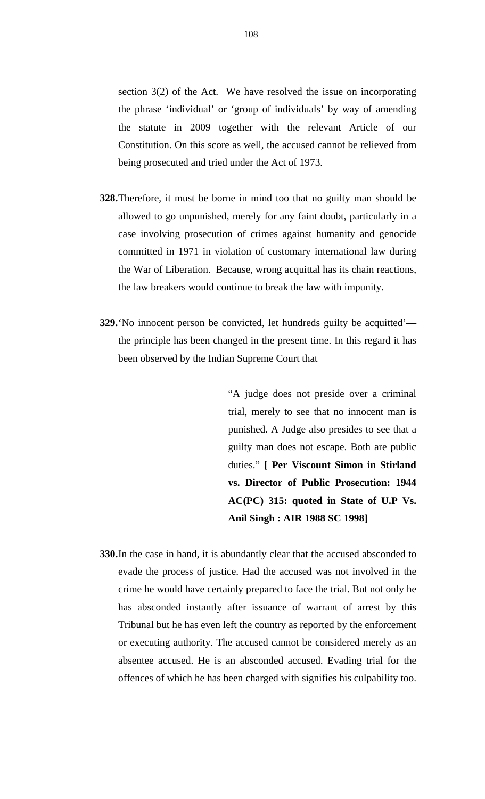section 3(2) of the Act. We have resolved the issue on incorporating the phrase 'individual' or 'group of individuals' by way of amending the statute in 2009 together with the relevant Article of our Constitution. On this score as well, the accused cannot be relieved from being prosecuted and tried under the Act of 1973.

- **328.**Therefore, it must be borne in mind too that no guilty man should be allowed to go unpunished, merely for any faint doubt, particularly in a case involving prosecution of crimes against humanity and genocide committed in 1971 in violation of customary international law during the War of Liberation. Because, wrong acquittal has its chain reactions, the law breakers would continue to break the law with impunity.
- **329.**'No innocent person be convicted, let hundreds guilty be acquitted' the principle has been changed in the present time. In this regard it has been observed by the Indian Supreme Court that

"A judge does not preside over a criminal trial, merely to see that no innocent man is punished. A Judge also presides to see that a guilty man does not escape. Both are public duties." **[ Per Viscount Simon in Stirland vs. Director of Public Prosecution: 1944 AC(PC) 315: quoted in State of U.P Vs. Anil Singh : AIR 1988 SC 1998]** 

**330.**In the case in hand, it is abundantly clear that the accused absconded to evade the process of justice. Had the accused was not involved in the crime he would have certainly prepared to face the trial. But not only he has absconded instantly after issuance of warrant of arrest by this Tribunal but he has even left the country as reported by the enforcement or executing authority. The accused cannot be considered merely as an absentee accused. He is an absconded accused. Evading trial for the offences of which he has been charged with signifies his culpability too.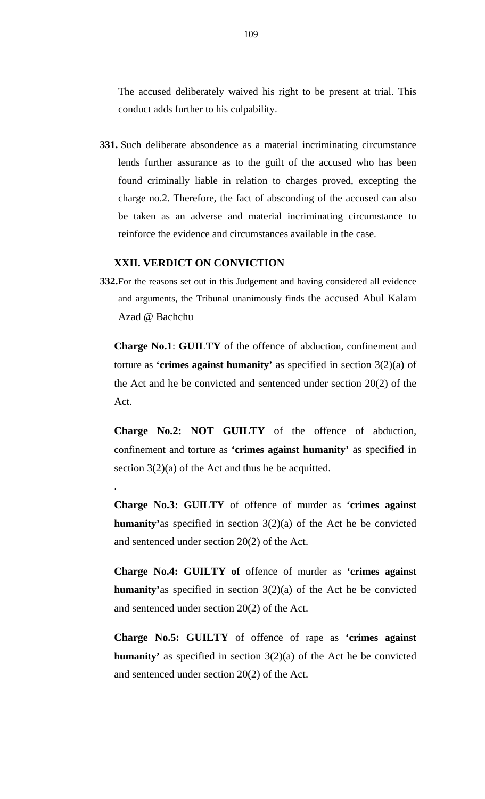The accused deliberately waived his right to be present at trial. This conduct adds further to his culpability.

**331.** Such deliberate absondence as a material incriminating circumstance lends further assurance as to the guilt of the accused who has been found criminally liable in relation to charges proved, excepting the charge no.2. Therefore, the fact of absconding of the accused can also be taken as an adverse and material incriminating circumstance to reinforce the evidence and circumstances available in the case.

## **XXII. VERDICT ON CONVICTION**

.

**332.**For the reasons set out in this Judgement and having considered all evidence and arguments, the Tribunal unanimously finds the accused Abul Kalam Azad @ Bachchu

**Charge No.1**: **GUILTY** of the offence of abduction, confinement and torture as **'crimes against humanity'** as specified in section 3(2)(a) of the Act and he be convicted and sentenced under section 20(2) of the Act.

**Charge No.2: NOT GUILTY** of the offence of abduction, confinement and torture as **'crimes against humanity'** as specified in section  $3(2)(a)$  of the Act and thus he be acquitted.

**Charge No.3: GUILTY** of offence of murder as **'crimes against humanity'**as specified in section 3(2)(a) of the Act he be convicted and sentenced under section 20(2) of the Act.

**Charge No.4: GUILTY of** offence of murder as **'crimes against humanity'**as specified in section 3(2)(a) of the Act he be convicted and sentenced under section 20(2) of the Act.

**Charge No.5: GUILTY** of offence of rape as **'crimes against humanity'** as specified in section 3(2)(a) of the Act he be convicted and sentenced under section 20(2) of the Act.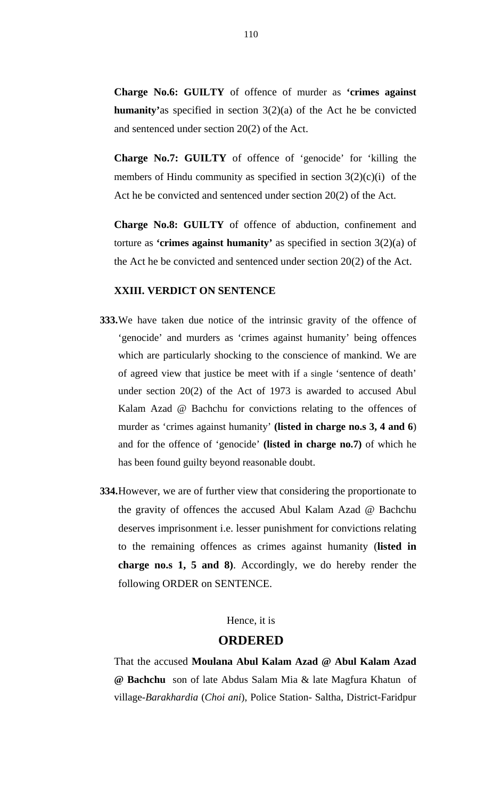**Charge No.6: GUILTY** of offence of murder as **'crimes against humanity'**as specified in section 3(2)(a) of the Act he be convicted and sentenced under section 20(2) of the Act.

**Charge No.7: GUILTY** of offence of 'genocide' for 'killing the members of Hindu community as specified in section  $3(2)(c)(i)$  of the Act he be convicted and sentenced under section 20(2) of the Act.

**Charge No.8: GUILTY** of offence of abduction, confinement and torture as **'crimes against humanity'** as specified in section 3(2)(a) of the Act he be convicted and sentenced under section 20(2) of the Act.

## **XXIII. VERDICT ON SENTENCE**

- **333.**We have taken due notice of the intrinsic gravity of the offence of 'genocide' and murders as 'crimes against humanity' being offences which are particularly shocking to the conscience of mankind. We are of agreed view that justice be meet with if a single 'sentence of death' under section 20(2) of the Act of 1973 is awarded to accused Abul Kalam Azad @ Bachchu for convictions relating to the offences of murder as 'crimes against humanity' **(listed in charge no.s 3, 4 and 6**) and for the offence of 'genocide' **(listed in charge no.7)** of which he has been found guilty beyond reasonable doubt.
- **334.**However, we are of further view that considering the proportionate to the gravity of offences the accused Abul Kalam Azad @ Bachchu deserves imprisonment i.e. lesser punishment for convictions relating to the remaining offences as crimes against humanity (**listed in charge no.s 1, 5 and 8)**. Accordingly, we do hereby render the following ORDER on SENTENCE.

## Hence, it is

## **ORDERED**

That the accused **Moulana Abul Kalam Azad @ Abul Kalam Azad @ Bachchu** son of late Abdus Salam Mia & late Magfura Khatun of village-*Barakhardia* (*Choi ani*), Police Station- Saltha, District-Faridpur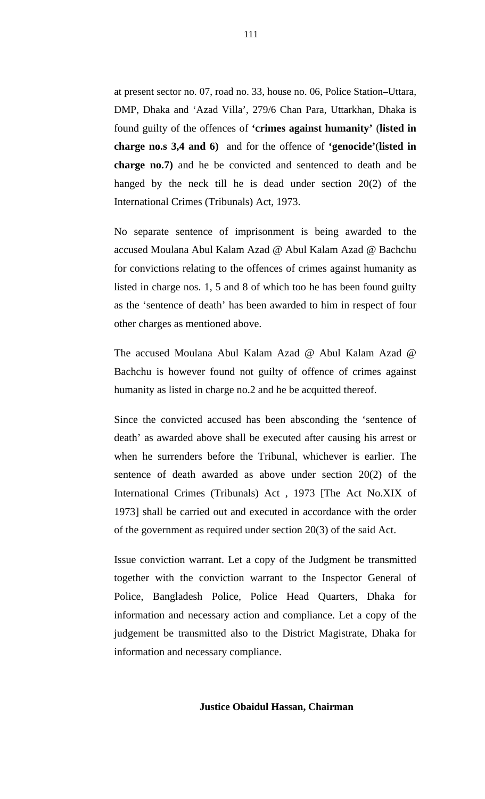at present sector no. 07, road no. 33, house no. 06, Police Station–Uttara, DMP, Dhaka and 'Azad Villa', 279/6 Chan Para, Uttarkhan, Dhaka is found guilty of the offences of **'crimes against humanity'** (**listed in charge no.s 3,4 and 6)** and for the offence of **'genocide'**(**listed in charge no.7)** and he be convicted and sentenced to death and be hanged by the neck till he is dead under section 20(2) of the International Crimes (Tribunals) Act, 1973.

No separate sentence of imprisonment is being awarded to the accused Moulana Abul Kalam Azad @ Abul Kalam Azad @ Bachchu for convictions relating to the offences of crimes against humanity as listed in charge nos. 1, 5 and 8 of which too he has been found guilty as the 'sentence of death' has been awarded to him in respect of four other charges as mentioned above.

The accused Moulana Abul Kalam Azad @ Abul Kalam Azad @ Bachchu is however found not guilty of offence of crimes against humanity as listed in charge no.2 and he be acquitted thereof.

Since the convicted accused has been absconding the 'sentence of death' as awarded above shall be executed after causing his arrest or when he surrenders before the Tribunal, whichever is earlier. The sentence of death awarded as above under section 20(2) of the International Crimes (Tribunals) Act , 1973 [The Act No.XIX of 1973] shall be carried out and executed in accordance with the order of the government as required under section 20(3) of the said Act.

Issue conviction warrant. Let a copy of the Judgment be transmitted together with the conviction warrant to the Inspector General of Police, Bangladesh Police, Police Head Quarters, Dhaka for information and necessary action and compliance. Let a copy of the judgement be transmitted also to the District Magistrate, Dhaka for information and necessary compliance.